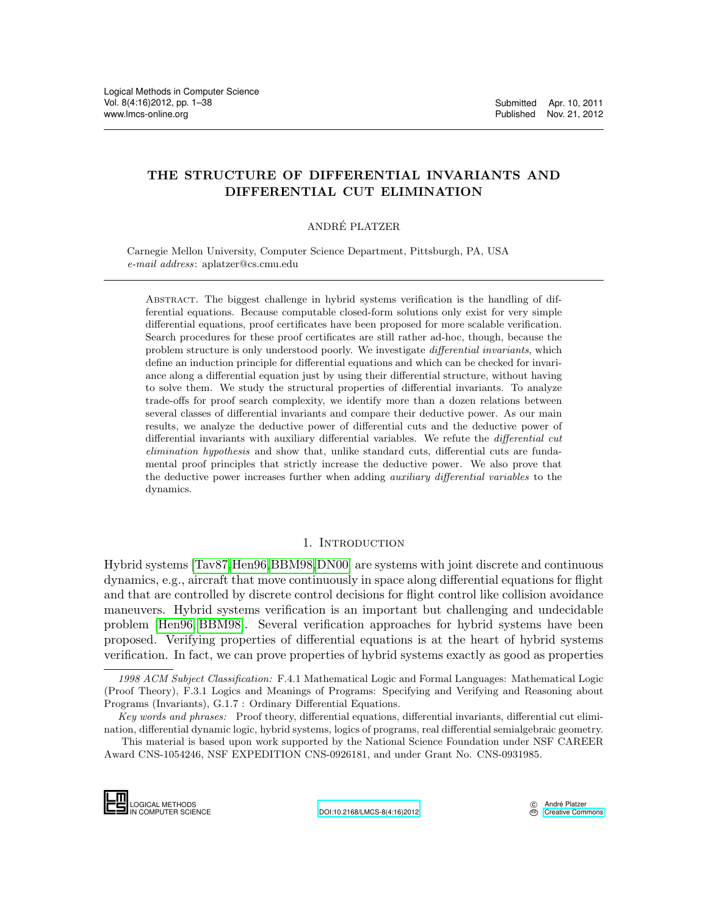# THE STRUCTURE OF DIFFERENTIAL INVARIANTS AND DIFFERENTIAL CUT ELIMINATION

# ANDRE PLATZER ´

Carnegie Mellon University, Computer Science Department, Pittsburgh, PA, USA e-mail address: aplatzer@cs.cmu.edu

Abstract. The biggest challenge in hybrid systems verification is the handling of differential equations. Because computable closed-form solutions only exist for very simple differential equations, proof certificates have been proposed for more scalable verification. Search procedures for these proof certificates are still rather ad-hoc, though, because the problem structure is only understood poorly. We investigate differential invariants, which define an induction principle for differential equations and which can be checked for invariance along a differential equation just by using their differential structure, without having to solve them. We study the structural properties of differential invariants. To analyze trade-offs for proof search complexity, we identify more than a dozen relations between several classes of differential invariants and compare their deductive power. As our main results, we analyze the deductive power of differential cuts and the deductive power of differential invariants with auxiliary differential variables. We refute the differential cut elimination hypothesis and show that, unlike standard cuts, differential cuts are fundamental proof principles that strictly increase the deductive power. We also prove that the deductive power increases further when adding *auxiliary differential variables* to the dynamics.

# 1. INTRODUCTION

Hybrid systems [\[Tav87,](#page-32-0)[Hen96,](#page-32-1)[BBM98,](#page-31-0)[DN00\]](#page-31-1) are systems with joint discrete and continuous dynamics, e.g., aircraft that move continuously in space along differential equations for flight and that are controlled by discrete control decisions for flight control like collision avoidance maneuvers. Hybrid systems verification is an important but challenging and undecidable problem [\[Hen96,](#page-32-1) [BBM98\]](#page-31-0). Several verification approaches for hybrid systems have been proposed. Verifying properties of differential equations is at the heart of hybrid systems verification. In fact, we can prove properties of hybrid systems exactly as good as properties

This material is based upon work supported by the National Science Foundation under NSF CAREER Award CNS-1054246, NSF EXPEDITION CNS-0926181, and under Grant No. CNS-0931985.



<sup>1998</sup> ACM Subject Classification: F.4.1 Mathematical Logic and Formal Languages: Mathematical Logic (Proof Theory), F.3.1 Logics and Meanings of Programs: Specifying and Verifying and Reasoning about Programs (Invariants), G.1.7 : Ordinary Differential Equations. 1998 ACM Subje<br>
(Proof Theory), F.3<br>
Programs (Invariant<br>
Key words and p<br>
nation, differential d<br>
This material is<br>
Award CNS-105424

Key words and phrases: Proof theory, differential equations, differential invariants, differential cut elimination, differential dynamic logic, hybrid systems, logics of programs, real differential semialgebraic geometry.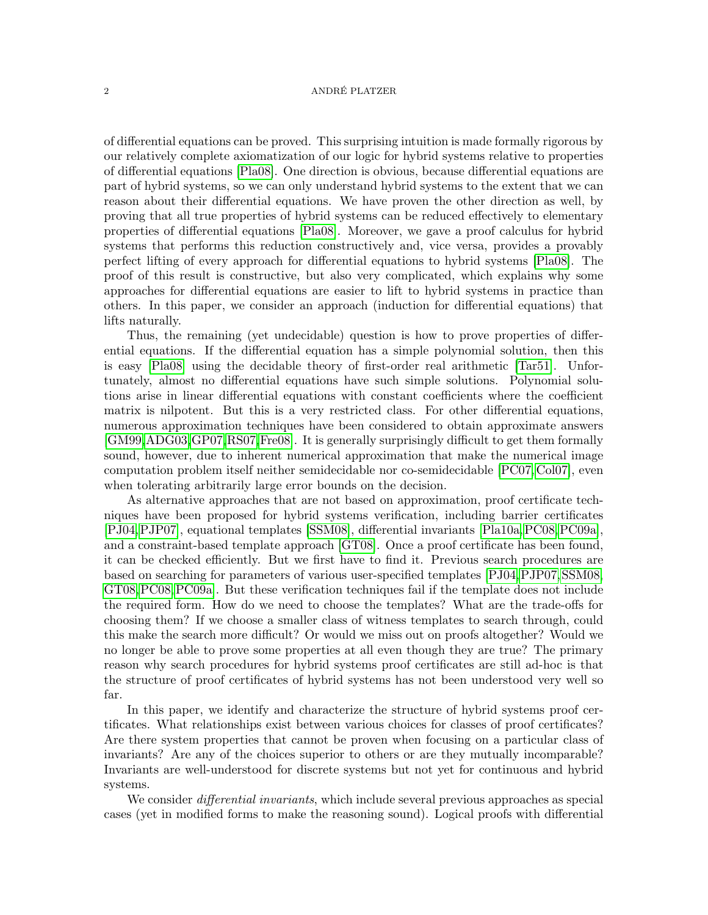of differential equations can be proved. This surprising intuition is made formally rigorous by our relatively complete axiomatization of our logic for hybrid systems relative to properties of differential equations [\[Pla08\]](#page-32-2). One direction is obvious, because differential equations are part of hybrid systems, so we can only understand hybrid systems to the extent that we can reason about their differential equations. We have proven the other direction as well, by proving that all true properties of hybrid systems can be reduced effectively to elementary properties of differential equations [\[Pla08\]](#page-32-2). Moreover, we gave a proof calculus for hybrid systems that performs this reduction constructively and, vice versa, provides a provably perfect lifting of every approach for differential equations to hybrid systems [\[Pla08\]](#page-32-2). The proof of this result is constructive, but also very complicated, which explains why some approaches for differential equations are easier to lift to hybrid systems in practice than others. In this paper, we consider an approach (induction for differential equations) that lifts naturally.

Thus, the remaining (yet undecidable) question is how to prove properties of differential equations. If the differential equation has a simple polynomial solution, then this is easy [\[Pla08\]](#page-32-2) using the decidable theory of first-order real arithmetic [\[Tar51\]](#page-32-3). Unfortunately, almost no differential equations have such simple solutions. Polynomial solutions arise in linear differential equations with constant coefficients where the coefficient matrix is nilpotent. But this is a very restricted class. For other differential equations, numerous approximation techniques have been considered to obtain approximate answers [\[GM99,](#page-32-4)[ADG03,](#page-31-2)[GP07,](#page-32-5)[RS07,](#page-32-6)[Fre08\]](#page-32-7). It is generally surprisingly difficult to get them formally sound, however, due to inherent numerical approximation that make the numerical image computation problem itself neither semidecidable nor co-semidecidable [\[PC07,](#page-32-8)[Col07\]](#page-31-3), even when tolerating arbitrarily large error bounds on the decision.

As alternative approaches that are not based on approximation, proof certificate techniques have been proposed for hybrid systems verification, including barrier certificates [\[PJ04,](#page-32-9)[PJP07\]](#page-32-10), equational templates [\[SSM08\]](#page-32-11), differential invariants [\[Pla10a,](#page-32-12)[PC08,](#page-32-13)[PC09a\]](#page-32-14), and a constraint-based template approach [\[GT08\]](#page-32-15). Once a proof certificate has been found, it can be checked efficiently. But we first have to find it. Previous search procedures are based on searching for parameters of various user-specified templates [\[PJ04,](#page-32-9)[PJP07,](#page-32-10)[SSM08,](#page-32-11) [GT08,](#page-32-15)[PC08,](#page-32-13)[PC09a\]](#page-32-14). But these verification techniques fail if the template does not include the required form. How do we need to choose the templates? What are the trade-offs for choosing them? If we choose a smaller class of witness templates to search through, could this make the search more difficult? Or would we miss out on proofs altogether? Would we no longer be able to prove some properties at all even though they are true? The primary reason why search procedures for hybrid systems proof certificates are still ad-hoc is that the structure of proof certificates of hybrid systems has not been understood very well so far.

In this paper, we identify and characterize the structure of hybrid systems proof certificates. What relationships exist between various choices for classes of proof certificates? Are there system properties that cannot be proven when focusing on a particular class of invariants? Are any of the choices superior to others or are they mutually incomparable? Invariants are well-understood for discrete systems but not yet for continuous and hybrid systems.

We consider *differential invariants*, which include several previous approaches as special cases (yet in modified forms to make the reasoning sound). Logical proofs with differential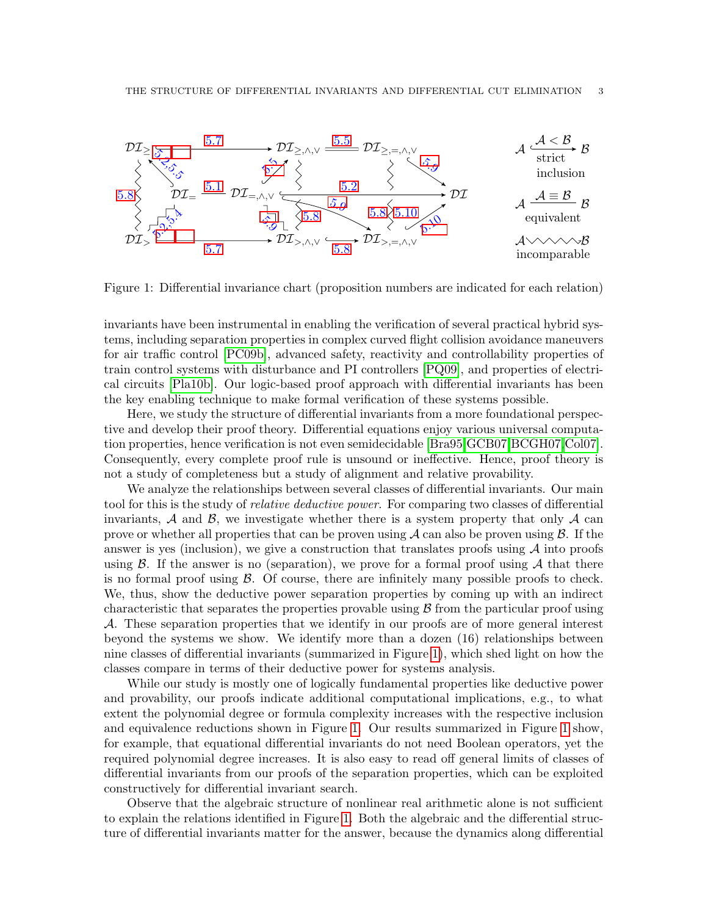

<span id="page-2-0"></span>Figure 1: Differential invariance chart (proposition numbers are indicated for each relation)

invariants have been instrumental in enabling the verification of several practical hybrid systems, including separation properties in complex curved flight collision avoidance maneuvers for air traffic control [\[PC09b\]](#page-32-16), advanced safety, reactivity and controllability properties of train control systems with disturbance and PI controllers [\[PQ09\]](#page-32-17), and properties of electrical circuits [\[Pla10b\]](#page-32-18). Our logic-based proof approach with differential invariants has been the key enabling technique to make formal verification of these systems possible.

Here, we study the structure of differential invariants from a more foundational perspective and develop their proof theory. Differential equations enjoy various universal computation properties, hence verification is not even semidecidable [\[Bra95,](#page-31-4)[GCB07,](#page-32-19)[BCGH07,](#page-31-5)[Col07\]](#page-31-3). Consequently, every complete proof rule is unsound or ineffective. Hence, proof theory is not a study of completeness but a study of alignment and relative provability.

We analyze the relationships between several classes of differential invariants. Our main tool for this is the study of *relative deductive power*. For comparing two classes of differential invariants,  $\mathcal A$  and  $\mathcal B$ , we investigate whether there is a system property that only  $\mathcal A$  can prove or whether all properties that can be proven using  $A$  can also be proven using  $B$ . If the answer is yes (inclusion), we give a construction that translates proofs using  $A$  into proofs using  $\beta$ . If the answer is no (separation), we prove for a formal proof using  $\mathcal A$  that there is no formal proof using  $\beta$ . Of course, there are infinitely many possible proofs to check. We, thus, show the deductive power separation properties by coming up with an indirect characteristic that separates the properties provable using  $\beta$  from the particular proof using A. These separation properties that we identify in our proofs are of more general interest beyond the systems we show. We identify more than a dozen (16) relationships between nine classes of differential invariants (summarized in Figure [1\)](#page-2-0), which shed light on how the classes compare in terms of their deductive power for systems analysis.

While our study is mostly one of logically fundamental properties like deductive power and provability, our proofs indicate additional computational implications, e.g., to what extent the polynomial degree or formula complexity increases with the respective inclusion and equivalence reductions shown in Figure [1.](#page-2-0) Our results summarized in Figure [1](#page-2-0) show, for example, that equational differential invariants do not need Boolean operators, yet the required polynomial degree increases. It is also easy to read off general limits of classes of differential invariants from our proofs of the separation properties, which can be exploited constructively for differential invariant search.

Observe that the algebraic structure of nonlinear real arithmetic alone is not sufficient to explain the relations identified in Figure [1.](#page-2-0) Both the algebraic and the differential structure of differential invariants matter for the answer, because the dynamics along differential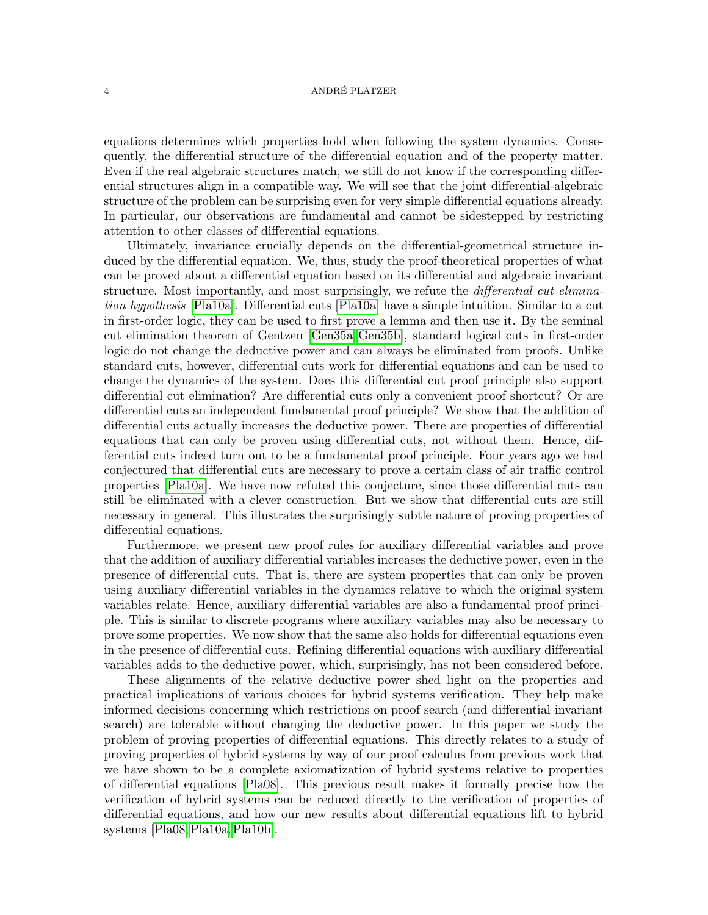equations determines which properties hold when following the system dynamics. Consequently, the differential structure of the differential equation and of the property matter. Even if the real algebraic structures match, we still do not know if the corresponding differential structures align in a compatible way. We will see that the joint differential-algebraic structure of the problem can be surprising even for very simple differential equations already. In particular, our observations are fundamental and cannot be sidestepped by restricting attention to other classes of differential equations.

Ultimately, invariance crucially depends on the differential-geometrical structure induced by the differential equation. We, thus, study the proof-theoretical properties of what can be proved about a differential equation based on its differential and algebraic invariant structure. Most importantly, and most surprisingly, we refute the *differential cut elimina*tion hypothesis [\[Pla10a\]](#page-32-12). Differential cuts [\[Pla10a\]](#page-32-12) have a simple intuition. Similar to a cut in first-order logic, they can be used to first prove a lemma and then use it. By the seminal cut elimination theorem of Gentzen [\[Gen35a,](#page-32-20) [Gen35b\]](#page-32-21), standard logical cuts in first-order logic do not change the deductive power and can always be eliminated from proofs. Unlike standard cuts, however, differential cuts work for differential equations and can be used to change the dynamics of the system. Does this differential cut proof principle also support differential cut elimination? Are differential cuts only a convenient proof shortcut? Or are differential cuts an independent fundamental proof principle? We show that the addition of differential cuts actually increases the deductive power. There are properties of differential equations that can only be proven using differential cuts, not without them. Hence, differential cuts indeed turn out to be a fundamental proof principle. Four years ago we had conjectured that differential cuts are necessary to prove a certain class of air traffic control properties [\[Pla10a\]](#page-32-12). We have now refuted this conjecture, since those differential cuts can still be eliminated with a clever construction. But we show that differential cuts are still necessary in general. This illustrates the surprisingly subtle nature of proving properties of differential equations.

Furthermore, we present new proof rules for auxiliary differential variables and prove that the addition of auxiliary differential variables increases the deductive power, even in the presence of differential cuts. That is, there are system properties that can only be proven using auxiliary differential variables in the dynamics relative to which the original system variables relate. Hence, auxiliary differential variables are also a fundamental proof principle. This is similar to discrete programs where auxiliary variables may also be necessary to prove some properties. We now show that the same also holds for differential equations even in the presence of differential cuts. Refining differential equations with auxiliary differential variables adds to the deductive power, which, surprisingly, has not been considered before.

These alignments of the relative deductive power shed light on the properties and practical implications of various choices for hybrid systems verification. They help make informed decisions concerning which restrictions on proof search (and differential invariant search) are tolerable without changing the deductive power. In this paper we study the problem of proving properties of differential equations. This directly relates to a study of proving properties of hybrid systems by way of our proof calculus from previous work that we have shown to be a complete axiomatization of hybrid systems relative to properties of differential equations [\[Pla08\]](#page-32-2). This previous result makes it formally precise how the verification of hybrid systems can be reduced directly to the verification of properties of differential equations, and how our new results about differential equations lift to hybrid systems [\[Pla08,](#page-32-2)[Pla10a,](#page-32-12)[Pla10b\]](#page-32-18).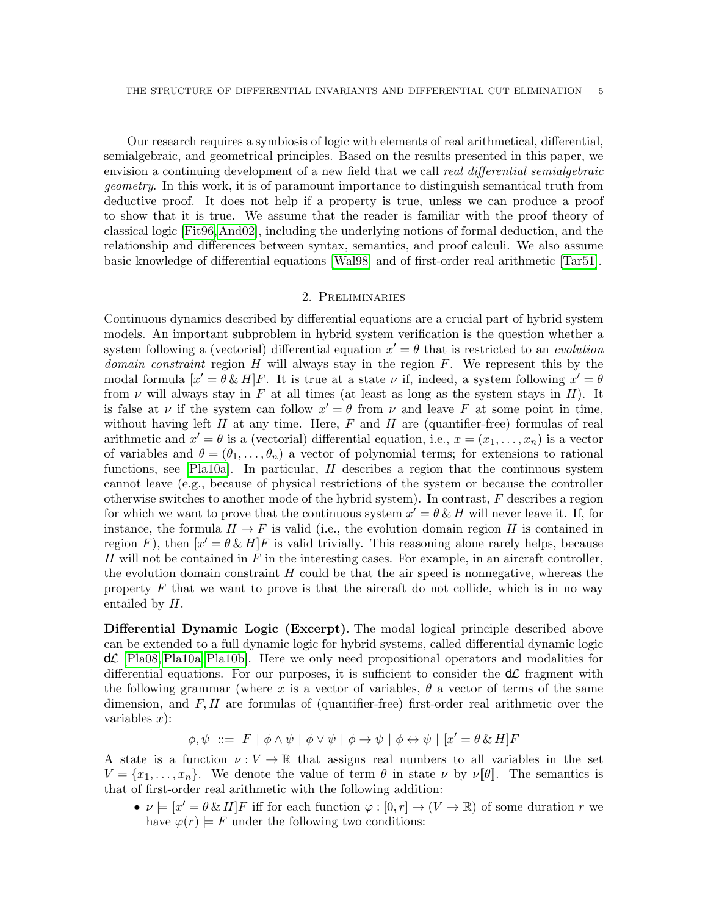Our research requires a symbiosis of logic with elements of real arithmetical, differential, semialgebraic, and geometrical principles. Based on the results presented in this paper, we envision a continuing development of a new field that we call real differential semialgebraic geometry. In this work, it is of paramount importance to distinguish semantical truth from deductive proof. It does not help if a property is true, unless we can produce a proof to show that it is true. We assume that the reader is familiar with the proof theory of classical logic [\[Fit96,](#page-31-6)[And02\]](#page-31-7), including the underlying notions of formal deduction, and the relationship and differences between syntax, semantics, and proof calculi. We also assume basic knowledge of differential equations [\[Wal98\]](#page-33-0) and of first-order real arithmetic [\[Tar51\]](#page-32-3).

# 2. Preliminaries

Continuous dynamics described by differential equations are a crucial part of hybrid system models. An important subproblem in hybrid system verification is the question whether a system following a (vectorial) differential equation  $x' = \theta$  that is restricted to an *evolution domain constraint* region  $H$  will always stay in the region  $F$ . We represent this by the modal formula  $[x' = \theta \& H]F$ . It is true at a state  $\nu$  if, indeed, a system following  $x' = \theta$ from  $\nu$  will always stay in F at all times (at least as long as the system stays in H). It is false at  $\nu$  if the system can follow  $x' = \theta$  from  $\nu$  and leave F at some point in time, without having left H at any time. Here, F and H are (quantifier-free) formulas of real arithmetic and  $x' = \theta$  is a (vectorial) differential equation, i.e.,  $x = (x_1, \ldots, x_n)$  is a vector of variables and  $\theta = (\theta_1, \ldots, \theta_n)$  a vector of polynomial terms; for extensions to rational functions, see [\[Pla10a\]](#page-32-12). In particular,  $H$  describes a region that the continuous system cannot leave (e.g., because of physical restrictions of the system or because the controller otherwise switches to another mode of the hybrid system). In contrast, F describes a region for which we want to prove that the continuous system  $x' = \theta \& H$  will never leave it. If, for instance, the formula  $H \to F$  is valid (i.e., the evolution domain region H is contained in region F), then  $[x' = \theta \& H]F$  is valid trivially. This reasoning alone rarely helps, because  $H$  will not be contained in  $F$  in the interesting cases. For example, in an aircraft controller, the evolution domain constraint  $H$  could be that the air speed is nonnegative, whereas the property  $F$  that we want to prove is that the aircraft do not collide, which is in no way entailed by H.

Differential Dynamic Logic (Excerpt). The modal logical principle described above can be extended to a full dynamic logic for hybrid systems, called differential dynamic logic  $d\mathcal{L}$  [\[Pla08,](#page-32-2) [Pla10a,](#page-32-12) [Pla10b\]](#page-32-18). Here we only need propositional operators and modalities for differential equations. For our purposes, it is sufficient to consider the  $d\mathcal{L}$  fragment with the following grammar (where x is a vector of variables,  $\theta$  a vector of terms of the same dimension, and  $F, H$  are formulas of (quantifier-free) first-order real arithmetic over the variables  $x$ :

 $\phi, \psi \ ::= F \mid \phi \land \psi \mid \phi \lor \psi \mid \phi \rightarrow \psi \mid \phi \leftrightarrow \psi \mid [x' = \theta \& H]F$ 

A state is a function  $\nu: V \to \mathbb{R}$  that assigns real numbers to all variables in the set  $V = \{x_1, \ldots, x_n\}$ . We denote the value of term  $\theta$  in state  $\nu$  by  $\nu[\![\theta]\!]$ . The semantics is that of first-order real arithmetic with the following addition:

•  $\nu \models [x' = \theta \& H]F$  iff for each function  $\varphi : [0, r] \to (V \to \mathbb{R})$  of some duration r we have  $\varphi(r) \models F$  under the following two conditions: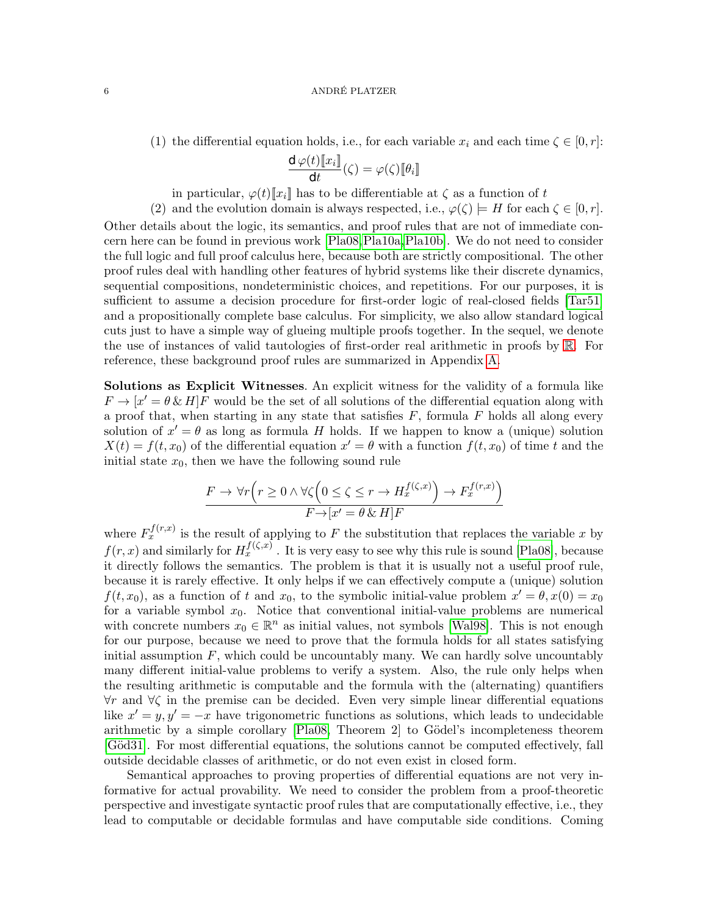# 6 ANDRÉ PLATZER

(1) the differential equation holds, i.e., for each variable  $x_i$  and each time  $\zeta \in [0, r]$ :

$$
\frac{\mathsf{d}\,\varphi(t)[\![x_i]\!]}{\mathsf{d}t}(\zeta)=\varphi(\zeta)[\![\theta_i]\!]
$$

in particular,  $\varphi(t)[\![x_i]\!]$  has to be differentiable at  $\zeta$  as a function of t

(2) and the evolution domain is always respected, i.e.,  $\varphi(\zeta) \models H$  for each  $\zeta \in [0, r]$ . Other details about the logic, its semantics, and proof rules that are not of immediate concern here can be found in previous work [\[Pla08,](#page-32-2)[Pla10a,](#page-32-12)[Pla10b\]](#page-32-18). We do not need to consider the full logic and full proof calculus here, because both are strictly compositional. The other proof rules deal with handling other features of hybrid systems like their discrete dynamics, sequential compositions, nondeterministic choices, and repetitions. For our purposes, it is sufficient to assume a decision procedure for first-order logic of real-closed fields [\[Tar51\]](#page-32-3) and a propositionally complete base calculus. For simplicity, we also allow standard logical cuts just to have a simple way of glueing multiple proofs together. In the sequel, we denote the use of instances of valid tautologies of first-order real arithmetic in proofs by [R](#page-33-1). For reference, these background proof rules are summarized in Appendix [A.](#page-33-2)

Solutions as Explicit Witnesses. An explicit witness for the validity of a formula like  $F \to [x' = \theta \& H]F$  would be the set of all solutions of the differential equation along with a proof that, when starting in any state that satisfies  $F$ , formula  $F$  holds all along every solution of  $x' = \theta$  as long as formula H holds. If we happen to know a (unique) solution  $X(t) = f(t, x_0)$  of the differential equation  $x' = \theta$  with a function  $f(t, x_0)$  of time t and the initial state  $x_0$ , then we have the following sound rule

$$
\frac{F \to \forall r \left( r \ge 0 \land \forall \zeta \left( 0 \le \zeta \le r \to H_x^{f(\zeta, x)} \right) \to F_x^{f(r, x)} \right)}{F \to [x' = \theta \& H]F}
$$

where  $F_x^{f(r,x)}$  is the result of applying to F the substitution that replaces the variable x by  $f(r, x)$  and similarly for  $H_x^{f(\zeta, x)}$  . It is very easy to see why this rule is sound [\[Pla08\]](#page-32-2), because it directly follows the semantics. The problem is that it is usually not a useful proof rule, because it is rarely effective. It only helps if we can effectively compute a (unique) solution  $f(t, x_0)$ , as a function of t and  $x_0$ , to the symbolic initial-value problem  $x' = \theta, x(0) = x_0$ for a variable symbol  $x_0$ . Notice that conventional initial-value problems are numerical with concrete numbers  $x_0 \in \mathbb{R}^n$  as initial values, not symbols [\[Wal98\]](#page-33-0). This is not enough for our purpose, because we need to prove that the formula holds for all states satisfying initial assumption  $F$ , which could be uncountably many. We can hardly solve uncountably many different initial-value problems to verify a system. Also, the rule only helps when the resulting arithmetic is computable and the formula with the (alternating) quantifiers ∀r and ∀ζ in the premise can be decided. Even very simple linear differential equations like  $x' = y, y' = -x$  have trigonometric functions as solutions, which leads to undecidable arithmetic by a simple corollary  $[Pla08, Theorem 2]$  to Gödel's incompleteness theorem [Göd31]. For most differential equations, the solutions cannot be computed effectively, fall outside decidable classes of arithmetic, or do not even exist in closed form.

Semantical approaches to proving properties of differential equations are not very informative for actual provability. We need to consider the problem from a proof-theoretic perspective and investigate syntactic proof rules that are computationally effective, i.e., they lead to computable or decidable formulas and have computable side conditions. Coming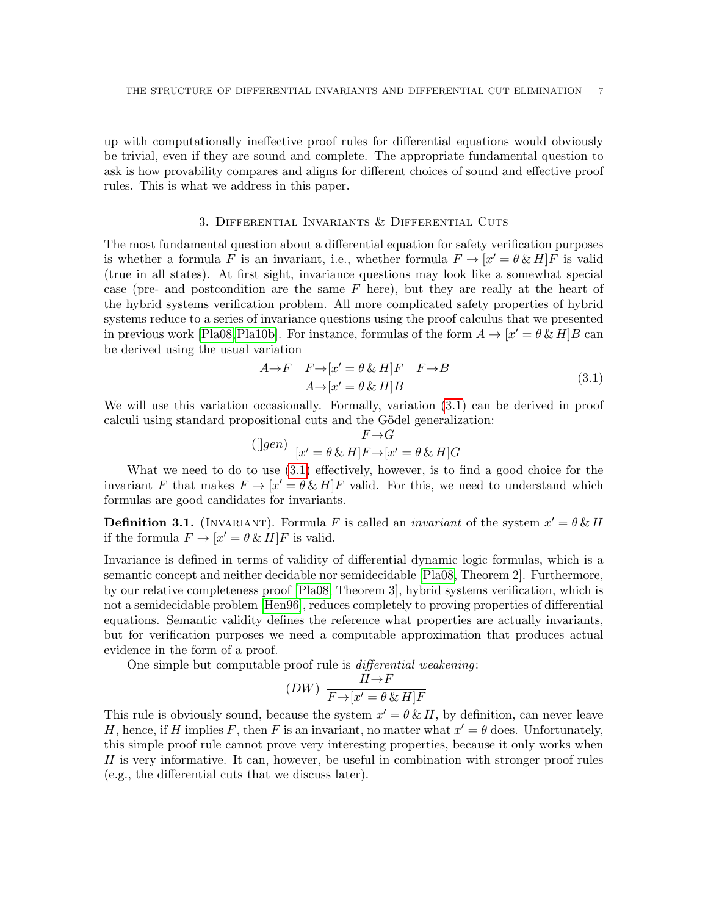up with computationally ineffective proof rules for differential equations would obviously be trivial, even if they are sound and complete. The appropriate fundamental question to ask is how provability compares and aligns for different choices of sound and effective proof rules. This is what we address in this paper.

# 3. Differential Invariants & Differential Cuts

<span id="page-6-3"></span>The most fundamental question about a differential equation for safety verification purposes is whether a formula F is an invariant, i.e., whether formula  $F \to [x' = \theta \& H]F$  is valid (true in all states). At first sight, invariance questions may look like a somewhat special case (pre- and postcondition are the same  $F$  here), but they are really at the heart of the hybrid systems verification problem. All more complicated safety properties of hybrid systems reduce to a series of invariance questions using the proof calculus that we presented in previous work [\[Pla08,](#page-32-2) [Pla10b\]](#page-32-18). For instance, formulas of the form  $A \to [x' = \theta \& H]B$  can be derived using the usual variation

<span id="page-6-0"></span>
$$
\frac{A \to F \quad F \to [x' = \theta \& H]F \quad F \to B}{A \to [x' = \theta \& H]B}
$$
(3.1)

We will use this variation occasionally. Formally, variation [\(3.1\)](#page-6-0) can be derived in proof calculi using standard propositional cuts and the Gödel generalization:

<span id="page-6-2"></span>
$$
(\text{[J}gen) \frac{F \to G}{[x' = \theta \& H]F \to [x' = \theta \& H]G}
$$

What we need to do to use [\(3.1\)](#page-6-0) effectively, however, is to find a good choice for the invariant F that makes  $F \to [x' = \theta \& H]F$  valid. For this, we need to understand which formulas are good candidates for invariants.

**Definition 3.1.** (INVARIANT). Formula F is called an *invariant* of the system  $x' = \theta \& H$ if the formula  $F \to [x' = \theta \& H]F$  is valid.

Invariance is defined in terms of validity of differential dynamic logic formulas, which is a semantic concept and neither decidable nor semidecidable [\[Pla08,](#page-32-2) Theorem 2]. Furthermore, by our relative completeness proof [\[Pla08,](#page-32-2) Theorem 3], hybrid systems verification, which is not a semidecidable problem [\[Hen96\]](#page-32-1), reduces completely to proving properties of differential equations. Semantic validity defines the reference what properties are actually invariants, but for verification purposes we need a computable approximation that produces actual evidence in the form of a proof.

One simple but computable proof rule is differential weakening:

<span id="page-6-1"></span>
$$
(DW) \frac{H\to F}{F\to [x'=\theta\,\&\,H]F}
$$

This rule is obviously sound, because the system  $x' = \theta \& H$ , by definition, can never leave H, hence, if H implies F, then F is an invariant, no matter what  $x' = \theta$  does. Unfortunately, this simple proof rule cannot prove very interesting properties, because it only works when H is very informative. It can, however, be useful in combination with stronger proof rules (e.g., the differential cuts that we discuss later).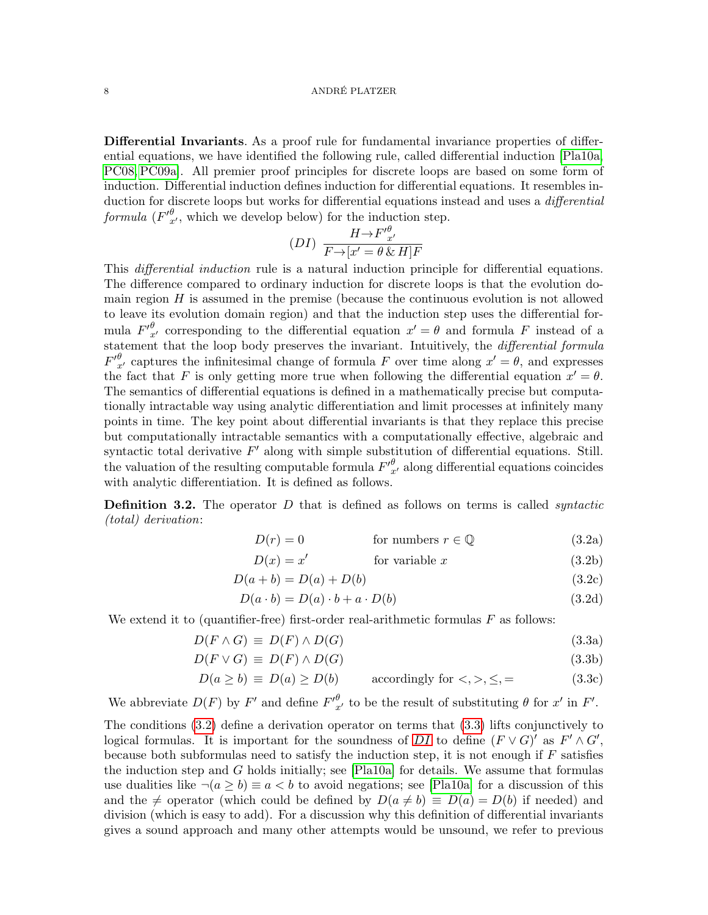Differential Invariants. As a proof rule for fundamental invariance properties of differential equations, we have identified the following rule, called differential induction [\[Pla10a,](#page-32-12) [PC08,](#page-32-13) [PC09a\]](#page-32-14). All premier proof principles for discrete loops are based on some form of induction. Differential induction defines induction for differential equations. It resembles induction for discrete loops but works for differential equations instead and uses a *differential* formula  $(F'^{\theta}_{x'}$ , which we develop below) for the induction step.

<span id="page-7-2"></span>
$$
(DI) \frac{H \rightarrow F'_{x'}^{\theta}}{F \rightarrow [x' = \theta \& H]F}
$$

This *differential induction* rule is a natural induction principle for differential equations. The difference compared to ordinary induction for discrete loops is that the evolution domain region  $H$  is assumed in the premise (because the continuous evolution is not allowed to leave its evolution domain region) and that the induction step uses the differential formula  ${F'}_{x'}^{\theta}$  corresponding to the differential equation  $x' = \theta$  and formula F instead of a statement that the loop body preserves the invariant. Intuitively, the *differential formula*  $F'_{x'}^{\theta}$  captures the infinitesimal change of formula F over time along  $x' = \theta$ , and expresses the fact that F is only getting more true when following the differential equation  $x' = \theta$ . The semantics of differential equations is defined in a mathematically precise but computationally intractable way using analytic differentiation and limit processes at infinitely many points in time. The key point about differential invariants is that they replace this precise but computationally intractable semantics with a computationally effective, algebraic and syntactic total derivative  $F'$  along with simple substitution of differential equations. Still. the valuation of the resulting computable formula  $F'_{x'}^{\theta}$  along differential equations coincides with analytic differentiation. It is defined as follows.

**Definition 3.2.** The operator  $D$  that is defined as follows on terms is called *syntactic* (total) derivation:

<span id="page-7-0"></span>
$$
D(r) = 0
$$
 for numbers  $r \in \mathbb{Q}$  (3.2a)

$$
D(x) = x'
$$
 for variable x (3.2b)

$$
D(a + b) = D(a) + D(b)
$$
 (3.2c)

<span id="page-7-1"></span>
$$
D(a \cdot b) = D(a) \cdot b + a \cdot D(b)
$$
\n(3.2d)

We extend it to (quantifier-free) first-order real-arithmetic formulas  $F$  as follows:

$$
D(F \wedge G) \equiv D(F) \wedge D(G) \tag{3.3a}
$$

$$
D(F \lor G) \equiv D(F) \land D(G) \tag{3.3b}
$$

$$
D(a \ge b) \equiv D(a) \ge D(b) \qquad \text{accordingly for } \langle \rangle, \langle \rangle, \langle \rangle = \tag{3.3c}
$$

We abbreviate  $D(F)$  by  $F'$  and define  $F'_{x'}^{\theta}$  to be the result of substituting  $\theta$  for  $x'$  in  $F'$ .

The conditions [\(3.2\)](#page-7-0) define a derivation operator on terms that [\(3.3\)](#page-7-1) lifts conjunctively to logical formulas. It is important for the soundness of [DI](#page-7-2) to define  $(F \vee G)'$  as  $F' \wedge G'$ , because both subformulas need to satisfy the induction step, it is not enough if  $F$  satisfies the induction step and G holds initially; see  $[Pla10a]$  for details. We assume that formulas use dualities like  $\neg(a \geq b) \equiv a < b$  to avoid negations; see [\[Pla10a\]](#page-32-12) for a discussion of this and the  $\neq$  operator (which could be defined by  $D(a \neq b) \equiv D(a) = D(b)$  if needed) and division (which is easy to add). For a discussion why this definition of differential invariants gives a sound approach and many other attempts would be unsound, we refer to previous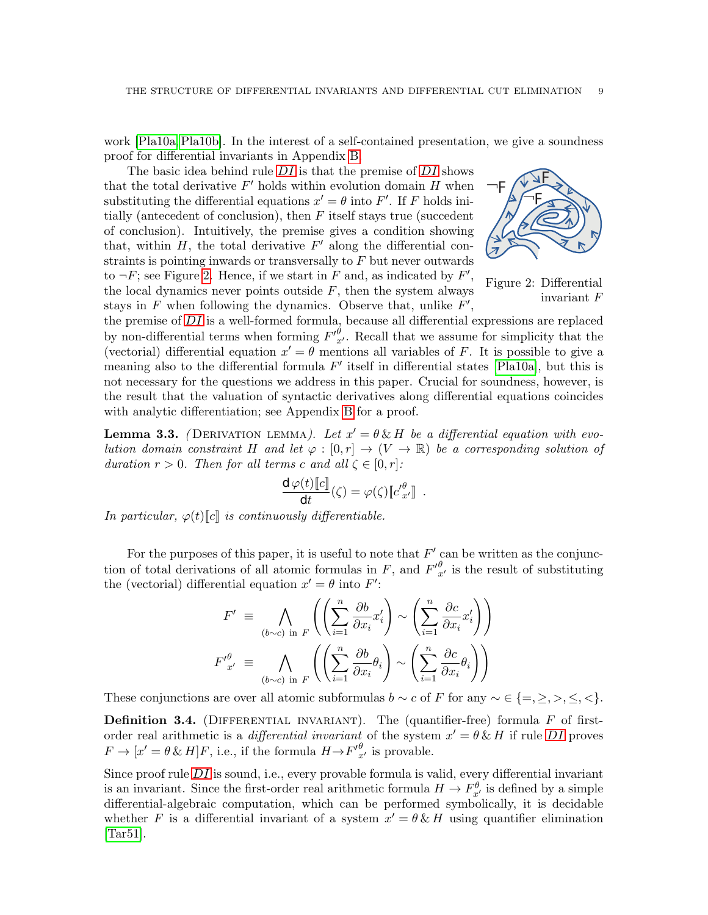work [\[Pla10a,](#page-32-12)[Pla10b\]](#page-32-18). In the interest of a self-contained presentation, we give a soundness proof for differential invariants in Appendix [B.](#page-35-0)

The basic idea behind rule  $DI$  is that the premise of  $DI$  shows that the total derivative  $F'$  holds within evolution domain  $H$  when substituting the differential equations  $x' = \theta$  into F'. If F holds initially (antecedent of conclusion), then  $F$  itself stays true (succedent of conclusion). Intuitively, the premise gives a condition showing that, within  $H$ , the total derivative  $F'$  along the differential constraints is pointing inwards or transversally to  $F$  but never outwards to  $\neg F$ ; see Figure [2.](#page-8-0) Hence, if we start in F and, as indicated by  $F'$ , the local dynamics never points outside  $F$ , then the system always stays in  $F$  when following the dynamics. Observe that, unlike  $F'$ ,

<span id="page-8-0"></span>

Figure 2: Differential invariant F

the premise of  $DI$  is a well-formed formula, because all differential expressions are replaced by non-differential terms when forming  $F'_{x'}^{\theta}$ . Recall that we assume for simplicity that the (vectorial) differential equation  $x' = \theta$  mentions all variables of F. It is possible to give a meaning also to the differential formula  $F'$  itself in differential states [\[Pla10a\]](#page-32-12), but this is not necessary for the questions we address in this paper. Crucial for soundness, however, is the result that the valuation of syntactic derivatives along differential equations coincides with analytic differentiation; see Appendix [B](#page-35-0) for a proof.

<span id="page-8-1"></span>**Lemma 3.3.** (DERIVATION LEMMA). Let  $x' = \theta \& H$  be a differential equation with evolution domain constraint H and let  $\varphi : [0, r] \to (V \to \mathbb{R})$  be a corresponding solution of duration  $r > 0$ . Then for all terms c and all  $\zeta \in [0, r]$ :

$$
\frac{\mathsf{d}\,\varphi(t)[\![c]\!]}{\mathsf{d}t}(\zeta)=\varphi(\zeta)[\![c'_{x'}^{\theta}]\!]\ .
$$

In particular,  $\varphi(t)[c]$  is continuously differentiable.

For the purposes of this paper, it is useful to note that  $F'$  can be written as the conjunction of total derivations of all atomic formulas in F, and  $F'_{x'}^{\theta}$  is the result of substituting the (vectorial) differential equation  $x' = \theta$  into  $F'$ :

$$
F' \equiv \bigwedge_{(b \sim c) \text{ in } F} \left( \left( \sum_{i=1}^{n} \frac{\partial b}{\partial x_i} x'_i \right) \sim \left( \sum_{i=1}^{n} \frac{\partial c}{\partial x_i} x'_i \right) \right)
$$

$$
F'^{\theta}_{x'} \equiv \bigwedge_{(b \sim c) \text{ in } F} \left( \left( \sum_{i=1}^{n} \frac{\partial b}{\partial x_i} \theta_i \right) \sim \left( \sum_{i=1}^{n} \frac{\partial c}{\partial x_i} \theta_i \right) \right)
$$

These conjunctions are over all atomic subformulas  $b \sim c$  of F for any  $\sim \in \{ =, \geq, >, \leq, \leq \}$ .

**Definition 3.4.** (DIFFERENTIAL INVARIANT). The (quantifier-free) formula  $F$  of firstorder real arithmetic is a *differential invariant* of the system  $x' = \theta \& H$  if rule [DI](#page-7-2) proves  $F \to [x' = \theta \& H]F$ , i.e., if the formula  $H \to {F'}^{\theta}_{x'}$  is provable.

Since proof rule  $DI$  is sound, i.e., every provable formula is valid, every differential invariant is an invariant. Since the first-order real arithmetic formula  $H \to F_{x'}^{\theta}$  is defined by a simple differential-algebraic computation, which can be performed symbolically, it is decidable whether F is a differential invariant of a system  $x' = \theta \& H$  using quantifier elimination [\[Tar51\]](#page-32-3).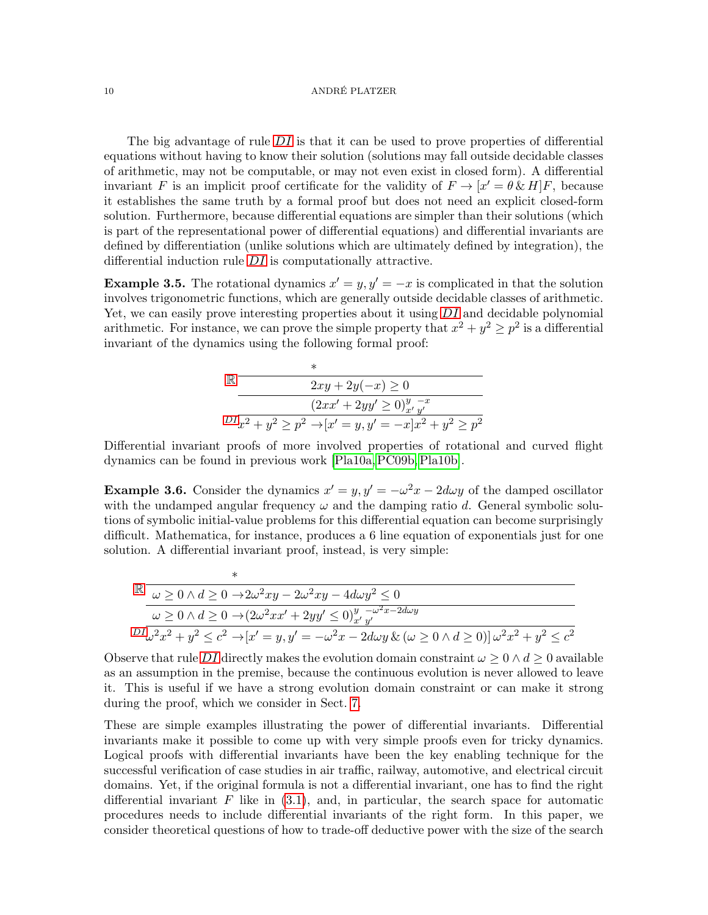### 10 ANDRÉ PLATZER

The big advantage of rule  $DI$  is that it can be used to prove properties of differential equations without having to know their solution (solutions may fall outside decidable classes of arithmetic, may not be computable, or may not even exist in closed form). A differential invariant F is an implicit proof certificate for the validity of  $F \to [x' = \theta \& H]F$ , because it establishes the same truth by a formal proof but does not need an explicit closed-form solution. Furthermore, because differential equations are simpler than their solutions (which is part of the representational power of differential equations) and differential invariants are defined by differentiation (unlike solutions which are ultimately defined by integration), the differential induction rule [DI](#page-7-2) is computationally attractive.

<span id="page-9-0"></span>**Example 3.5.** The rotational dynamics  $x' = y$ ,  $y' = -x$  is complicated in that the solution involves trigonometric functions, which are generally outside decidable classes of arithmetic. Yet, we can easily prove interesting properties about it using  $DI$  and decidable polynomial arithmetic. For instance, we can prove the simple property that  $x^2 + y^2 \geq p^2$  is a differential invariant of the dynamics using the following formal proof:

$$
\mathbb{R} \frac{2xy + 2y(-x) \ge 0}{(2xx' + 2yy' \ge 0)_{x'y'}^{y} - x}
$$
  

$$
DI\overline{x^2 + y^2 \ge p^2 \rightarrow [x' = y, y' = -x]x^2 + y^2 \ge p^2}
$$

∗

Differential invariant proofs of more involved properties of rotational and curved flight dynamics can be found in previous work [\[Pla10a,](#page-32-12)[PC09b,](#page-32-16)[Pla10b\]](#page-32-18).

<span id="page-9-1"></span>**Example 3.6.** Consider the dynamics  $x' = y$ ,  $y' = -\omega^2 x - 2d\omega y$  of the damped oscillator with the undamped angular frequency  $\omega$  and the damping ratio d. General symbolic solutions of symbolic initial-value problems for this differential equation can become surprisingly difficult. Mathematica, for instance, produces a 6 line equation of exponentials just for one solution. A differential invariant proof, instead, is very simple:

$$
\mathbb{R} \frac{\downarrow}{{\omega \geq 0 \land d \geq 0 \to 2{\omega}^2 xy - 2{\omega}^2 xy - 4d{\omega}y^2 \leq 0}}
$$
\n
$$
\frac{{\omega \geq 0 \land d \geq 0 \to 2{\omega}^2 xy - 2{\omega}^2 xy - 4d{\omega}y^2 \leq 0}{\omega \geq 0 \land d \geq 0 \to (2{\omega}^2 xx' + 2yy' \leq 0)_{x'y'}^{y} y^2}
$$
\n
$$
DI_{\omega}^2 x^2 + y^2 \leq c^2 \to [x' = y, y' = -{\omega}^2 x - 2d{\omega}y \& (\omega \geq 0 \land d \geq 0)]{\omega}^2 x^2 + y^2 \leq c^2}
$$

Observe that rule [DI](#page-7-2) directly makes the evolution domain constraint  $\omega > 0 \wedge d > 0$  available as an assumption in the premise, because the continuous evolution is never allowed to leave it. This is useful if we have a strong evolution domain constraint or can make it strong during the proof, which we consider in Sect. [7.](#page-27-0)

These are simple examples illustrating the power of differential invariants. Differential invariants make it possible to come up with very simple proofs even for tricky dynamics. Logical proofs with differential invariants have been the key enabling technique for the successful verification of case studies in air traffic, railway, automotive, and electrical circuit domains. Yet, if the original formula is not a differential invariant, one has to find the right differential invariant  $F$  like in  $(3.1)$ , and, in particular, the search space for automatic procedures needs to include differential invariants of the right form. In this paper, we consider theoretical questions of how to trade-off deductive power with the size of the search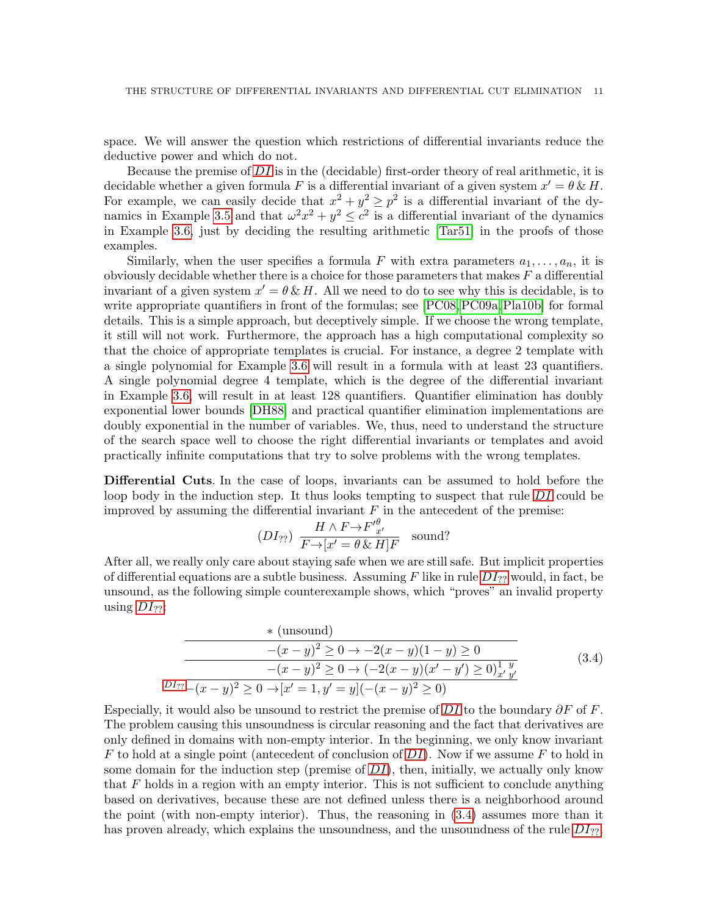space. We will answer the question which restrictions of differential invariants reduce the deductive power and which do not.

Because the premise of  $DI$  is in the (decidable) first-order theory of real arithmetic, it is decidable whether a given formula F is a differential invariant of a given system  $x' = \theta \& H$ . For example, we can easily decide that  $x^2 + y^2 \geq p^2$  is a differential invariant of the dy-namics in Example [3.5](#page-9-0) and that  $\omega^2 x^2 + y^2 \leq c^2$  is a differential invariant of the dynamics in Example [3.6,](#page-9-1) just by deciding the resulting arithmetic [\[Tar51\]](#page-32-3) in the proofs of those examples.

Similarly, when the user specifies a formula F with extra parameters  $a_1, \ldots, a_n$ , it is obviously decidable whether there is a choice for those parameters that makes  $F$  a differential invariant of a given system  $x' = \theta \& H$ . All we need to do to see why this is decidable, is to write appropriate quantifiers in front of the formulas; see [\[PC08,](#page-32-13) [PC09a,](#page-32-14) [Pla10b\]](#page-32-18) for formal details. This is a simple approach, but deceptively simple. If we choose the wrong template, it still will not work. Furthermore, the approach has a high computational complexity so that the choice of appropriate templates is crucial. For instance, a degree 2 template with a single polynomial for Example [3.6](#page-9-1) will result in a formula with at least 23 quantifiers. A single polynomial degree 4 template, which is the degree of the differential invariant in Example [3.6,](#page-9-1) will result in at least 128 quantifiers. Quantifier elimination has doubly exponential lower bounds [\[DH88\]](#page-31-8) and practical quantifier elimination implementations are doubly exponential in the number of variables. We, thus, need to understand the structure of the search space well to choose the right differential invariants or templates and avoid practically infinite computations that try to solve problems with the wrong templates.

Differential Cuts. In the case of loops, invariants can be assumed to hold before the loop body in the induction step. It thus looks tempting to suspect that rule [DI](#page-7-2) could be improved by assuming the differential invariant  $F$  in the antecedent of the premise:

<span id="page-10-0"></span>
$$
(DI_{??}) \frac{H \wedge F \to F'^{\theta}_{x'}}{F \to [x' = \theta \& H]F} \quad \text{sound?}
$$

After all, we really only care about staying safe when we are still safe. But implicit properties of differential equations are a subtle business. Assuming F like in rule  $DI_{??}$  $DI_{??}$  would, in fact, be unsound, as the following simple counterexample shows, which "proves" an invalid property using  $DI_{22}$  $DI_{22}$ :

<span id="page-10-1"></span>\* (unsound)  
\n
$$
-(x - y)^2 \ge 0 \to -2(x - y)(1 - y) \ge 0
$$
\n
$$
-(x - y)^2 \ge 0 \to (-2(x - y)(x' - y') \ge 0)^{1 \ y}_{x' y'}
$$
\n
$$
DI_{??} \overline{-(x - y)^2 \ge 0 \to [x' = 1, y' = y](-(x - y)^2 \ge 0)}
$$
\n(3.4)

Especially, it would also be unsound to restrict the premise of [DI](#page-7-2) to the boundary  $\partial F$  of F. The problem causing this unsoundness is circular reasoning and the fact that derivatives are only defined in domains with non-empty interior. In the beginning, we only know invariant  $F$  to hold at a single point (antecedent of conclusion of  $DI$ ). Now if we assume  $F$  to hold in some domain for the induction step (premise of  $DI$ ), then, initially, we actually only know that  $F$  holds in a region with an empty interior. This is not sufficient to conclude anything based on derivatives, because these are not defined unless there is a neighborhood around the point (with non-empty interior). Thus, the reasoning in [\(3.4\)](#page-10-1) assumes more than it has proven already, which explains the unsoundness, and the unsoundness of the rule  $DI_{22}$  $DI_{22}$ .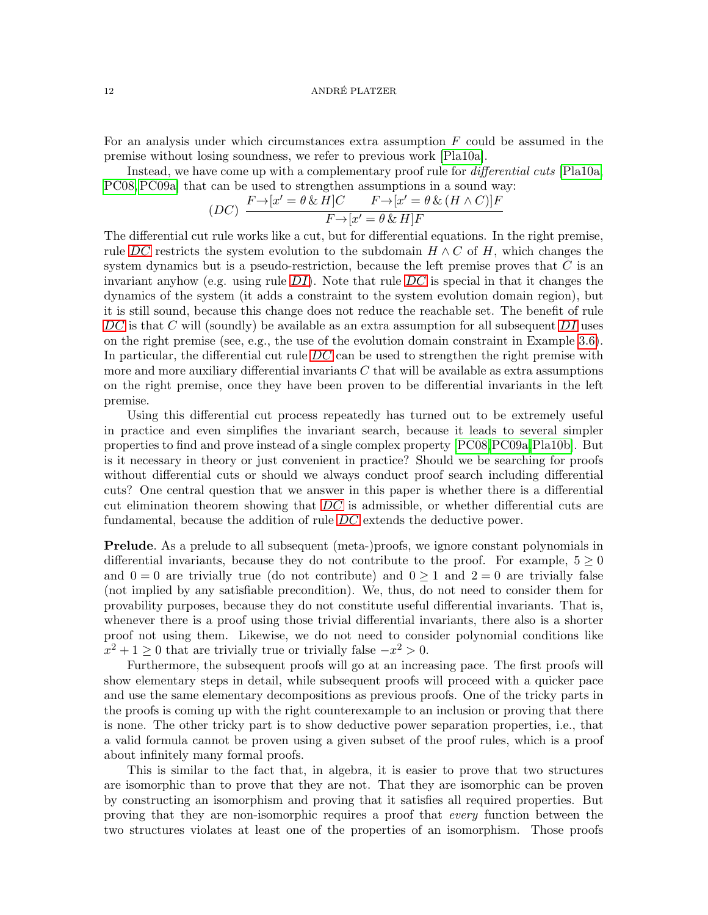For an analysis under which circumstances extra assumption  $F$  could be assumed in the premise without losing soundness, we refer to previous work [\[Pla10a\]](#page-32-12).

Instead, we have come up with a complementary proof rule for *differential cuts* [\[Pla10a,](#page-32-12) [PC08,](#page-32-13)[PC09a\]](#page-32-14) that can be used to strengthen assumptions in a sound way:

<span id="page-11-0"></span>
$$
(DC)\ \frac{F\rightarrow [x'=\theta\,\&\,H]C\qquad F\rightarrow [x'=\theta\,\&\,(H\wedge C)]F}{F\rightarrow [x'=\theta\,\&\,H]F}
$$

The differential cut rule works like a cut, but for differential equations. In the right premise, rule [DC](#page-11-0) restricts the system evolution to the subdomain  $H \wedge C$  of H, which changes the system dynamics but is a pseudo-restriction, because the left premise proves that  $C$  is an invariant anyhow (e.g. using rule  $DI$ ). Note that rule [DC](#page-11-0) is special in that it changes the dynamics of the system (it adds a constraint to the system evolution domain region), but it is still sound, because this change does not reduce the reachable set. The benefit of rule [DC](#page-11-0) is that C will (soundly) be available as an extra assumption for all subsequent [DI](#page-7-2) uses on the right premise (see, e.g., the use of the evolution domain constraint in Example [3.6\)](#page-9-1). In particular, the differential cut rule  $DC$  can be used to strengthen the right premise with more and more auxiliary differential invariants  $C$  that will be available as extra assumptions on the right premise, once they have been proven to be differential invariants in the left premise.

Using this differential cut process repeatedly has turned out to be extremely useful in practice and even simplifies the invariant search, because it leads to several simpler properties to find and prove instead of a single complex property [\[PC08,](#page-32-13)[PC09a,](#page-32-14)[Pla10b\]](#page-32-18). But is it necessary in theory or just convenient in practice? Should we be searching for proofs without differential cuts or should we always conduct proof search including differential cuts? One central question that we answer in this paper is whether there is a differential cut elimination theorem showing that  $DC$  is admissible, or whether differential cuts are fundamental, because the addition of rule [DC](#page-11-0) extends the deductive power.

**Prelude.** As a prelude to all subsequent (meta-)proofs, we ignore constant polynomials in differential invariants, because they do not contribute to the proof. For example,  $5 \geq 0$ and  $0 = 0$  are trivially true (do not contribute) and  $0 \ge 1$  and  $2 = 0$  are trivially false (not implied by any satisfiable precondition). We, thus, do not need to consider them for provability purposes, because they do not constitute useful differential invariants. That is, whenever there is a proof using those trivial differential invariants, there also is a shorter proof not using them. Likewise, we do not need to consider polynomial conditions like  $x^2 + 1 \geq 0$  that are trivially true or trivially false  $-x^2 > 0$ .

Furthermore, the subsequent proofs will go at an increasing pace. The first proofs will show elementary steps in detail, while subsequent proofs will proceed with a quicker pace and use the same elementary decompositions as previous proofs. One of the tricky parts in the proofs is coming up with the right counterexample to an inclusion or proving that there is none. The other tricky part is to show deductive power separation properties, i.e., that a valid formula cannot be proven using a given subset of the proof rules, which is a proof about infinitely many formal proofs.

This is similar to the fact that, in algebra, it is easier to prove that two structures are isomorphic than to prove that they are not. That they are isomorphic can be proven by constructing an isomorphism and proving that it satisfies all required properties. But proving that they are non-isomorphic requires a proof that every function between the two structures violates at least one of the properties of an isomorphism. Those proofs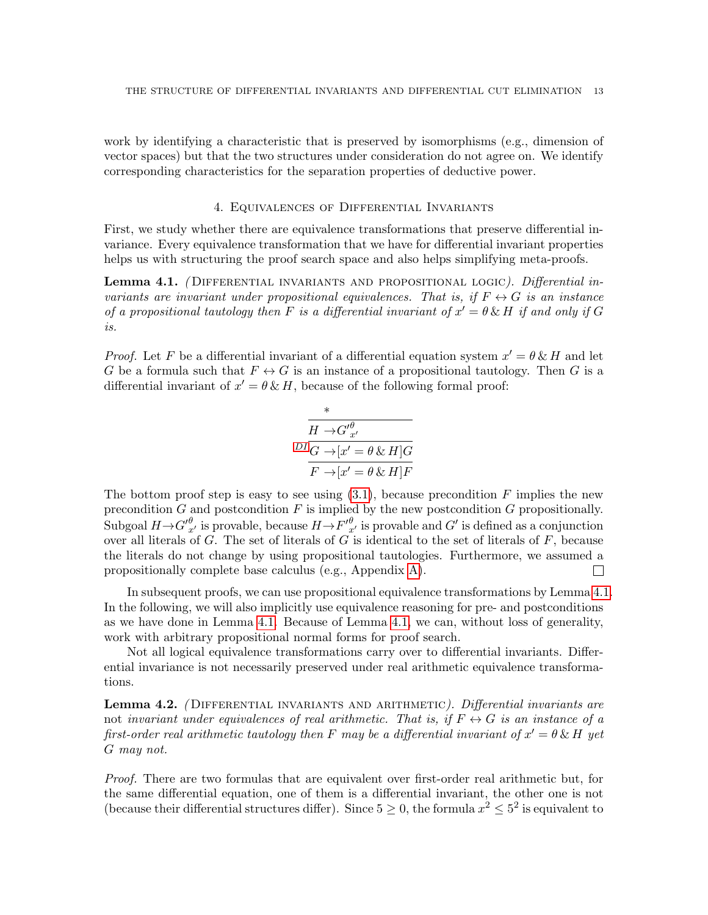work by identifying a characteristic that is preserved by isomorphisms (e.g., dimension of vector spaces) but that the two structures under consideration do not agree on. We identify corresponding characteristics for the separation properties of deductive power.

# 4. Equivalences of Differential Invariants

First, we study whether there are equivalence transformations that preserve differential invariance. Every equivalence transformation that we have for differential invariant properties helps us with structuring the proof search space and also helps simplifying meta-proofs.

<span id="page-12-0"></span>**Lemma 4.1.** (DIFFERENTIAL INVARIANTS AND PROPOSITIONAL LOGIC). Differential invariants are invariant under propositional equivalences. That is, if  $F \leftrightarrow G$  is an instance of a propositional tautology then F is a differential invariant of  $x' = \theta \& H$  if and only if G is.

*Proof.* Let F be a differential invariant of a differential equation system  $x' = \theta \& H$  and let G be a formula such that  $F \leftrightarrow G$  is an instance of a propositional tautology. Then G is a differential invariant of  $x' = \theta \& H$ , because of the following formal proof:

$$
\frac{\pi}{H \to G' \frac{\theta}{x'}} = \frac{1}{2} \frac{1}{2} \frac{1}{2} \frac{1}{2} \frac{1}{2} \frac{1}{2} \frac{1}{2} \frac{1}{2} \frac{1}{2} \frac{1}{2} \frac{1}{2} \frac{1}{2} \frac{1}{2} \frac{1}{2} \frac{1}{2} \frac{1}{2} \frac{1}{2} \frac{1}{2} \frac{1}{2} \frac{1}{2} \frac{1}{2} \frac{1}{2} \frac{1}{2} \frac{1}{2} \frac{1}{2} \frac{1}{2} \frac{1}{2} \frac{1}{2} \frac{1}{2} \frac{1}{2} \frac{1}{2} \frac{1}{2} \frac{1}{2} \frac{1}{2} \frac{1}{2} \frac{1}{2} \frac{1}{2} \frac{1}{2} \frac{1}{2} \frac{1}{2} \frac{1}{2} \frac{1}{2} \frac{1}{2} \frac{1}{2} \frac{1}{2} \frac{1}{2} \frac{1}{2} \frac{1}{2} \frac{1}{2} \frac{1}{2} \frac{1}{2} \frac{1}{2} \frac{1}{2} \frac{1}{2} \frac{1}{2} \frac{1}{2} \frac{1}{2} \frac{1}{2} \frac{1}{2} \frac{1}{2} \frac{1}{2} \frac{1}{2} \frac{1}{2} \frac{1}{2} \frac{1}{2} \frac{1}{2} \frac{1}{2} \frac{1}{2} \frac{1}{2} \frac{1}{2} \frac{1}{2} \frac{1}{2} \frac{1}{2} \frac{1}{2} \frac{1}{2} \frac{1}{2} \frac{1}{2} \frac{1}{2} \frac{1}{2} \frac{1}{2} \frac{1}{2} \frac{1}{2} \frac{1}{2} \frac{1}{2} \frac{1}{2} \frac{1}{2} \frac{1}{2} \frac{1}{2} \frac{1}{2} \frac{1}{2} \frac{1}{2} \frac{1}{2} \frac{1}{2} \frac{1}{2} \frac{1}{2} \frac{1}{2} \frac{1}{2} \frac{1}{2} \frac{1}{2} \frac{1}{2} \frac{1}{2} \frac{1}{2} \frac{1}{2} \frac{1}{2} \frac{1}{2} \frac{1}{2}
$$

The bottom proof step is easy to see using  $(3.1)$ , because precondition F implies the new precondition  $G$  and postcondition  $F$  is implied by the new postcondition  $G$  propositionally. Subgoal  $H \to G'_{x'}^{\theta}$  is provable, because  $H \to F'_{x'}^{\theta}$  is provable and  $G'$  is defined as a conjunction over all literals of  $G$ . The set of literals of  $G$  is identical to the set of literals of  $F$ , because the literals do not change by using propositional tautologies. Furthermore, we assumed a propositionally complete base calculus (e.g., Appendix [A\)](#page-33-2).  $\Box$ 

In subsequent proofs, we can use propositional equivalence transformations by Lemma [4.1.](#page-12-0) In the following, we will also implicitly use equivalence reasoning for pre- and postconditions as we have done in Lemma [4.1.](#page-12-0) Because of Lemma [4.1,](#page-12-0) we can, without loss of generality, work with arbitrary propositional normal forms for proof search.

Not all logical equivalence transformations carry over to differential invariants. Differential invariance is not necessarily preserved under real arithmetic equivalence transformations.

<span id="page-12-1"></span>**Lemma 4.2.** (DIFFERENTIAL INVARIANTS AND ARITHMETIC). Differential invariants are not invariant under equivalences of real arithmetic. That is, if  $F \leftrightarrow G$  is an instance of a first-order real arithmetic tautology then F may be a differential invariant of  $x' = \theta \& H$  yet G may not.

Proof. There are two formulas that are equivalent over first-order real arithmetic but, for the same differential equation, one of them is a differential invariant, the other one is not (because their differential structures differ). Since  $5 \geq 0$ , the formula  $x^2 \leq 5^2$  is equivalent to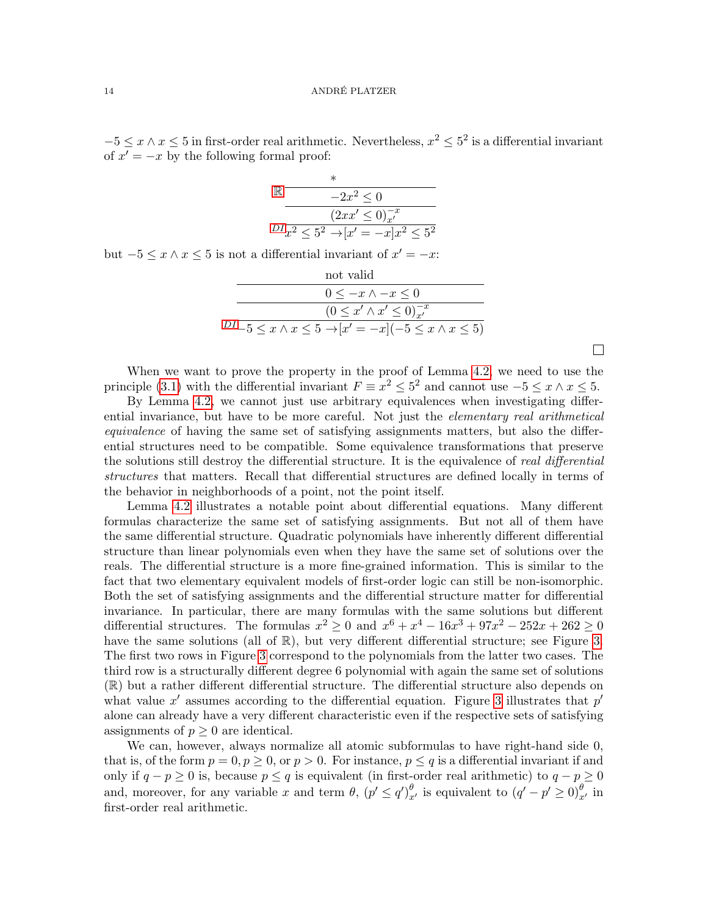$-5 \le x \wedge x \le 5$  in first-order real arithmetic. Nevertheless,  $x^2 \le 5^2$  is a differential invariant of  $x' = -x$  by the following formal proof:

| $-2x^2 \leq 0$                                      |
|-----------------------------------------------------|
| $(2xx' \leq 0)_{x'}^{-x}$                           |
| $^{DI}x^2 \leq 5^2 \rightarrow  x'=-x x^2 \leq 5^2$ |

but  $-5 \leq x \wedge x \leq 5$  is not a differential invariant of  $x' = -x$ :

| not valid                                                                       |
|---------------------------------------------------------------------------------|
| $0 \leq -x \wedge -x \leq 0$                                                    |
| $(0 \leq x' \wedge x' \leq 0)^{-x}_{x'}$                                        |
| $^{DI}-5 \leq x \wedge x \leq 5 \rightarrow  x'=-x (-5 \leq x \wedge x \leq 5)$ |
|                                                                                 |

 $\Box$ 

When we want to prove the property in the proof of Lemma [4.2,](#page-12-1) we need to use the principle [\(3.1\)](#page-6-0) with the differential invariant  $F \equiv x^2 \leq 5^2$  and cannot use  $-5 \leq x \wedge x \leq 5$ .

By Lemma [4.2,](#page-12-1) we cannot just use arbitrary equivalences when investigating differential invariance, but have to be more careful. Not just the *elementary real arithmetical* equivalence of having the same set of satisfying assignments matters, but also the differential structures need to be compatible. Some equivalence transformations that preserve the solutions still destroy the differential structure. It is the equivalence of real differential structures that matters. Recall that differential structures are defined locally in terms of the behavior in neighborhoods of a point, not the point itself.

Lemma [4.2](#page-12-1) illustrates a notable point about differential equations. Many different formulas characterize the same set of satisfying assignments. But not all of them have the same differential structure. Quadratic polynomials have inherently different differential structure than linear polynomials even when they have the same set of solutions over the reals. The differential structure is a more fine-grained information. This is similar to the fact that two elementary equivalent models of first-order logic can still be non-isomorphic. Both the set of satisfying assignments and the differential structure matter for differential invariance. In particular, there are many formulas with the same solutions but different differential structures. The formulas  $x^2 \ge 0$  and  $x^6 + x^4 - 16x^3 + 97x^2 - 252x + 262 \ge 0$ have the same solutions (all of  $\mathbb{R}$ ), but very different differential structure; see Figure [3.](#page-14-0) The first two rows in Figure [3](#page-14-0) correspond to the polynomials from the latter two cases. The third row is a structurally different degree 6 polynomial with again the same set of solutions (R) but a rather different differential structure. The differential structure also depends on what value  $x'$  assumes according to the differential equation. Figure [3](#page-14-0) illustrates that  $p'$ alone can already have a very different characteristic even if the respective sets of satisfying assignments of  $p \geq 0$  are identical.

We can, however, always normalize all atomic subformulas to have right-hand side 0, that is, of the form  $p = 0, p \ge 0$ , or  $p > 0$ . For instance,  $p \le q$  is a differential invariant if and only if  $q - p \ge 0$  is, because  $p \le q$  is equivalent (in first-order real arithmetic) to  $q - p \ge 0$ and, moreover, for any variable x and term  $\theta$ ,  $(p' \leq q')_{x'}^{\theta}$  is equivalent to  $(q' - p' \geq 0)_{x'}^{\theta}$  in first-order real arithmetic.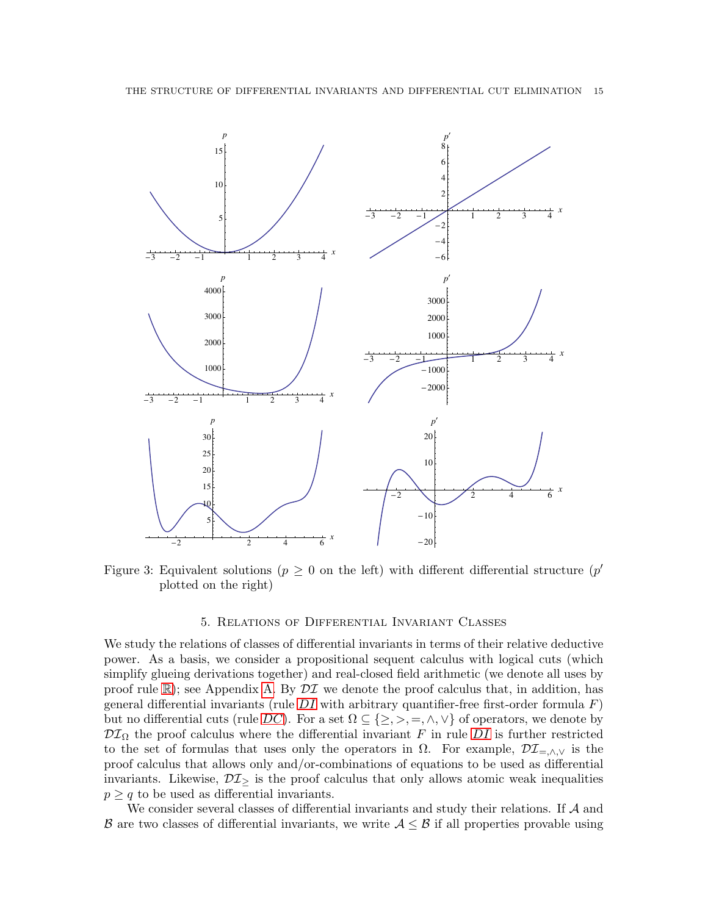

<span id="page-14-0"></span>Figure 3: Equivalent solutions ( $p \geq 0$  on the left) with different differential structure ( $p'$ plotted on the right)

# 5. Relations of Differential Invariant Classes

We study the relations of classes of differential invariants in terms of their relative deductive power. As a basis, we consider a propositional sequent calculus with logical cuts (which simplify glueing derivations together) and real-closed field arithmetic (we denote all uses by proof rule  $\mathbb{R}$  $\mathbb{R}$  $\mathbb{R}$ ); see Appendix [A.](#page-33-2) By  $\mathcal{DI}$  we denote the proof calculus that, in addition, has general differential invariants (rule  $DI$  with arbitrary quantifier-free first-order formula  $F$ ) but no differential cuts (rule [DC](#page-11-0)). For a set  $\Omega \subseteq \{\geq, >, =, \wedge, \vee\}$  of operators, we denote by  $\mathcal{DI}_{\Omega}$  $\mathcal{DI}_{\Omega}$  $\mathcal{DI}_{\Omega}$  the proof calculus where the differential invariant F in rule DI is further restricted to the set of formulas that uses only the operators in  $\Omega$ . For example,  $\mathcal{DI}_{=\wedge,\vee}$  is the proof calculus that allows only and/or-combinations of equations to be used as differential invariants. Likewise,  $\mathcal{DI}_{\geq}$  is the proof calculus that only allows atomic weak inequalities  $p \geq q$  to be used as differential invariants.

We consider several classes of differential invariants and study their relations. If  $A$  and B are two classes of differential invariants, we write  $A \leq B$  if all properties provable using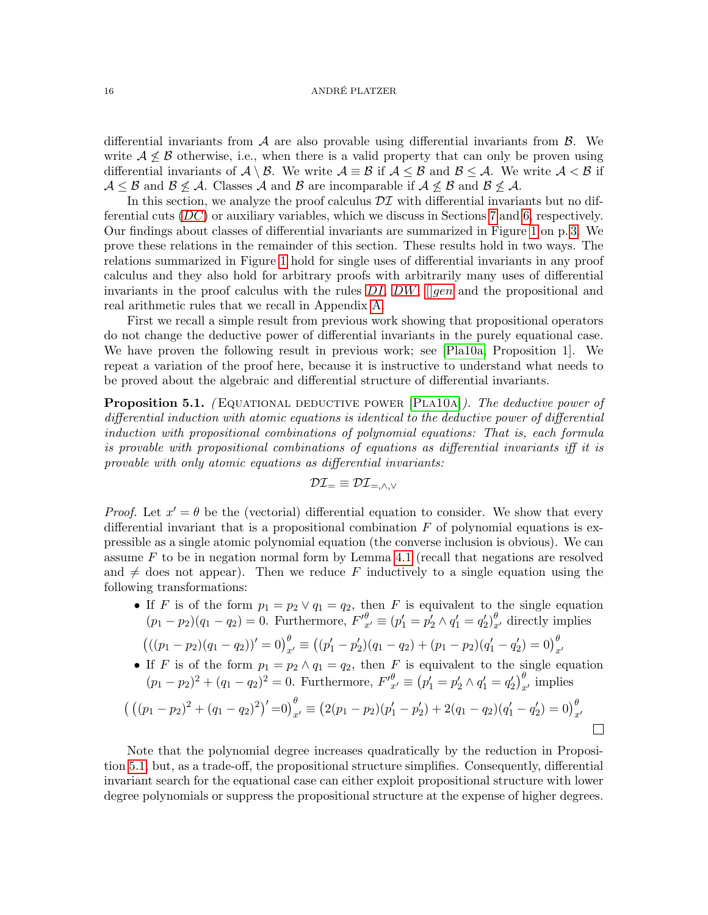#### 16 ANDRÉ PLATZER

differential invariants from  $A$  are also provable using differential invariants from  $B$ . We write  $A \not\leq B$  otherwise, i.e., when there is a valid property that can only be proven using differential invariants of  $\mathcal{A} \setminus \mathcal{B}$ . We write  $\mathcal{A} \equiv \mathcal{B}$  if  $\mathcal{A} \leq \mathcal{B}$  and  $\mathcal{B} \leq \mathcal{A}$ . We write  $\mathcal{A} < \mathcal{B}$  if  $A \leq B$  and  $B \nleq A$ . Classes A and B are incomparable if  $A \nleq B$  and  $B \nleq A$ .

In this section, we analyze the proof calculus  $\mathcal{DI}$  with differential invariants but no differential cuts  $(DC)$  $(DC)$  $(DC)$  or auxiliary variables, which we discuss in Sections [7](#page-27-0) and [6,](#page-23-0) respectively. Our findings about classes of differential invariants are summarized in Figure [1](#page-2-0) on p. [3.](#page-2-0) We prove these relations in the remainder of this section. These results hold in two ways. The relations summarized in Figure [1](#page-2-0) hold for single uses of differential invariants in any proof calculus and they also hold for arbitrary proofs with arbitrarily many uses of differential invariants in the proof calculus with the rules  $DI$ ,  $DW$ ,  $[gen]$  $[gen]$  $[gen]$  and the propositional and real arithmetic rules that we recall in Appendix [A.](#page-33-2)

First we recall a simple result from previous work showing that propositional operators do not change the deductive power of differential invariants in the purely equational case. We have proven the following result in previous work; see [\[Pla10a,](#page-32-12) Proposition 1]. We repeat a variation of the proof here, because it is instructive to understand what needs to be proved about the algebraic and differential structure of differential invariants.

<span id="page-15-0"></span>**Proposition 5.1.** (EQUATIONAL DEDUCTIVE POWER  $[PLA10A]$ ). The deductive power of differential induction with atomic equations is identical to the deductive power of differential induction with propositional combinations of polynomial equations: That is, each formula is provable with propositional combinations of equations as differential invariants iff it is provable with only atomic equations as differential invariants:

$$
\mathcal{DI}_{=}\equiv\mathcal{DI}_{=,\wedge,\vee}
$$

*Proof.* Let  $x' = \theta$  be the (vectorial) differential equation to consider. We show that every differential invariant that is a propositional combination  $F$  of polynomial equations is expressible as a single atomic polynomial equation (the converse inclusion is obvious). We can assume  $F$  to be in negation normal form by Lemma [4.1](#page-12-0) (recall that negations are resolved and  $\neq$  does not appear). Then we reduce F inductively to a single equation using the following transformations:

• If F is of the form  $p_1 = p_2 \vee q_1 = q_2$ , then F is equivalent to the single equation  $(p_1 - p_2)(q_1 - q_2) = 0$ . Furthermore,  $F'_{x'}^{\theta} \equiv (p'_1 = p'_2 \wedge q'_1 = q'_2)_{x'}^{\theta}$  directly implies

$$
(((p_1 - p_2)(q_1 - q_2))' = 0)_{x'}^{\theta} \equiv ((p'_1 - p'_2)(q_1 - q_2) + (p_1 - p_2)(q'_1 - q'_2) = 0)_{x'}^{\theta}
$$

• If F is of the form  $p_1 = p_2 \wedge q_1 = q_2$ , then F is equivalent to the single equation  $(p_1 - p_2)^2 + (q_1 - q_2)^2 = 0$ . Furthermore,  $F'^{\theta}_{x'} \equiv (p'_1 = p'_2 \wedge q'_1 = q'_2)^{\theta}_{x'}$  implies

$$
\left(\left((p_1-p_2)^2+(q_1-q_2)^2\right)'=0\right)_{x'}^{\theta}\equiv\left(2(p_1-p_2)(p_1'-p_2')+2(q_1-q_2)(q_1'-q_2')=0\right)_{x'}^{\theta}
$$

Note that the polynomial degree increases quadratically by the reduction in Proposition [5.1,](#page-15-0) but, as a trade-off, the propositional structure simplifies. Consequently, differential invariant search for the equational case can either exploit propositional structure with lower degree polynomials or suppress the propositional structure at the expense of higher degrees.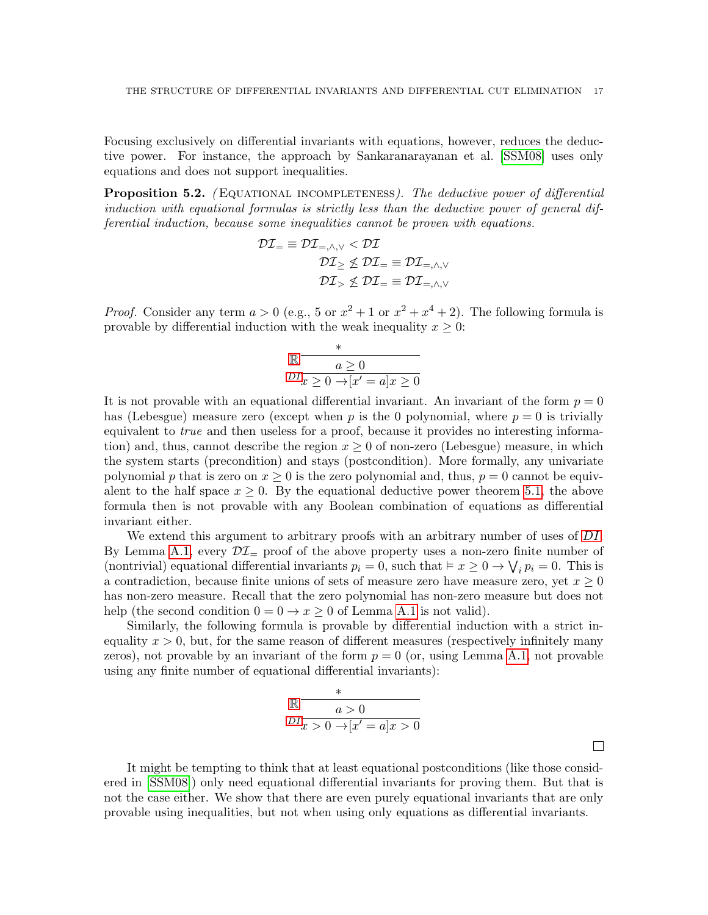Focusing exclusively on differential invariants with equations, however, reduces the deductive power. For instance, the approach by Sankaranarayanan et al. [\[SSM08\]](#page-32-11) uses only equations and does not support inequalities.

<span id="page-16-0"></span>**Proposition 5.2.** (EQUATIONAL INCOMPLETENESS). The deductive power of differential induction with equational formulas is strictly less than the deductive power of general differential induction, because some inequalities cannot be proven with equations.

$$
\begin{aligned} \mathcal{DI}_{=}\equiv \mathcal{DI}_{=,\wedge,\vee}<\mathcal{DI}\\ \mathcal{DI}_{\geq}\nleq \mathcal{DI}_{=}\equiv \mathcal{DI}_{=,\wedge,\vee}\\ \mathcal{DI}_{>}\nleq \mathcal{DI}_{=}\equiv \mathcal{DI}_{=,\wedge,\vee} \end{aligned}
$$

*Proof.* Consider any term  $a > 0$  (e.g., 5 or  $x^2 + 1$  or  $x^2 + x^4 + 2$ ). The following formula is provable by differential induction with the weak inequality  $x \geq 0$ :

$$
\begin{array}{c}\n\mathbb{R} \quad \begin{array}{c}\n \ast \\
 \hline\n a \geq 0 \\
 \hline\nD I_x \geq 0 \rightarrow [x' = a]x \geq 0\n\end{array}\n\end{array}
$$

It is not provable with an equational differential invariant. An invariant of the form  $p = 0$ has (Lebesgue) measure zero (except when p is the 0 polynomial, where  $p = 0$  is trivially equivalent to *true* and then useless for a proof, because it provides no interesting information) and, thus, cannot describe the region  $x > 0$  of non-zero (Lebesgue) measure, in which the system starts (precondition) and stays (postcondition). More formally, any univariate polynomial p that is zero on  $x \geq 0$  is the zero polynomial and, thus,  $p = 0$  cannot be equivalent to the half space  $x \geq 0$ . By the equational deductive power theorem [5.1,](#page-15-0) the above formula then is not provable with any Boolean combination of equations as differential invariant either.

We extend this argument to arbitrary proofs with an arbitrary number of uses of [DI](#page-7-2). By Lemma [A.1,](#page-34-0) every  $\mathcal{DI}_{=}$  proof of the above property uses a non-zero finite number of (nontrivial) equational differential invariants  $p_i = 0$ , such that  $\vdash x \geq 0 \rightarrow \bigvee_i p_i = 0$ . This is a contradiction, because finite unions of sets of measure zero have measure zero, yet  $x \geq 0$ has non-zero measure. Recall that the zero polynomial has non-zero measure but does not help (the second condition  $0 = 0 \rightarrow x > 0$  of Lemma [A.1](#page-34-0) is not valid).

Similarly, the following formula is provable by differential induction with a strict inequality  $x > 0$ , but, for the same reason of different measures (respectively infinitely many zeros), not provable by an invariant of the form  $p = 0$  (or, using Lemma [A.1,](#page-34-0) not provable using any finite number of equational differential invariants):

$$
\mathbb{R} \xrightarrow{\ast} \frac{a > 0}{a > 0}
$$
  

$$
DI_{x > 0 \to [x' = a]x > 0}
$$

It might be tempting to think that at least equational postconditions (like those considered in [\[SSM08\]](#page-32-11)) only need equational differential invariants for proving them. But that is not the case either. We show that there are even purely equational invariants that are only provable using inequalities, but not when using only equations as differential invariants.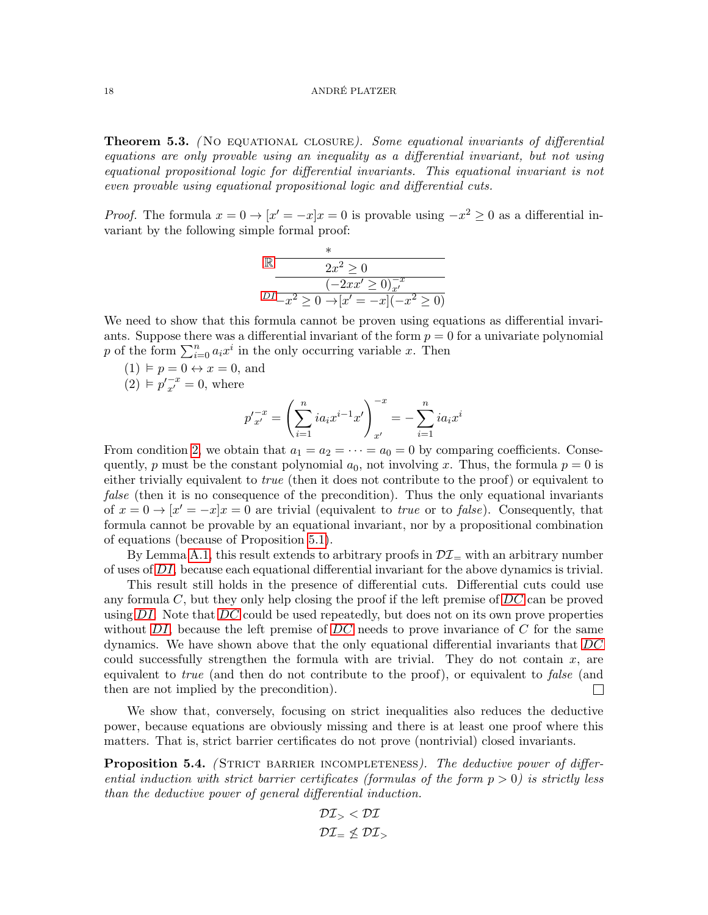**Theorem 5.3.** (No equational closure). Some equational invariants of differential equations are only provable using an inequality as a differential invariant, but not using equational propositional logic for differential invariants. This equational invariant is not even provable using equational propositional logic and differential cuts.

*Proof.* The formula  $x = 0 \rightarrow [x' = -x]x = 0$  is provable using  $-x^2 \ge 0$  as a differential invariant by the following simple formal proof:

$$
\mathbb{R} \frac{\frac{*}{2x^2 \geq 0}}{\frac{(-2xx' \geq 0)_{x'}}{x^2 \geq 0 \to [x' = -x](-x^2 \geq 0)}}
$$

We need to show that this formula cannot be proven using equations as differential invariants. Suppose there was a differential invariant of the form  $p = 0$  for a univariate polynomial p of the form  $\sum_{i=0}^{n} a_i x^i$  in the only occurring variable x. Then

 $(1) \vDash p = 0 \leftrightarrow x = 0$ , and

<span id="page-17-1"></span> $(2) \vDash p'_{x'}^{-x} = 0$ , where

$$
p'_{x'}^{-x} = \left(\sum_{i=1}^{n} ia_i x^{i-1} x'\right)_{x'}^{-x} = -\sum_{i=1}^{n} ia_i x^{i}
$$

From condition [2,](#page-17-1) we obtain that  $a_1 = a_2 = \cdots = a_0 = 0$  by comparing coefficients. Consequently, p must be the constant polynomial  $a_0$ , not involving x. Thus, the formula  $p = 0$  is either trivially equivalent to *true* (then it does not contribute to the proof) or equivalent to false (then it is no consequence of the precondition). Thus the only equational invariants of  $x = 0 \rightarrow [x' = -x]x = 0$  are trivial (equivalent to *true* or to *false*). Consequently, that formula cannot be provable by an equational invariant, nor by a propositional combination of equations (because of Proposition [5.1\)](#page-15-0).

By Lemma [A.1,](#page-34-0) this result extends to arbitrary proofs in  $\mathcal{DI}_{=}$  with an arbitrary number of uses of [DI](#page-7-2), because each equational differential invariant for the above dynamics is trivial.

This result still holds in the presence of differential cuts. Differential cuts could use any formula  $C$ , but they only help closing the proof if the left premise of  $DC$  can be proved using  $DI$ . Note that  $DC$  could be used repeatedly, but does not on its own prove properties without  $DI$ , because the left premise of  $DC$  needs to prove invariance of  $C$  for the same dynamics. We have shown above that the only equational differential invariants that [DC](#page-11-0) could successfully strengthen the formula with are trivial. They do not contain  $x$ , are equivalent to *true* (and then do not contribute to the proof), or equivalent to *false* (and then are not implied by the precondition).  $\Box$ 

We show that, conversely, focusing on strict inequalities also reduces the deductive power, because equations are obviously missing and there is at least one proof where this matters. That is, strict barrier certificates do not prove (nontrivial) closed invariants.

<span id="page-17-0"></span>**Proposition 5.4.** (STRICT BARRIER INCOMPLETENESS). The deductive power of differential induction with strict barrier certificates (formulas of the form  $p > 0$ ) is strictly less than the deductive power of general differential induction.

$$
\begin{aligned} \mathcal{DI}_> &< \mathcal{DI} \\ \mathcal{DI}_= &\nleq \mathcal{DI}_> \end{aligned}
$$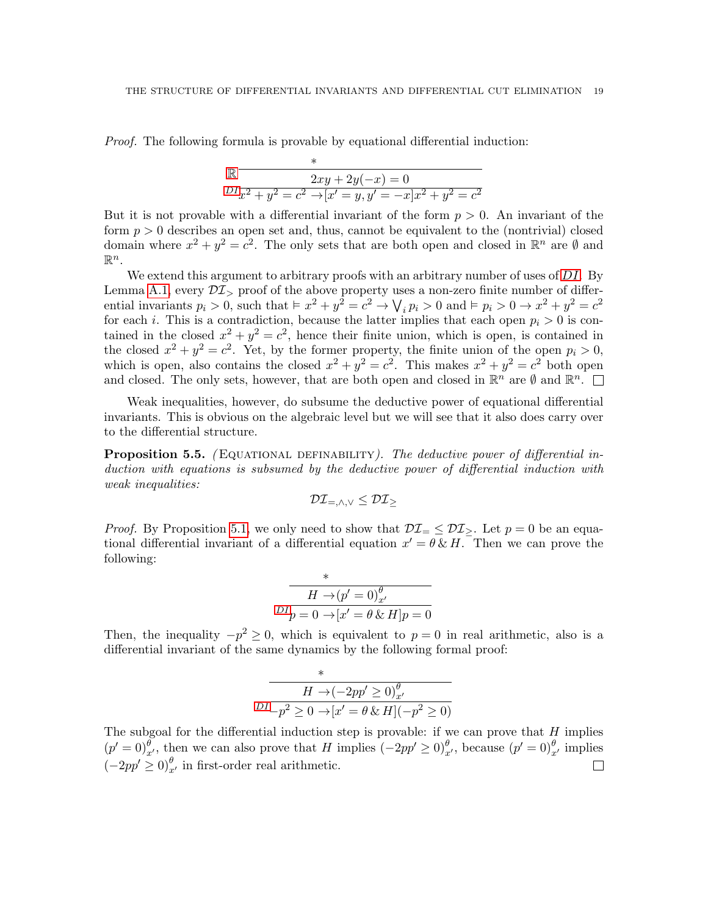Proof. The following formula is provable by equational differential induction:

$$
\mathbb{R} \frac{x}{2xy + 2y(-x) = 0}
$$
  

$$
DI_{x^2} + y^2 = c^2 \rightarrow [x' = y, y' = -x]x^2 + y^2 = c^2
$$

But it is not provable with a differential invariant of the form  $p > 0$ . An invariant of the form  $p > 0$  describes an open set and, thus, cannot be equivalent to the (nontrivial) closed domain where  $x^2 + y^2 = c^2$ . The only sets that are both open and closed in  $\mathbb{R}^n$  are  $\emptyset$  and  $\mathbb{R}^n$ .

We extend this argument to arbitrary proofs with an arbitrary number of uses of  $DI$ . By Lemma [A.1,](#page-34-0) every  $\mathcal{DI}_{>}$  proof of the above property uses a non-zero finite number of differential invariants  $p_i > 0$ , such that  $\frac{1}{2}x^2 + y^2 = c^2 \rightarrow \sqrt{p_i}$   $\frac{1}{2}p_i > 0$  and  $\frac{1}{2}p_i > 0 \rightarrow x^2 + y^2 = c^2$ for each *i*. This is a contradiction, because the latter implies that each open  $p_i > 0$  is contained in the closed  $x^2 + y^2 = c^2$ , hence their finite union, which is open, is contained in the closed  $x^2 + y^2 = c^2$ . Yet, by the former property, the finite union of the open  $p_i > 0$ , which is open, also contains the closed  $x^2 + y^2 = c^2$ . This makes  $x^2 + y^2 = c^2$  both open and closed. The only sets, however, that are both open and closed in  $\mathbb{R}^n$  are  $\emptyset$  and  $\mathbb{R}^n$ .

Weak inequalities, however, do subsume the deductive power of equational differential invariants. This is obvious on the algebraic level but we will see that it also does carry over to the differential structure.

<span id="page-18-0"></span>**Proposition 5.5.** (EQUATIONAL DEFINABILITY). The deductive power of differential induction with equations is subsumed by the deductive power of differential induction with weak inequalities:

$$
\mathcal{DI}_{=,\wedge,\vee} \leq \mathcal{DI}_{\geq}
$$

*Proof.* By Proposition [5.1,](#page-15-0) we only need to show that  $\mathcal{DI}_{=} \leq \mathcal{DI}_{>}$ . Let  $p = 0$  be an equational differential invariant of a differential equation  $x' = \theta \& H$ . Then we can prove the following:

$$
m \frac{\pi \times \rho'}{H \to (p' = 0)_{x'}^{\theta}}
$$
  

$$
D I_{p} = 0 \to [x' = \theta \& H]_{p} = 0
$$

Then, the inequality  $-p^2 \geq 0$ , which is equivalent to  $p = 0$  in real arithmetic, also is a differential invariant of the same dynamics by the following formal proof:

\*
$$
H \rightarrow (-2pp' \ge 0)_{x'}^{\theta}
$$

$$
DI_{-p^2} \ge 0 \rightarrow [x' = \theta \& H](-p^2 \ge 0)
$$

The subgoal for the differential induction step is provable: if we can prove that  $H$  implies  $(p' = 0)_{x'}^{\theta}$ , then we can also prove that H implies  $(-2pp' \ge 0)_{x'}^{\theta}$ , because  $(p' = 0)_{x'}^{\theta}$  implies  $(-2pp' \ge 0)_{x'}^{\theta}$  in first-order real arithmetic.  $\Box$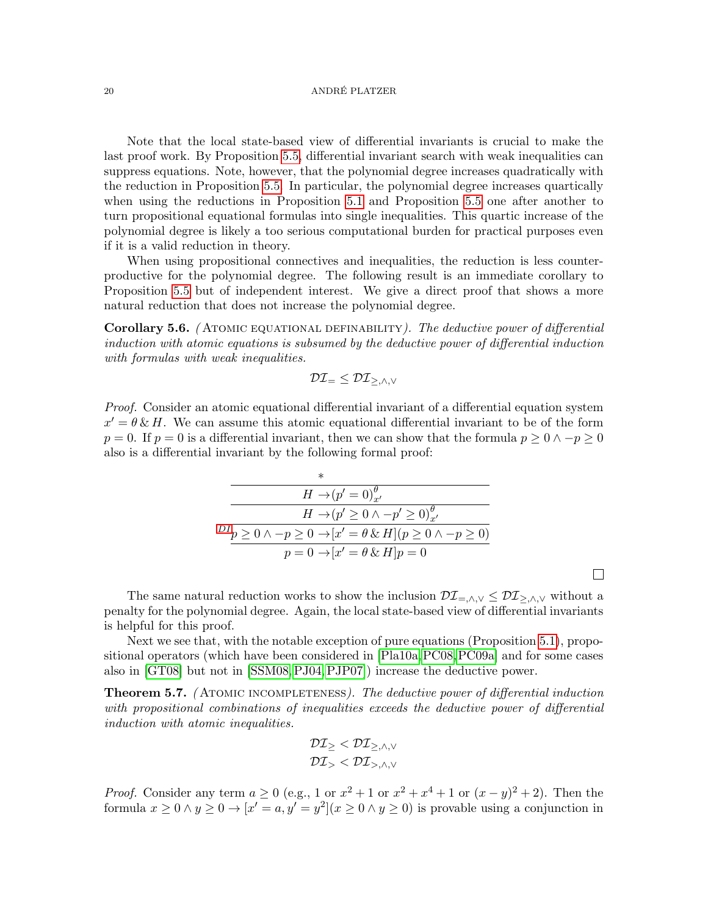Note that the local state-based view of differential invariants is crucial to make the last proof work. By Proposition [5.5,](#page-18-0) differential invariant search with weak inequalities can suppress equations. Note, however, that the polynomial degree increases quadratically with the reduction in Proposition [5.5.](#page-18-0) In particular, the polynomial degree increases quartically when using the reductions in Proposition [5.1](#page-15-0) and Proposition [5.5](#page-18-0) one after another to turn propositional equational formulas into single inequalities. This quartic increase of the polynomial degree is likely a too serious computational burden for practical purposes even if it is a valid reduction in theory.

When using propositional connectives and inequalities, the reduction is less counterproductive for the polynomial degree. The following result is an immediate corollary to Proposition [5.5](#page-18-0) but of independent interest. We give a direct proof that shows a more natural reduction that does not increase the polynomial degree.

Corollary 5.6. (ATOMIC EQUATIONAL DEFINABILITY). The deductive power of differential induction with atomic equations is subsumed by the deductive power of differential induction with formulas with weak inequalities.

$$
\mathcal{DI}_{=}\leq\mathcal{DI}_{\geq,\wedge,\vee}
$$

Proof. Consider an atomic equational differential invariant of a differential equation system  $x' = \theta \& H$ . We can assume this atomic equational differential invariant to be of the form  $p = 0$ . If  $p = 0$  is a differential invariant, then we can show that the formula  $p \geq 0 \land -p \geq 0$ also is a differential invariant by the following formal proof:

| $^\ast$                                                                                |
|----------------------------------------------------------------------------------------|
| $H \rightarrow (p' = 0)_{\pi'}^{\theta}$                                               |
| $H \rightarrow (p' \geq 0 \land -p' \geq 0)_{\pi'}^{\theta}$                           |
| $^{DI}p \ge 0 \wedge -p \ge 0 \rightarrow [x' = \theta \& H](p \ge 0 \wedge -p \ge 0)$ |
| $p = 0 \rightarrow [x' = \theta \& H] p = 0$                                           |
|                                                                                        |

 $\Box$ 

The same natural reduction works to show the inclusion  $\mathcal{DI}_{=,\wedge,\vee} \leq \mathcal{DI}_{\geq,\wedge,\vee}$  without a penalty for the polynomial degree. Again, the local state-based view of differential invariants is helpful for this proof.

Next we see that, with the notable exception of pure equations (Proposition [5.1\)](#page-15-0), propositional operators (which have been considered in [\[Pla10a,](#page-32-12)[PC08,](#page-32-13)[PC09a\]](#page-32-14) and for some cases also in [\[GT08\]](#page-32-15) but not in [\[SSM08,](#page-32-11)[PJ04,](#page-32-9)[PJP07\]](#page-32-10)) increase the deductive power.

<span id="page-19-0"></span>**Theorem 5.7.** (ATOMIC INCOMPLETENESS). The deductive power of differential induction with propositional combinations of inequalities exceeds the deductive power of differential induction with atomic inequalities.

$$
\mathcal{DI}_{\geq} < \mathcal{DI}_{\geq,\wedge,\vee} \\ \mathcal{DI}_{>} < \mathcal{DI}_{>,\wedge,\vee}
$$

*Proof.* Consider any term  $a \ge 0$  (e.g., 1 or  $x^2 + 1$  or  $x^2 + x^4 + 1$  or  $(x - y)^2 + 2$ ). Then the formula  $x \geq 0 \land y \geq 0 \to [x' = a, y' = y^2](x \geq 0 \land y \geq 0)$  is provable using a conjunction in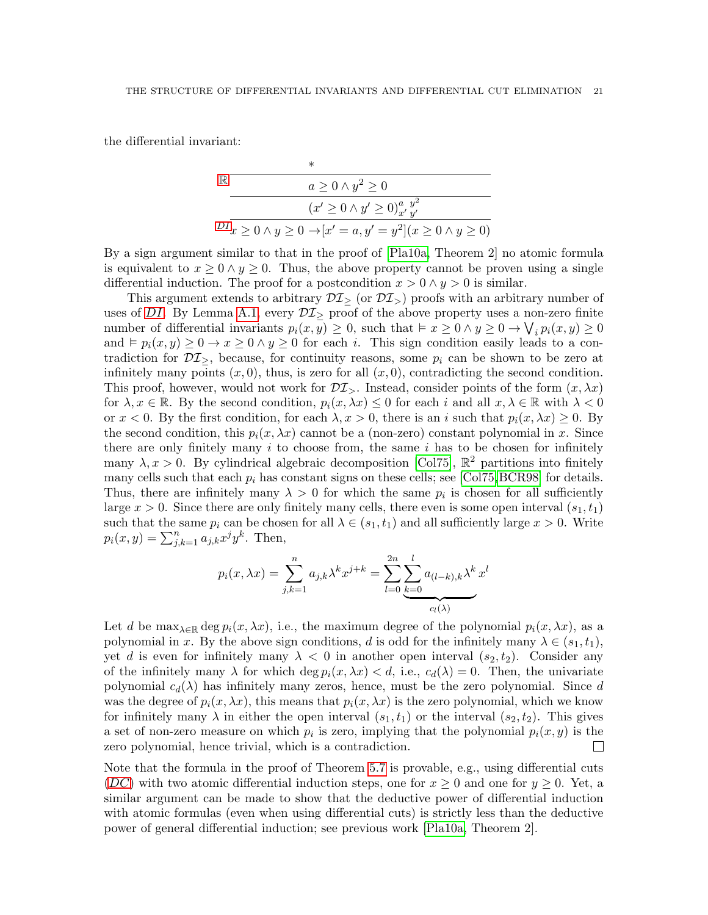the differential invariant:

$$
\mathbb{R} \longrightarrow
$$
  
\n
$$
a \ge 0 \land y^2 \ge 0
$$
  
\n
$$
(x' \ge 0 \land y' \ge 0)^{a, y^2}_{x'y'}
$$
  
\n
$$
DI_{x \ge 0 \land y \ge 0 \to [x' = a, y' = y^2](x \ge 0 \land y \ge 0)
$$

By a sign argument similar to that in the proof of [\[Pla10a,](#page-32-12) Theorem 2] no atomic formula is equivalent to  $x \geq 0 \land y \geq 0$ . Thus, the above property cannot be proven using a single differential induction. The proof for a postcondition  $x > 0 \land y > 0$  is similar.

This argument extends to arbitrary  $\mathcal{DI}_{>}$  (or  $\mathcal{DI}_{>}$ ) proofs with an arbitrary number of uses of [DI](#page-7-2). By Lemma [A.1,](#page-34-0) every  $\mathcal{DI}_{\geq}$  proof of the above property uses a non-zero finite number of differential invariants  $p_i(x, y) \ge 0$ , such that  $\vdash x \ge 0 \land y \ge 0 \to \bigvee_i p_i(x, y) \ge 0$ and  $\models p_i(x, y) \geq 0 \rightarrow x \geq 0 \land y \geq 0$  for each *i*. This sign condition easily leads to a contradiction for  $\mathcal{DI}_{\geq}$ , because, for continuity reasons, some  $p_i$  can be shown to be zero at infinitely many points  $(x, 0)$ , thus, is zero for all  $(x, 0)$ , contradicting the second condition. This proof, however, would not work for  $\mathcal{DI}_{\geq}$ . Instead, consider points of the form  $(x, \lambda x)$ for  $\lambda, x \in \mathbb{R}$ . By the second condition,  $p_i(x, \lambda x) \leq 0$  for each i and all  $x, \lambda \in \mathbb{R}$  with  $\lambda < 0$ or  $x < 0$ . By the first condition, for each  $\lambda, x > 0$ , there is an i such that  $p_i(x, \lambda x) \ge 0$ . By the second condition, this  $p_i(x, \lambda x)$  cannot be a (non-zero) constant polynomial in x. Since there are only finitely many  $i$  to choose from, the same  $i$  has to be chosen for infinitely many  $\lambda, x > 0$ . By cylindrical algebraic decomposition [\[Col75\]](#page-31-9),  $\mathbb{R}^2$  partitions into finitely many cells such that each  $p_i$  has constant signs on these cells; see [\[Col75,](#page-31-9) [BCR98\]](#page-31-10) for details. Thus, there are infinitely many  $\lambda > 0$  for which the same  $p_i$  is chosen for all sufficiently large  $x > 0$ . Since there are only finitely many cells, there even is some open interval  $(s_1, t_1)$ such that the same  $p_i$  can be chosen for all  $\lambda \in (s_1, t_1)$  and all sufficiently large  $x > 0$ . Write  $p_i(x, y) = \sum_{j,k=1}^n a_{j,k} x^j y^k$ . Then,

$$
p_i(x, \lambda x) = \sum_{j,k=1}^n a_{j,k} \lambda^k x^{j+k} = \sum_{l=0}^{2n} \underbrace{\sum_{k=0}^l a_{(l-k),k} \lambda^k x^l}_{c_l(\lambda)}
$$

Let d be  $\max_{\lambda \in \mathbb{R}} \deg p_i(x, \lambda x)$ , i.e., the maximum degree of the polynomial  $p_i(x, \lambda x)$ , as a polynomial in x. By the above sign conditions, d is odd for the infinitely many  $\lambda \in (s_1, t_1)$ , yet d is even for infinitely many  $\lambda < 0$  in another open interval  $(s_2, t_2)$ . Consider any of the infinitely many  $\lambda$  for which deg  $p_i(x, \lambda x) < d$ , i.e.,  $c_d(\lambda) = 0$ . Then, the univariate polynomial  $c_d(\lambda)$  has infinitely many zeros, hence, must be the zero polynomial. Since d was the degree of  $p_i(x, \lambda x)$ , this means that  $p_i(x, \lambda x)$  is the zero polynomial, which we know for infinitely many  $\lambda$  in either the open interval  $(s_1, t_1)$  or the interval  $(s_2, t_2)$ . This gives a set of non-zero measure on which  $p_i$  is zero, implying that the polynomial  $p_i(x, y)$  is the zero polynomial, hence trivial, which is a contradiction.  $\mathbf{L}$ 

Note that the formula in the proof of Theorem [5.7](#page-19-0) is provable, e.g., using differential cuts ([DC](#page-11-0)) with two atomic differential induction steps, one for  $x \geq 0$  and one for  $y \geq 0$ . Yet, a similar argument can be made to show that the deductive power of differential induction with atomic formulas (even when using differential cuts) is strictly less than the deductive power of general differential induction; see previous work [\[Pla10a,](#page-32-12) Theorem 2].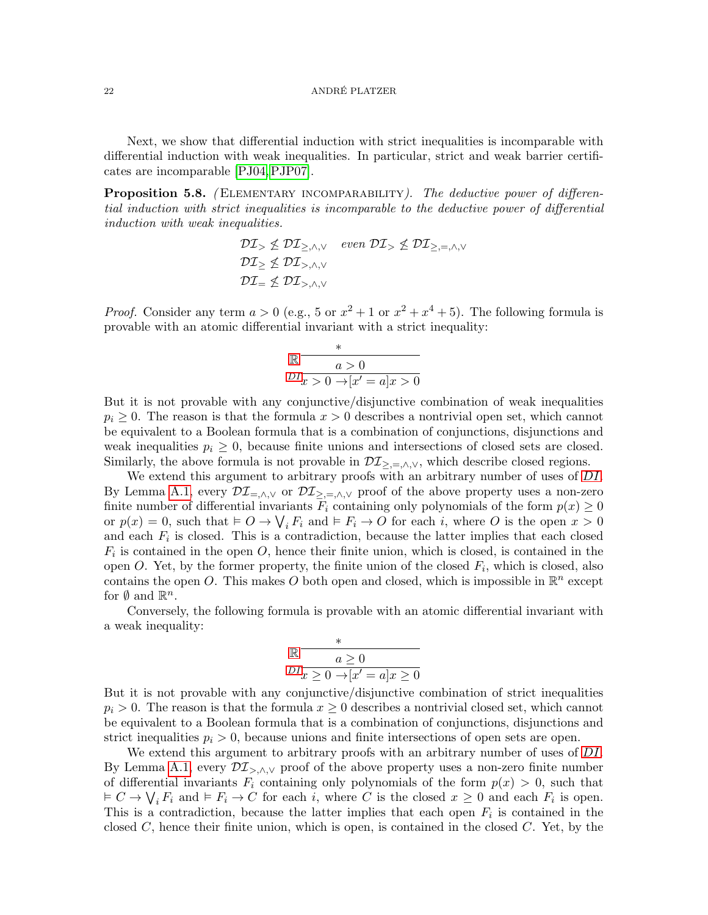Next, we show that differential induction with strict inequalities is incomparable with differential induction with weak inequalities. In particular, strict and weak barrier certificates are incomparable [\[PJ04,](#page-32-9)[PJP07\]](#page-32-10).

<span id="page-21-0"></span>**Proposition 5.8.** (ELEMENTARY INCOMPARABILITY). The deductive power of differential induction with strict inequalities is incomparable to the deductive power of differential induction with weak inequalities.

> $\mathcal{DI}_{\geq \leq \mathcal{DI}_{\geq,\wedge,\vee}}$  even  $\mathcal{DI}_{\geq \leq \mathcal{DI}_{\geq,\equiv,\wedge,\vee}}$  $\mathcal{DI}_{>}\nleq \mathcal{DI}_{>,\wedge,\vee}$  $\mathcal{DI}_{=}\nleq \mathcal{DI}_{\geq \wedge V}$

*Proof.* Consider any term  $a > 0$  (e.g., 5 or  $x^2 + 1$  or  $x^2 + x^4 + 5$ ). The following formula is provable with an atomic differential invariant with a strict inequality:

$$
\mathbb{R} \xrightarrow{\ast} \frac{\ast}{a>0}
$$
  

$$
DI_{x>0 \to [x'=a]x>0}
$$

But it is not provable with any conjunctive/disjunctive combination of weak inequalities  $p_i \geq 0$ . The reason is that the formula  $x > 0$  describes a nontrivial open set, which cannot be equivalent to a Boolean formula that is a combination of conjunctions, disjunctions and weak inequalities  $p_i \geq 0$ , because finite unions and intersections of closed sets are closed. Similarly, the above formula is not provable in  $\mathcal{DI}_{\geq,=,\wedge,\vee}$ , which describe closed regions.

We extend this argument to arbitrary proofs with an arbitrary number of uses of  $DI$ . By Lemma [A.1,](#page-34-0) every  $\mathcal{DI}_{=,\wedge,\vee}$  or  $\mathcal{DI}_{\geq,-\wedge,\vee}$  proof of the above property uses a non-zero finite number of differential invariants  $F_i$  containing only polynomials of the form  $p(x) \geq 0$ or  $p(x) = 0$ , such that  $\vdash O \rightarrow \bigvee_i F_i$  and  $\vdash F_i \rightarrow O$  for each i, where O is the open  $x > 0$ and each  $F_i$  is closed. This is a contradiction, because the latter implies that each closed  $F_i$  is contained in the open  $O$ , hence their finite union, which is closed, is contained in the open O. Yet, by the former property, the finite union of the closed  $F_i$ , which is closed, also contains the open O. This makes O both open and closed, which is impossible in  $\mathbb{R}^n$  except for  $\emptyset$  and  $\mathbb{R}^n$ .

Conversely, the following formula is provable with an atomic differential invariant with a weak inequality:

$$
\mathbb{R} \frac{*}{a \ge 0}
$$
  

$$
DI_{\overline{x} \ge 0 \to [x'=a]x \ge 0}
$$

But it is not provable with any conjunctive/disjunctive combination of strict inequalities  $p_i > 0$ . The reason is that the formula  $x \geq 0$  describes a nontrivial closed set, which cannot be equivalent to a Boolean formula that is a combination of conjunctions, disjunctions and strict inequalities  $p_i > 0$ , because unions and finite intersections of open sets are open.

We extend this argument to arbitrary proofs with an arbitrary number of uses of [DI](#page-7-2). By Lemma [A.1,](#page-34-0) every  $\mathcal{DI}_{\geq,\wedge,\vee}$  proof of the above property uses a non-zero finite number of differential invariants  $F_i$  containing only polynomials of the form  $p(x) > 0$ , such that  $\vdash C \to \bigvee_i F_i$  and  $\vdash F_i \to C$  for each i, where C is the closed  $x \geq 0$  and each  $F_i$  is open. This is a contradiction, because the latter implies that each open  $F_i$  is contained in the closed  $C$ , hence their finite union, which is open, is contained in the closed  $C$ . Yet, by the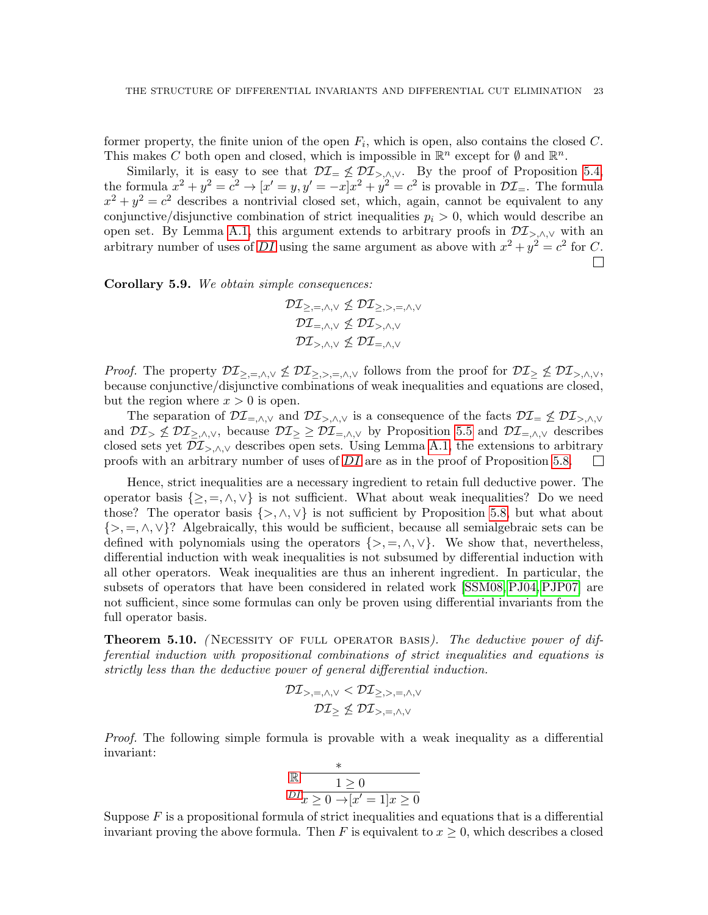former property, the finite union of the open  $F_i$ , which is open, also contains the closed C. This makes C both open and closed, which is impossible in  $\mathbb{R}^n$  except for  $\emptyset$  and  $\mathbb{R}^n$ .

Similarly, it is easy to see that  $\mathcal{DI}_{=}\nleq \mathcal{DI}_{>,\wedge,\vee}$ . By the proof of Proposition [5.4,](#page-17-0) the formula  $x^2 + y^2 = c^2 \rightarrow [x' = y, y' = -x]x^2 + y^2 = c^2$  is provable in  $\mathcal{DI}_{=}$ . The formula  $x^2 + y^2 = c^2$  describes a nontrivial closed set, which, again, cannot be equivalent to any conjunctive/disjunctive combination of strict inequalities  $p_i > 0$ , which would describe an open set. By Lemma [A.1,](#page-34-0) this argument extends to arbitrary proofs in  $\mathcal{DI}_{\geq,\wedge,\vee}$  with an arbitrary number of uses of [DI](#page-7-2) using the same argument as above with  $x^2 + y^2 = c^2$  for C.  $\Box$ 

<span id="page-22-0"></span>Corollary 5.9. We obtain simple consequences:

$$
\mathcal{DI}_{\geq,=,\land,\lor} \nleq \mathcal{DI}_{\geq,>,=,\land,\lor} \\ \mathcal{DI}_{=,\land,\lor} \nleq \mathcal{DI}_{>,\land,\lor} \\ \mathcal{DI}_{>,\land,\lor} \nleq \mathcal{DI}_{=,\land,\lor}
$$

*Proof.* The property  $\mathcal{DI}_{\geq,=,\wedge,\vee} \not\leq \mathcal{DI}_{\geq,>,=,\wedge,\vee}$  follows from the proof for  $\mathcal{DI}_{\geq} \not\leq \mathcal{DI}_{\geq, \wedge,\vee}$ , because conjunctive/disjunctive combinations of weak inequalities and equations are closed, but the region where  $x > 0$  is open.

The separation of  $\mathcal{DI}_{=,\wedge,\vee}$  and  $\mathcal{DI}_{\geq,\wedge,\vee}$  is a consequence of the facts  $\mathcal{DI}_{=}\nleq \mathcal{DI}_{\geq,\wedge,\vee}$ and  $\mathcal{DI}_{\geq} \not\leq \mathcal{DI}_{\geq}$ , because  $\mathcal{DI}_{\geq} \geq \mathcal{DI}_{\equiv,\wedge,\vee}$  by Proposition [5.5](#page-18-0) and  $\mathcal{DI}_{\equiv,\wedge,\vee}$  describes closed sets yet  $\mathcal{DI}_{\geq,\wedge,\vee}$  describes open sets. Using Lemma [A.1,](#page-34-0) the extensions to arbitrary proofs with an arbitrary number of uses of [DI](#page-7-2) are as in the proof of Proposition [5.8.](#page-21-0)  $\Box$ 

Hence, strict inequalities are a necessary ingredient to retain full deductive power. The operator basis  $\{\geq, =, \wedge, \vee\}$  is not sufficient. What about weak inequalities? Do we need those? The operator basis  $\{\geq,\wedge,\vee\}$  is not sufficient by Proposition [5.8,](#page-21-0) but what about  $\{>, =, \wedge, \vee\}$ ? Algebraically, this would be sufficient, because all semialgebraic sets can be defined with polynomials using the operators  $\{>, =, \wedge, \vee\}$ . We show that, nevertheless, differential induction with weak inequalities is not subsumed by differential induction with all other operators. Weak inequalities are thus an inherent ingredient. In particular, the subsets of operators that have been considered in related work [\[SSM08,](#page-32-11) [PJ04,](#page-32-9) [PJP07\]](#page-32-10) are not sufficient, since some formulas can only be proven using differential invariants from the full operator basis.

<span id="page-22-1"></span>Theorem 5.10. (NECESSITY OF FULL OPERATOR BASIS). The deductive power of differential induction with propositional combinations of strict inequalities and equations is strictly less than the deductive power of general differential induction.

$$
\mathcal{DI}_{>,=,\land,\lor} < \mathcal{DI}_{\ge,>,=,\land,\lor} \\ \mathcal{DI}_{\ge} \nleq \mathcal{DI}_{>,=,\land,\lor}
$$

Proof. The following simple formula is provable with a weak inequality as a differential invariant:

$$
\begin{array}{c}\n\mathbb{R} \quad \begin{array}{c}\n \ast \\
 \hline\n 1 \geq 0 \\
 \hline\n D I_x \geq 0 \rightarrow [x'=1] \quad x \geq 0\n\end{array}\n\end{array}
$$

Suppose  $F$  is a propositional formula of strict inequalities and equations that is a differential invariant proving the above formula. Then F is equivalent to  $x \geq 0$ , which describes a closed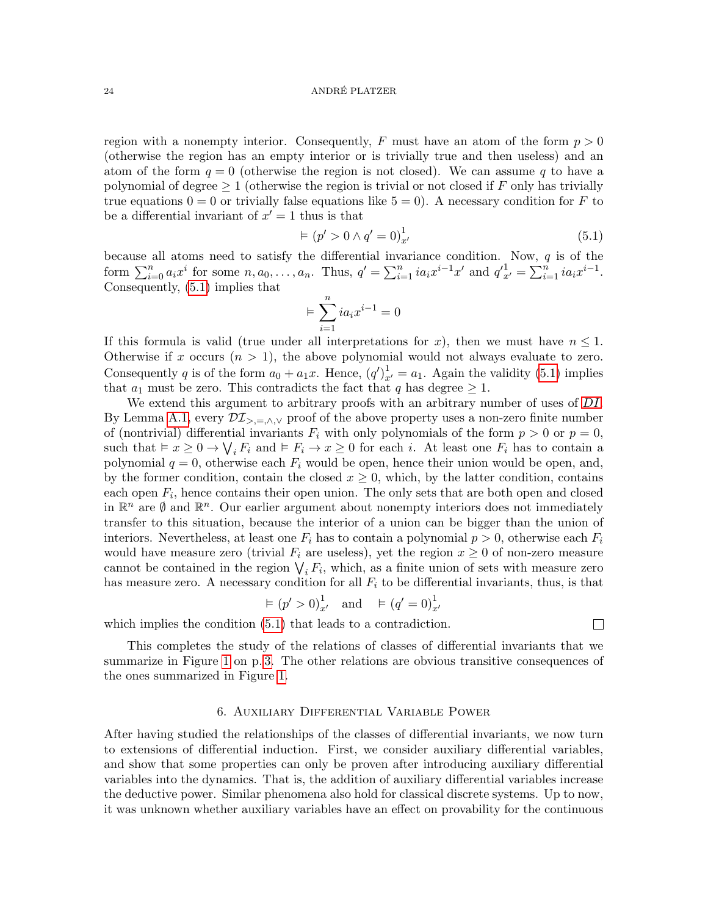region with a nonempty interior. Consequently, F must have an atom of the form  $p > 0$ (otherwise the region has an empty interior or is trivially true and then useless) and an atom of the form  $q = 0$  (otherwise the region is not closed). We can assume q to have a polynomial of degree  $\geq 1$  (otherwise the region is trivial or not closed if F only has trivially true equations  $0 = 0$  or trivially false equations like  $5 = 0$ ). A necessary condition for F to be a differential invariant of  $x' = 1$  thus is that

<span id="page-23-1"></span>
$$
\vDash (p' > 0 \land q' = 0)^{1}_{x'} \tag{5.1}
$$

because all atoms need to satisfy the differential invariance condition. Now, q is of the form  $\sum_{i=0}^{n} a_i x^i$  for some  $n, a_0, \ldots, a_n$ . Thus,  $q' = \sum_{i=1}^{n} i a_i x^{i-1} x'$  and  $q'_{x'}^1 = \sum_{i=1}^{n} i a_i x^{i-1}$ . Consequently, [\(5.1\)](#page-23-1) implies that

$$
\models \sum_{i=1}^n ia_ix^{i-1} = 0
$$

If this formula is valid (true under all interpretations for x), then we must have  $n \leq 1$ . Otherwise if x occurs  $(n > 1)$ , the above polynomial would not always evaluate to zero. Consequently q is of the form  $a_0 + a_1x$ . Hence,  $(q')_{x'}^1 = a_1$ . Again the validity [\(5.1\)](#page-23-1) implies that  $a_1$  must be zero. This contradicts the fact that q has degree  $\geq 1$ .

We extend this argument to arbitrary proofs with an arbitrary number of uses of [DI](#page-7-2). By Lemma [A.1,](#page-34-0) every  $\mathcal{DI}_{\geq,=\wedge,\vee}$  proof of the above property uses a non-zero finite number of (nontrivial) differential invariants  $F_i$  with only polynomials of the form  $p > 0$  or  $p = 0$ , such that  $\vdash x \geq 0 \rightarrow \bigvee_i F_i$  and  $\vdash F_i \rightarrow x \geq 0$  for each i. At least one  $F_i$  has to contain a polynomial  $q = 0$ , otherwise each  $F_i$  would be open, hence their union would be open, and, by the former condition, contain the closed  $x \geq 0$ , which, by the latter condition, contains each open  $F_i$ , hence contains their open union. The only sets that are both open and closed in  $\mathbb{R}^n$  are  $\emptyset$  and  $\mathbb{R}^n$ . Our earlier argument about nonempty interiors does not immediately transfer to this situation, because the interior of a union can be bigger than the union of interiors. Nevertheless, at least one  $F_i$  has to contain a polynomial  $p > 0$ , otherwise each  $F_i$ would have measure zero (trivial  $F_i$  are useless), yet the region  $x \geq 0$  of non-zero measure cannot be contained in the region  $\bigvee_i F_i$ , which, as a finite union of sets with measure zero has measure zero. A necessary condition for all  $F_i$  to be differential invariants, thus, is that

$$
\vDash (p' > 0)^{1}_{x'}
$$
 and  $\vDash (q' = 0)^{1}_{x'}$ 

which implies the condition  $(5.1)$  that leads to a contradiction.

 $\Box$ 

This completes the study of the relations of classes of differential invariants that we summarize in Figure [1](#page-2-0) on p. [3.](#page-2-0) The other relations are obvious transitive consequences of the ones summarized in Figure [1.](#page-2-0)

# 6. Auxiliary Differential Variable Power

<span id="page-23-0"></span>After having studied the relationships of the classes of differential invariants, we now turn to extensions of differential induction. First, we consider auxiliary differential variables, and show that some properties can only be proven after introducing auxiliary differential variables into the dynamics. That is, the addition of auxiliary differential variables increase the deductive power. Similar phenomena also hold for classical discrete systems. Up to now, it was unknown whether auxiliary variables have an effect on provability for the continuous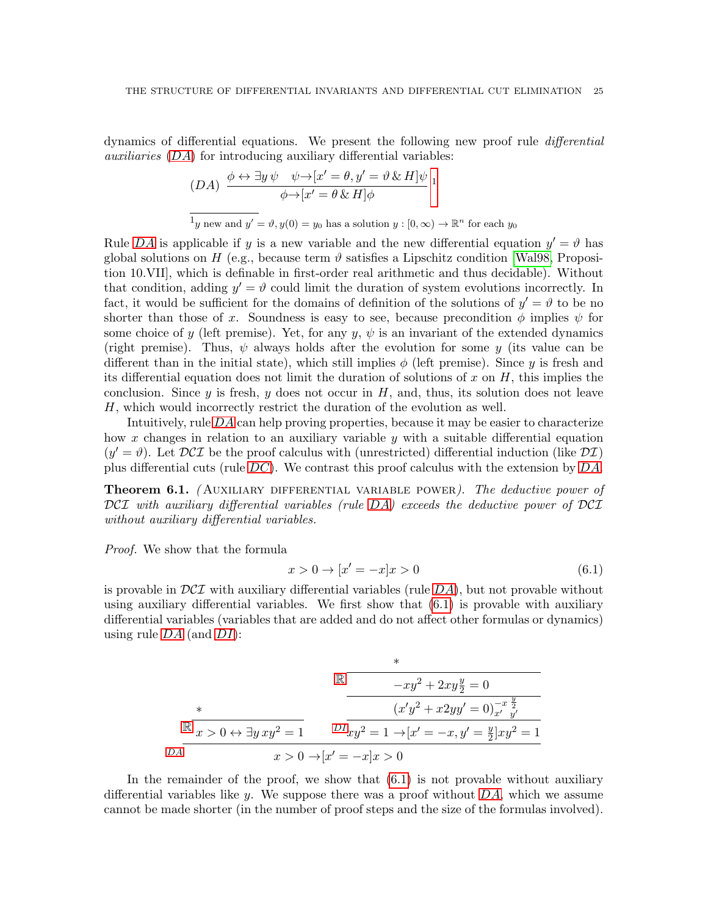dynamics of differential equations. We present the following new proof rule differential auxiliaries ([DA](#page-24-0)) for introducing auxiliary differential variables:

<span id="page-24-1"></span><span id="page-24-0"></span>
$$
(DA) \frac{\phi \leftrightarrow \exists y \,\psi \quad \psi \rightarrow [x' = \theta, y' = \vartheta \,\&\, H]\psi}{\phi \rightarrow [x' = \theta \,\&\, H]\phi} \,1
$$
  

$$
\frac{1}{y \text{ new and } y' = \vartheta, y(0) = y_0 \text{ has a solution } y : [0, \infty) \rightarrow \mathbb{R}^n \text{ for each } y_0
$$

Rule [DA](#page-24-0) is applicable if y is a new variable and the new differential equation  $y' = \vartheta$  has global solutions on H (e.g., because term  $\vartheta$  satisfies a Lipschitz condition [\[Wal98,](#page-33-0) Proposition 10.VII], which is definable in first-order real arithmetic and thus decidable). Without that condition, adding  $y' = \vartheta$  could limit the duration of system evolutions incorrectly. In fact, it would be sufficient for the domains of definition of the solutions of  $y' = \vartheta$  to be no shorter than those of x. Soundness is easy to see, because precondition  $\phi$  implies  $\psi$  for some choice of y (left premise). Yet, for any  $y, \psi$  is an invariant of the extended dynamics (right premise). Thus,  $\psi$  always holds after the evolution for some y (its value can be different than in the initial state), which still implies  $\phi$  (left premise). Since y is fresh and its differential equation does not limit the duration of solutions of x on  $H$ , this implies the conclusion. Since y is fresh, y does not occur in  $H$ , and, thus, its solution does not leave H, which would incorrectly restrict the duration of the evolution as well.

Intuitively, rule [DA](#page-24-0) can help proving properties, because it may be easier to characterize how x changes in relation to an auxiliary variable  $y$  with a suitable differential equation  $(y' = \vartheta)$ . Let  $DCI$  be the proof calculus with (unrestricted) differential induction (like  $DT$ ) plus differential cuts (rule  $DC$ ). We contrast this proof calculus with the extension by  $DA$ .

<span id="page-24-3"></span>**Theorem 6.1.** (AUXILIARY DIFFERENTIAL VARIABLE POWER). The deductive power of DCI with auxiliary differential variables (rule [DA](#page-24-0)) exceeds the deductive power of DCI without auxiliary differential variables.

Proof. We show that the formula

<span id="page-24-2"></span>
$$
x > 0 \to [x' = -x]x > 0 \tag{6.1}
$$

is provable in  $DCT$  with auxiliary differential variables (rule  $DA$ ), but not provable without using auxiliary differential variables. We first show that  $(6.1)$  is provable with auxiliary differential variables (variables that are added and do not affect other formulas or dynamics) using rule  $DA$  (and  $DI$ ):

$$
\mathbb{R} \xrightarrow{\begin{array}{c} * \\ -xy^2 + 2xy\frac{y}{2} = 0 \end{array}} \qquad \qquad \mathbb{R} \xrightarrow{\begin{array}{c} * \\ -xy^2 + 2xy\frac{y}{2} = 0 \end{array}} \qquad \qquad \mathbb{R} \xrightarrow{\begin{array}{c} (x'y^2 + x2yy' = 0)_{x'}^{-x} \frac{y}{y'} \end{array}} \qquad \qquad \mathbb{R} \xrightarrow{\begin{array}{c} x \geq 0 \ \forall x \geq 1 \end{array}} \frac{D I_{xy}^2 = 1 \rightarrow [x' = -x, y' = \frac{y}{2}]xy^2 = 1}{x > 0 \rightarrow [x' = -x]x > 0}
$$

In the remainder of the proof, we show that  $(6.1)$  is not provable without auxiliary differential variables like y. We suppose there was a proof without  $DA$ , which we assume cannot be made shorter (in the number of proof steps and the size of the formulas involved).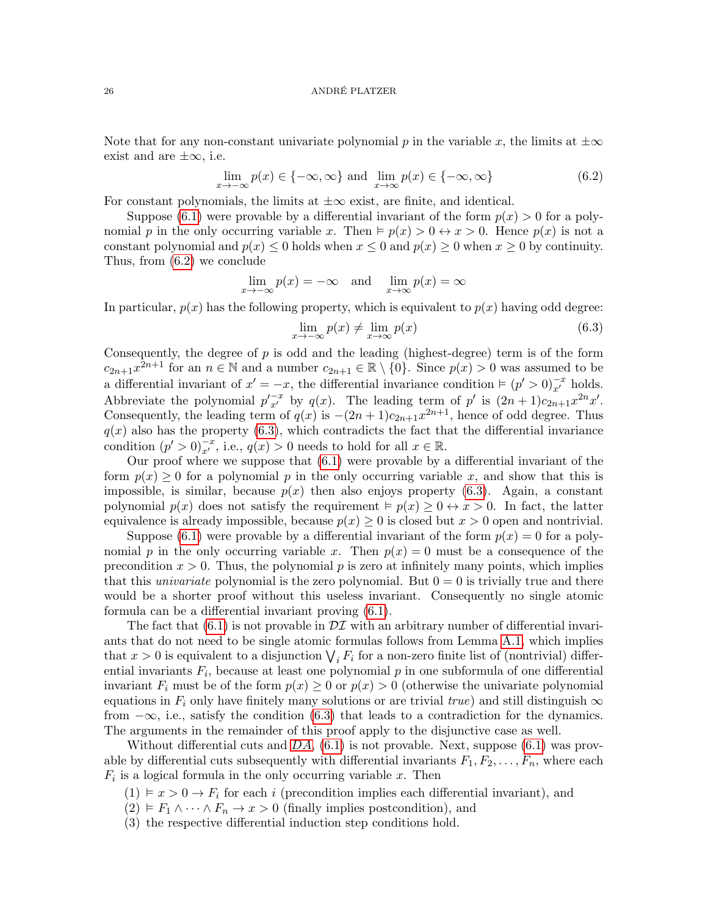Note that for any non-constant univariate polynomial p in the variable x, the limits at  $\pm \infty$ exist and are  $\pm \infty$ , i.e.

<span id="page-25-0"></span>
$$
\lim_{x \to -\infty} p(x) \in \{-\infty, \infty\} \text{ and } \lim_{x \to \infty} p(x) \in \{-\infty, \infty\}
$$
\n(6.2)

For constant polynomials, the limits at  $\pm\infty$  exist, are finite, and identical.

Suppose [\(6.1\)](#page-24-2) were provable by a differential invariant of the form  $p(x) > 0$  for a polynomial p in the only occurring variable x. Then  $\models p(x) > 0 \leftrightarrow x > 0$ . Hence  $p(x)$  is not a constant polynomial and  $p(x) \leq 0$  holds when  $x \leq 0$  and  $p(x) \geq 0$  when  $x \geq 0$  by continuity. Thus, from [\(6.2\)](#page-25-0) we conclude

$$
\lim_{x \to -\infty} p(x) = -\infty \quad \text{and} \quad \lim_{x \to \infty} p(x) = \infty
$$

In particular,  $p(x)$  has the following property, which is equivalent to  $p(x)$  having odd degree:

<span id="page-25-1"></span>
$$
\lim_{x \to -\infty} p(x) \neq \lim_{x \to \infty} p(x) \tag{6.3}
$$

Consequently, the degree of  $p$  is odd and the leading (highest-degree) term is of the form  $c_{2n+1}x^{2n+1}$  for an  $n \in \mathbb{N}$  and a number  $c_{2n+1} \in \mathbb{R} \setminus \{0\}$ . Since  $p(x) > 0$  was assumed to be a differential invariant of  $x' = -x$ , the differential invariance condition  $\models (p' > 0)_{x'}^{-x}$  holds. Abbreviate the polynomial  $p'_{x'}^{-x}$  by  $q(x)$ . The leading term of p' is  $(2n+1)c_{2n+1}x^{2n}x'.$ Consequently, the leading term of  $q(x)$  is  $-(2n+1)c_{2n+1}x^{2n+1}$ , hence of odd degree. Thus  $q(x)$  also has the property [\(6.3\)](#page-25-1), which contradicts the fact that the differential invariance condition  $(p' > 0)_{x'}^{-x}$ , i.e.,  $q(x) > 0$  needs to hold for all  $x \in \mathbb{R}$ .

Our proof where we suppose that  $(6.1)$  were provable by a differential invariant of the form  $p(x) \geq 0$  for a polynomial p in the only occurring variable x, and show that this is impossible, is similar, because  $p(x)$  then also enjoys property [\(6.3\)](#page-25-1). Again, a constant polynomial  $p(x)$  does not satisfy the requirement  $\models p(x) \geq 0 \leftrightarrow x > 0$ . In fact, the latter equivalence is already impossible, because  $p(x) \geq 0$  is closed but  $x > 0$  open and nontrivial.

Suppose [\(6.1\)](#page-24-2) were provable by a differential invariant of the form  $p(x) = 0$  for a polynomial p in the only occurring variable x. Then  $p(x) = 0$  must be a consequence of the precondition  $x > 0$ . Thus, the polynomial p is zero at infinitely many points, which implies that this *univariate* polynomial is the zero polynomial. But  $0 = 0$  is trivially true and there would be a shorter proof without this useless invariant. Consequently no single atomic formula can be a differential invariant proving [\(6.1\)](#page-24-2).

The fact that  $(6.1)$  is not provable in  $\mathcal{DI}$  with an arbitrary number of differential invariants that do not need to be single atomic formulas follows from Lemma [A.1,](#page-34-0) which implies that  $x > 0$  is equivalent to a disjunction  $\bigvee_i F_i$  for a non-zero finite list of (nontrivial) differential invariants  $F_i$ , because at least one polynomial  $p$  in one subformula of one differential invariant  $F_i$  must be of the form  $p(x) \geq 0$  or  $p(x) > 0$  (otherwise the univariate polynomial equations in  $F_i$  only have finitely many solutions or are trivial true) and still distinguish  $\infty$ from  $-\infty$ , i.e., satisfy the condition [\(6.3\)](#page-25-1) that leads to a contradiction for the dynamics. The arguments in the remainder of this proof apply to the disjunctive case as well.

Without differential cuts and  $DA$ ,  $(6.1)$  is not provable. Next, suppose  $(6.1)$  was provable by differential cuts subsequently with differential invariants  $F_1, F_2, \ldots, F_n$ , where each  $F_i$  is a logical formula in the only occurring variable x. Then

- <span id="page-25-2"></span> $(1) \vDash x > 0 \rightarrow F_i$  for each i (precondition implies each differential invariant), and
- <span id="page-25-3"></span> $(2) \models F_1 \land \cdots \land F_n \rightarrow x > 0$  (finally implies postcondition), and
- (3) the respective differential induction step conditions hold.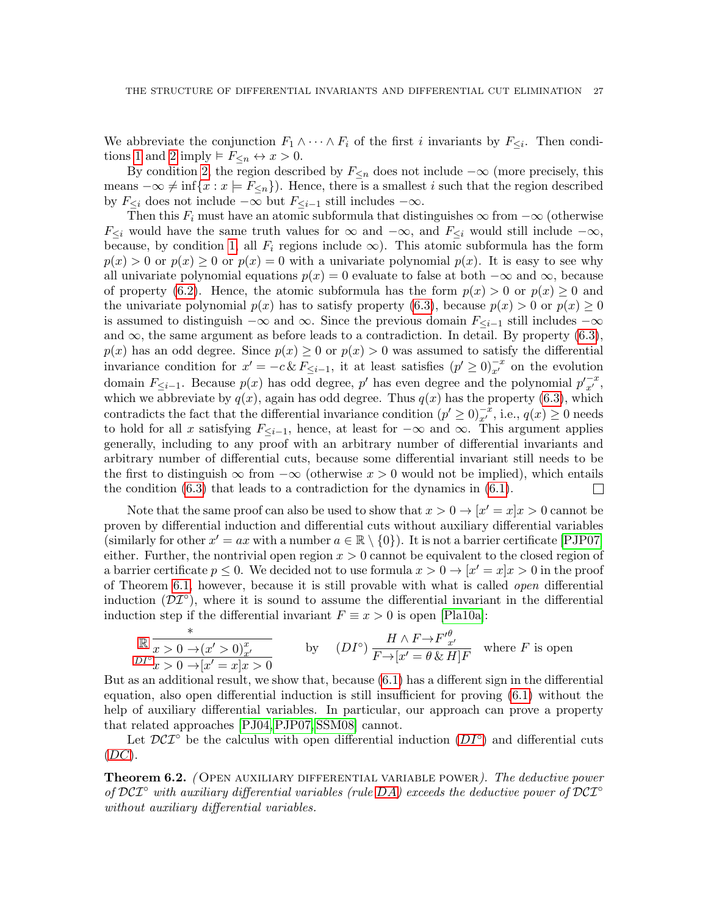We abbreviate the conjunction  $F_1 \wedge \cdots \wedge F_i$  of the first i invariants by  $F_{\leq i}$ . Then condi-tions [1](#page-25-2) and [2](#page-25-3) imply  $\models F_{\leq n} \leftrightarrow x > 0$ .

By condition [2,](#page-25-3) the region described by  $F_{\leq n}$  does not include  $-\infty$  (more precisely, this means  $-\infty \neq \inf\{x : x \models F_{\leq n}\}\)$ . Hence, there is a smallest i such that the region described by  $F_{\leq i}$  does not include  $-\infty$  but  $F_{\leq i-1}$  still includes  $-\infty$ .

Then this  $F_i$  must have an atomic subformula that distinguishes  $\infty$  from  $-\infty$  (otherwise  $F_{\leq i}$  would have the same truth values for  $\infty$  and  $-\infty$ , and  $F_{\leq i}$  would still include  $-\infty$ , because, by condition [1,](#page-25-2) all  $F_i$  regions include  $\infty$ ). This atomic subformula has the form  $p(x) > 0$  or  $p(x) > 0$  or  $p(x) = 0$  with a univariate polynomial  $p(x)$ . It is easy to see why all univariate polynomial equations  $p(x) = 0$  evaluate to false at both  $-\infty$  and  $\infty$ , because of property [\(6.2\)](#page-25-0). Hence, the atomic subformula has the form  $p(x) > 0$  or  $p(x) \ge 0$  and the univariate polynomial  $p(x)$  has to satisfy property [\(6.3\)](#page-25-1), because  $p(x) > 0$  or  $p(x) \ge 0$ is assumed to distinguish  $-\infty$  and  $\infty$ . Since the previous domain  $F_{\leq i-1}$  still includes  $-\infty$ and  $\infty$ , the same argument as before leads to a contradiction. In detail. By property [\(6.3\)](#page-25-1),  $p(x)$  has an odd degree. Since  $p(x) \geq 0$  or  $p(x) > 0$  was assumed to satisfy the differential invariance condition for  $x' = -c \& F_{\leq i-1}$ , it at least satisfies  $(p' \geq 0)_{x'}^{-x}$  on the evolution domain  $F_{\leq i-1}$ . Because  $p(x)$  has odd degree, p' has even degree and the polynomial  $p'_{x'}^{-x}$ , which we abbreviate by  $q(x)$ , again has odd degree. Thus  $q(x)$  has the property [\(6.3\)](#page-25-1), which contradicts the fact that the differential invariance condition  $(p' \ge 0)_{x'}^{-x}$ , i.e.,  $q(x) \ge 0$  needs to hold for all x satisfying  $F_{\leq i-1}$ , hence, at least for  $-\infty$  and  $\infty$ . This argument applies generally, including to any proof with an arbitrary number of differential invariants and arbitrary number of differential cuts, because some differential invariant still needs to be the first to distinguish  $\infty$  from  $-\infty$  (otherwise  $x > 0$  would not be implied), which entails the condition [\(6.3\)](#page-25-1) that leads to a contradiction for the dynamics in [\(6.1\)](#page-24-2).  $\Box$ 

Note that the same proof can also be used to show that  $x > 0 \rightarrow [x' = x]x > 0$  cannot be proven by differential induction and differential cuts without auxiliary differential variables (similarly for other  $x' = ax$  with a number  $a \in \mathbb{R} \setminus \{0\}$ ). It is not a barrier certificate [\[PJP07\]](#page-32-10) either. Further, the nontrivial open region  $x > 0$  cannot be equivalent to the closed region of a barrier certificate  $p \leq 0$ . We decided not to use formula  $x > 0 \rightarrow |x' = x|x| > 0$  in the proof of Theorem [6.1,](#page-24-3) however, because it is still provable with what is called open differential induction  $(\mathcal{DI}^{\circ})$ , where it is sound to assume the differential invariant in the differential induction step if the differential invariant  $F \equiv x > 0$  is open [\[Pla10a\]](#page-32-12):

<span id="page-26-0"></span>
$$
\begin{array}{ll}\n\mathbb{R} \xrightarrow{x} & \xrightarrow{x} 0 \to (x' > 0) \frac{x}{x'} \\
\text{by} & \text{(} D I^{\circ}) \xrightarrow{H \land F \to F' \frac{\theta}{x'}} \\
\text{by} & \text{(} D I^{\circ}) \xrightarrow{H \land F \to F' \frac{\theta}{x'}} \\
\text{where } F \text{ is open}\n\end{array}
$$

But as an additional result, we show that, because [\(6.1\)](#page-24-2) has a different sign in the differential equation, also open differential induction is still insufficient for proving [\(6.1\)](#page-24-2) without the help of auxiliary differential variables. In particular, our approach can prove a property that related approaches [\[PJ04,](#page-32-9)[PJP07,](#page-32-10) [SSM08\]](#page-32-11) cannot.

Let  $\mathcal{D}\mathcal{C}\mathcal{I}^{\circ}$  be the calculus with open differential induction  $(DI^{\circ})$  $(DI^{\circ})$  $(DI^{\circ})$  and differential cuts  $(DC).$  $(DC).$  $(DC).$ 

**Theorem 6.2.** (OPEN AUXILIARY DIFFERENTIAL VARIABLE POWER). The deductive power of  $DCT^{\circ}$  with auxiliary differential variables (rule [DA](#page-24-0)) exceeds the deductive power of  $DCT^{\circ}$ without auxiliary differential variables.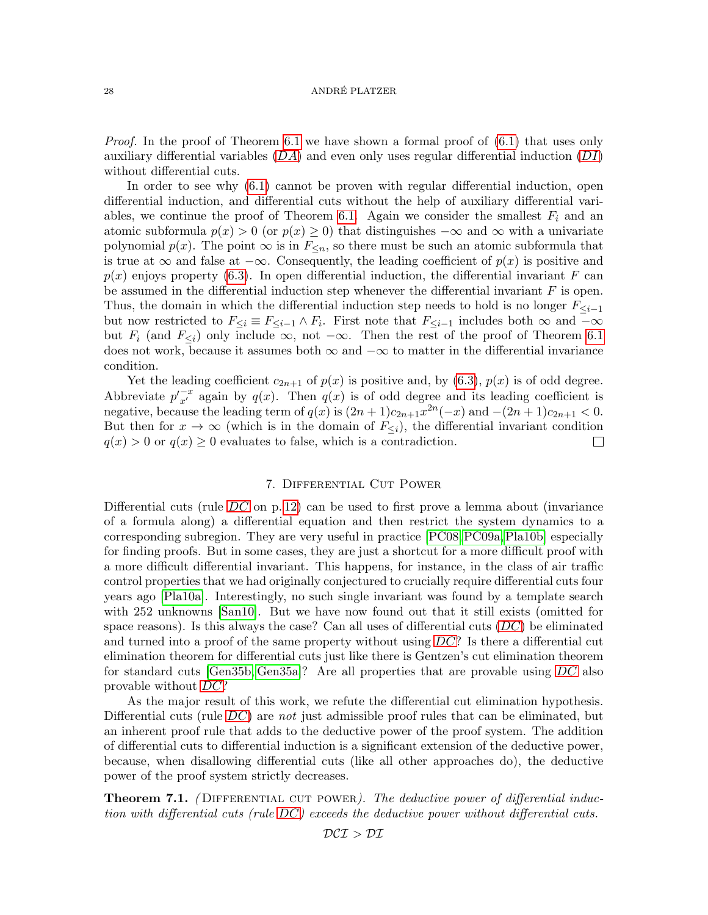*Proof.* In the proof of Theorem [6.1](#page-24-3) we have shown a formal proof of  $(6.1)$  that uses only auxiliary differential variables  $(DA)$  $(DA)$  $(DA)$  and even only uses regular differential induction  $(DI)$  $(DI)$  $(DI)$ without differential cuts.

In order to see why [\(6.1\)](#page-24-2) cannot be proven with regular differential induction, open differential induction, and differential cuts without the help of auxiliary differential vari-ables, we continue the proof of Theorem [6.1.](#page-24-3) Again we consider the smallest  $F_i$  and an atomic subformula  $p(x) > 0$  (or  $p(x) \ge 0$ ) that distinguishes  $-\infty$  and  $\infty$  with a univariate polynomial  $p(x)$ . The point  $\infty$  is in  $F_{\leq n}$ , so there must be such an atomic subformula that is true at  $\infty$  and false at  $-\infty$ . Consequently, the leading coefficient of  $p(x)$  is positive and  $p(x)$  enjoys property [\(6.3\)](#page-25-1). In open differential induction, the differential invariant F can be assumed in the differential induction step whenever the differential invariant  $F$  is open. Thus, the domain in which the differential induction step needs to hold is no longer  $F_{\leq i-1}$ but now restricted to  $F_{\leq i} \equiv F_{\leq i-1} \wedge F_i$ . First note that  $F_{\leq i-1}$  includes both  $\infty$  and  $-\infty$ but  $F_i$  (and  $F_{\leq i}$ ) only include  $\infty$ , not  $-\infty$ . Then the rest of the proof of Theorem [6.1](#page-24-3) does not work, because it assumes both  $\infty$  and  $-\infty$  to matter in the differential invariance condition.

Yet the leading coefficient  $c_{2n+1}$  of  $p(x)$  is positive and, by  $(6.3)$ ,  $p(x)$  is of odd degree. Abbreviate  $p'_{x'}^{-x}$  again by  $q(x)$ . Then  $q(x)$  is of odd degree and its leading coefficient is negative, because the leading term of  $q(x)$  is  $(2n+1)c_{2n+1}x^{2n}(-x)$  and  $-(2n+1)c_{2n+1} < 0$ . But then for  $x \to \infty$  (which is in the domain of  $F_{\leq i}$ ), the differential invariant condition  $q(x) > 0$  or  $q(x) \geq 0$  evaluates to false, which is a contradiction.  $\Box$ 

# 7. Differential Cut Power

<span id="page-27-0"></span>Differential cuts (rule  $DC$  on p. [12\)](#page-11-0) can be used to first prove a lemma about (invariance of a formula along) a differential equation and then restrict the system dynamics to a corresponding subregion. They are very useful in practice [\[PC08,](#page-32-13)[PC09a,](#page-32-14)[Pla10b\]](#page-32-18) especially for finding proofs. But in some cases, they are just a shortcut for a more difficult proof with a more difficult differential invariant. This happens, for instance, in the class of air traffic control properties that we had originally conjectured to crucially require differential cuts four years ago [\[Pla10a\]](#page-32-12). Interestingly, no such single invariant was found by a template search with 252 unknowns [\[San10\]](#page-32-23). But we have now found out that it still exists (omitted for space reasons). Is this always the case? Can all uses of differential cuts  $(DC)$  $(DC)$  $(DC)$  be eliminated and turned into a proof of the same property without using  $DC$ ? Is there a differential cut elimination theorem for differential cuts just like there is Gentzen's cut elimination theorem for standard cuts [\[Gen35b,](#page-32-21) [Gen35a\]](#page-32-20)? Are all properties that are provable using [DC](#page-11-0) also provable without [DC](#page-11-0)?

As the major result of this work, we refute the differential cut elimination hypothesis. Differential cuts (rule [DC](#page-11-0)) are not just admissible proof rules that can be eliminated, but an inherent proof rule that adds to the deductive power of the proof system. The addition of differential cuts to differential induction is a significant extension of the deductive power, because, when disallowing differential cuts (like all other approaches do), the deductive power of the proof system strictly decreases.

<span id="page-27-1"></span>**Theorem 7.1.** (DIFFERENTIAL CUT POWER). The deductive power of differential induction with differential cuts (rule [DC](#page-11-0)) exceeds the deductive power without differential cuts.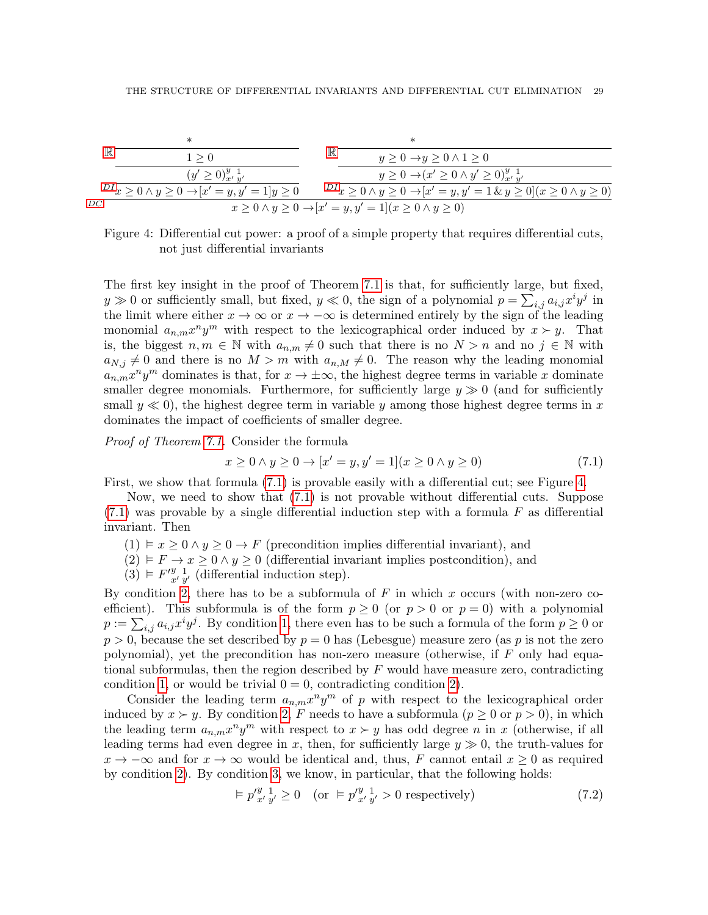

<span id="page-28-1"></span>Figure 4: Differential cut power: a proof of a simple property that requires differential cuts, not just differential invariants

The first key insight in the proof of Theorem [7.1](#page-27-1) is that, for sufficiently large, but fixed,  $y \gg 0$  or sufficiently small, but fixed,  $y \ll 0$ , the sign of a polynomial  $p = \sum_{i,j} a_{i,j} x^i y^j$  in the limit where either  $x \to \infty$  or  $x \to -\infty$  is determined entirely by the sign of the leading monomial  $a_{n,m}x^n y^m$  with respect to the lexicographical order induced by  $x \succ y$ . That is, the biggest  $n, m \in \mathbb{N}$  with  $a_{n,m} \neq 0$  such that there is no  $N > n$  and no  $j \in \mathbb{N}$  with  $a_{N,j} \neq 0$  and there is no  $M > m$  with  $a_{n,M} \neq 0$ . The reason why the leading monomial  $a_{n,m}x^n y^m$  dominates is that, for  $x \to \pm \infty$ , the highest degree terms in variable x dominate smaller degree monomials. Furthermore, for sufficiently large  $y \gg 0$  (and for sufficiently small  $y \ll 0$ , the highest degree term in variable y among those highest degree terms in x dominates the impact of coefficients of smaller degree.

Proof of Theorem [7.1.](#page-27-1) Consider the formula

<span id="page-28-0"></span>
$$
x \ge 0 \land y \ge 0 \to [x' = y, y' = 1](x \ge 0 \land y \ge 0)
$$
\n(7.1)

First, we show that formula [\(7.1\)](#page-28-0) is provable easily with a differential cut; see Figure [4.](#page-28-1)

Now, we need to show that [\(7.1\)](#page-28-0) is not provable without differential cuts. Suppose  $(7.1)$  was provable by a single differential induction step with a formula F as differential invariant. Then

- <span id="page-28-3"></span> $(1) \vDash x \geq 0 \land y \geq 0 \rightarrow F$  (precondition implies differential invariant), and
- <span id="page-28-2"></span> $(2) \models F \rightarrow x \geq 0 \land y \geq 0$  (differential invariant implies postcondition), and
- <span id="page-28-4"></span> $(3) \models F'^{y-1}_{x',y'}$  (differential induction step).

By condition [2,](#page-28-2) there has to be a subformula of  $F$  in which x occurs (with non-zero coefficient). This subformula is of the form  $p \ge 0$  (or  $p > 0$  or  $p = 0$ ) with a polynomial  $p := \sum_{i,j} a_{i,j} x^i y^j$ . By condition [1,](#page-28-3) there even has to be such a formula of the form  $p \geq 0$  or  $p > 0$ , because the set described by  $p = 0$  has (Lebesgue) measure zero (as p is not the zero polynomial), yet the precondition has non-zero measure (otherwise, if  $F$  only had equational subformulas, then the region described by  $F$  would have measure zero, contradicting condition [1,](#page-28-3) or would be trivial  $0 = 0$ , contradicting condition [2\)](#page-28-2).

Consider the leading term  $a_{n,m}x^n y^m$  of p with respect to the lexicographical order induced by  $x \succ y$ . By condition [2,](#page-28-2) F needs to have a subformula  $(p \geq 0 \text{ or } p > 0)$ , in which the leading term  $a_{n,m}x^n y^m$  with respect to  $x \succ y$  has odd degree n in x (otherwise, if all leading terms had even degree in x, then, for sufficiently large  $y \gg 0$ , the truth-values for  $x \to -\infty$  and for  $x \to \infty$  would be identical and, thus, F cannot entail  $x \geq 0$  as required by condition [2\)](#page-28-2). By condition [3,](#page-28-4) we know, in particular, that the following holds:

<span id="page-28-5"></span>
$$
\models p'^{y}_{x'y'} \ge 0 \quad \text{(or } \models p'^{y}_{x'y'} > 0 \text{ respectively)}\tag{7.2}
$$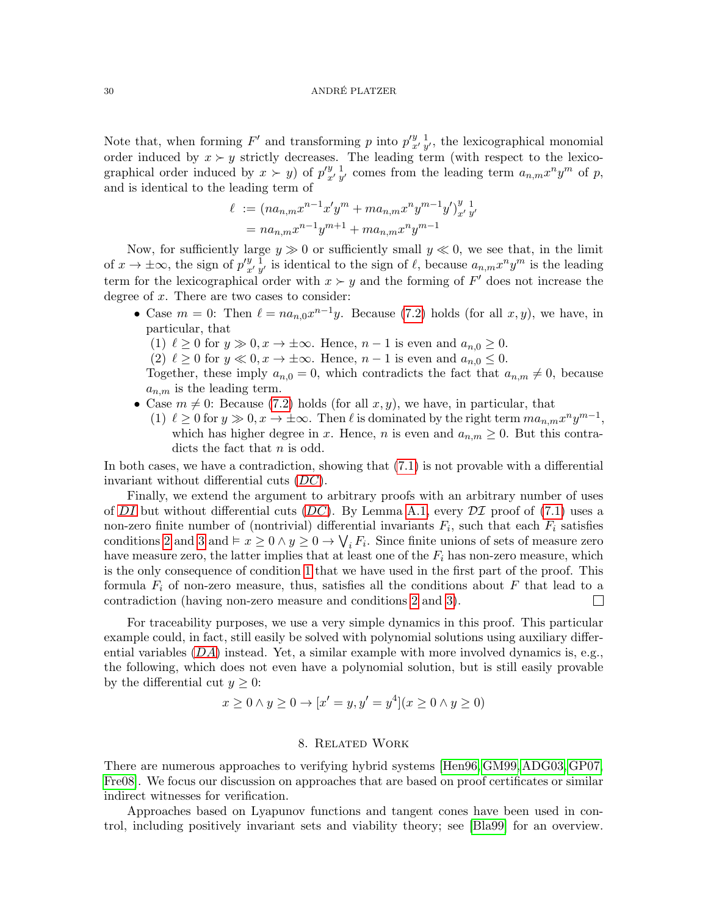Note that, when forming  $F'$  and transforming p into  $p'^{y}_{x'y'}$ , the lexicographical monomial order induced by  $x \succ y$  strictly decreases. The leading term (with respect to the lexicographical order induced by  $x > y$  of  $p'^{y}_{x'y'}$  comes from the leading term  $a_{n,m}x^n y^m$  of p, and is identical to the leading term of

$$
\ell := (na_{n,m}x^{n-1}x'y^m + ma_{n,m}x^ny^{m-1}y')_{x'y'}^{y}
$$
  
=  $na_{n,m}x^{n-1}y^{m+1} + ma_{n,m}x^ny^{m-1}$ 

Now, for sufficiently large  $y \gg 0$  or sufficiently small  $y \ll 0$ , we see that, in the limit of  $x \to \pm \infty$ , the sign of  $p''_{x' y'}$  is identical to the sign of  $\ell$ , because  $a_{n,m} x^n y^m$  is the leading term for the lexicographical order with  $x \succ y$  and the forming of F' does not increase the degree of x. There are two cases to consider:

- Case  $m = 0$ : Then  $\ell = na_{n,0}x^{n-1}y$ . Because [\(7.2\)](#page-28-5) holds (for all  $x, y$ ), we have, in particular, that
	- (1)  $\ell \geq 0$  for  $y \gg 0, x \to \pm \infty$ . Hence,  $n 1$  is even and  $a_{n,0} \geq 0$ .
	- (2)  $\ell \geq 0$  for  $y \ll 0, x \to \pm \infty$ . Hence,  $n-1$  is even and  $a_{n,0} \leq 0$ .

Together, these imply  $a_{n,0} = 0$ , which contradicts the fact that  $a_{n,m} \neq 0$ , because  $a_{n,m}$  is the leading term.

- Case  $m \neq 0$ : Because [\(7.2\)](#page-28-5) holds (for all  $x, y$ ), we have, in particular, that
	- (1)  $\ell \geq 0$  for  $y \gg 0, x \to \pm \infty$ . Then  $\ell$  is dominated by the right term  $ma_{n,m}x^ny^{m-1}$ , which has higher degree in x. Hence, n is even and  $a_{n,m} \geq 0$ . But this contradicts the fact that *n* is odd.

In both cases, we have a contradiction, showing that  $(7.1)$  is not provable with a differential invariant without differential cuts  $(DC)$  $(DC)$  $(DC)$ .

Finally, we extend the argument to arbitrary proofs with an arbitrary number of uses of [DI](#page-7-2) but without differential cuts  $(DC)$  $(DC)$  $(DC)$ . By Lemma [A.1,](#page-34-0) every  $\mathcal{DI}$  proof of [\(7.1\)](#page-28-0) uses a non-zero finite number of (nontrivial) differential invariants  $F_i$ , such that each  $F_i$  satisfies conditions [2](#page-28-2) and [3](#page-28-4) and  $\vdash x \geq 0 \land y \geq 0 \to \bigvee_i F_i$ . Since finite unions of sets of measure zero have measure zero, the latter implies that at least one of the  $F_i$  has non-zero measure, which is the only consequence of condition [1](#page-28-3) that we have used in the first part of the proof. This formula  $F_i$  of non-zero measure, thus, satisfies all the conditions about F that lead to a contradiction (having non-zero measure and conditions [2](#page-28-2) and [3\)](#page-28-4).  $\mathbf{L}$ 

For traceability purposes, we use a very simple dynamics in this proof. This particular example could, in fact, still easily be solved with polynomial solutions using auxiliary differential variables  $(DA)$  $(DA)$  $(DA)$  instead. Yet, a similar example with more involved dynamics is, e.g., the following, which does not even have a polynomial solution, but is still easily provable by the differential cut  $y \geq 0$ :

$$
x \ge 0 \land y \ge 0 \to [x' = y, y' = y^4](x \ge 0 \land y \ge 0)
$$

# 8. Related Work

There are numerous approaches to verifying hybrid systems [\[Hen96,](#page-32-1) [GM99,](#page-32-4) [ADG03,](#page-31-2) [GP07,](#page-32-5) [Fre08\]](#page-32-7). We focus our discussion on approaches that are based on proof certificates or similar indirect witnesses for verification.

Approaches based on Lyapunov functions and tangent cones have been used in control, including positively invariant sets and viability theory; see [\[Bla99\]](#page-31-11) for an overview.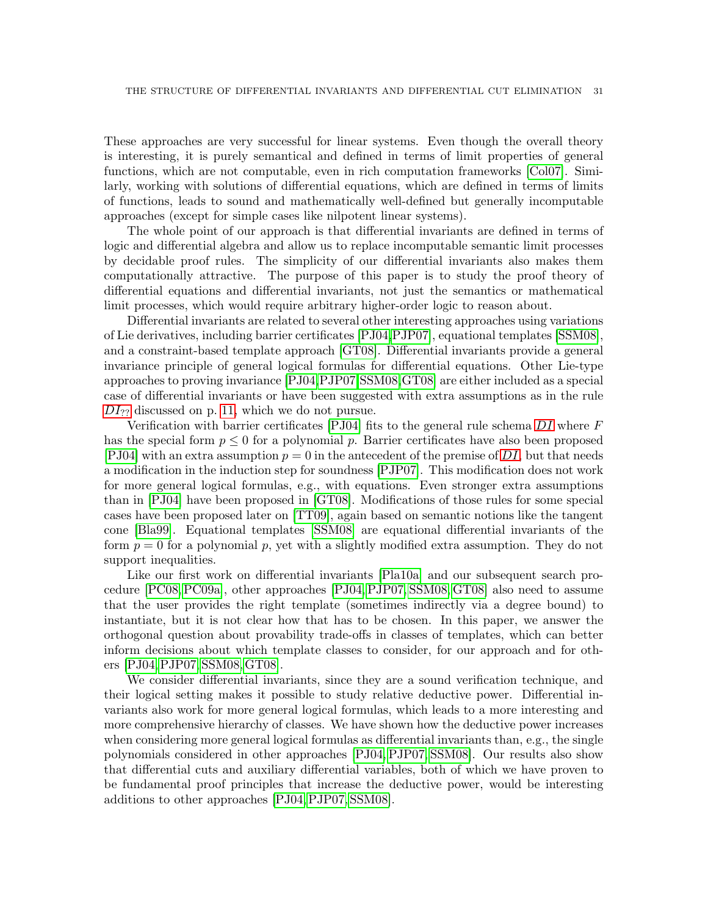These approaches are very successful for linear systems. Even though the overall theory is interesting, it is purely semantical and defined in terms of limit properties of general functions, which are not computable, even in rich computation frameworks [\[Col07\]](#page-31-3). Similarly, working with solutions of differential equations, which are defined in terms of limits of functions, leads to sound and mathematically well-defined but generally incomputable approaches (except for simple cases like nilpotent linear systems).

The whole point of our approach is that differential invariants are defined in terms of logic and differential algebra and allow us to replace incomputable semantic limit processes by decidable proof rules. The simplicity of our differential invariants also makes them computationally attractive. The purpose of this paper is to study the proof theory of differential equations and differential invariants, not just the semantics or mathematical limit processes, which would require arbitrary higher-order logic to reason about.

Differential invariants are related to several other interesting approaches using variations of Lie derivatives, including barrier certificates [\[PJ04,](#page-32-9)[PJP07\]](#page-32-10), equational templates [\[SSM08\]](#page-32-11), and a constraint-based template approach [\[GT08\]](#page-32-15). Differential invariants provide a general invariance principle of general logical formulas for differential equations. Other Lie-type approaches to proving invariance [\[PJ04,](#page-32-9)[PJP07,](#page-32-10)[SSM08,](#page-32-11)[GT08\]](#page-32-15) are either included as a special case of differential invariants or have been suggested with extra assumptions as in the rule  $DI_{22}$  $DI_{22}$  discussed on p. [11,](#page-10-0) which we do not pursue.

Verification with barrier certificates [\[PJ04\]](#page-32-9) fits to the general rule schema  $DI$  where  $F$ has the special form  $p \leq 0$  for a polynomial p. Barrier certificates have also been proposed [\[PJ04\]](#page-32-9) with an extra assumption  $p = 0$  in the antecedent of the premise of [DI](#page-7-2), but that needs a modification in the induction step for soundness [\[PJP07\]](#page-32-10). This modification does not work for more general logical formulas, e.g., with equations. Even stronger extra assumptions than in [\[PJ04\]](#page-32-9) have been proposed in [\[GT08\]](#page-32-15). Modifications of those rules for some special cases have been proposed later on [\[TT09\]](#page-33-3), again based on semantic notions like the tangent cone [\[Bla99\]](#page-31-11). Equational templates [\[SSM08\]](#page-32-11) are equational differential invariants of the form  $p = 0$  for a polynomial p, yet with a slightly modified extra assumption. They do not support inequalities.

Like our first work on differential invariants [\[Pla10a\]](#page-32-12) and our subsequent search procedure [\[PC08,](#page-32-13) [PC09a\]](#page-32-14), other approaches [\[PJ04,](#page-32-9) [PJP07,](#page-32-10) [SSM08,](#page-32-11) [GT08\]](#page-32-15) also need to assume that the user provides the right template (sometimes indirectly via a degree bound) to instantiate, but it is not clear how that has to be chosen. In this paper, we answer the orthogonal question about provability trade-offs in classes of templates, which can better inform decisions about which template classes to consider, for our approach and for others [\[PJ04,](#page-32-9)[PJP07,](#page-32-10) [SSM08,](#page-32-11)[GT08\]](#page-32-15).

We consider differential invariants, since they are a sound verification technique, and their logical setting makes it possible to study relative deductive power. Differential invariants also work for more general logical formulas, which leads to a more interesting and more comprehensive hierarchy of classes. We have shown how the deductive power increases when considering more general logical formulas as differential invariants than, e.g., the single polynomials considered in other approaches [\[PJ04,](#page-32-9) [PJP07,](#page-32-10) [SSM08\]](#page-32-11). Our results also show that differential cuts and auxiliary differential variables, both of which we have proven to be fundamental proof principles that increase the deductive power, would be interesting additions to other approaches [\[PJ04,](#page-32-9)[PJP07,](#page-32-10) [SSM08\]](#page-32-11).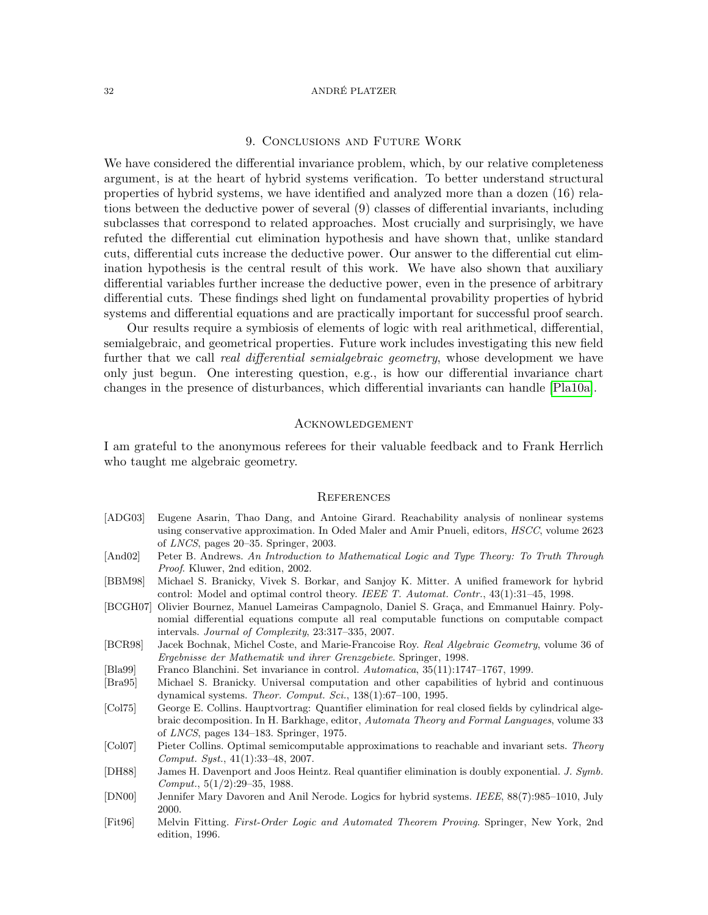# 9. Conclusions and Future Work

We have considered the differential invariance problem, which, by our relative completeness argument, is at the heart of hybrid systems verification. To better understand structural properties of hybrid systems, we have identified and analyzed more than a dozen (16) relations between the deductive power of several (9) classes of differential invariants, including subclasses that correspond to related approaches. Most crucially and surprisingly, we have refuted the differential cut elimination hypothesis and have shown that, unlike standard cuts, differential cuts increase the deductive power. Our answer to the differential cut elimination hypothesis is the central result of this work. We have also shown that auxiliary differential variables further increase the deductive power, even in the presence of arbitrary differential cuts. These findings shed light on fundamental provability properties of hybrid systems and differential equations and are practically important for successful proof search.

Our results require a symbiosis of elements of logic with real arithmetical, differential, semialgebraic, and geometrical properties. Future work includes investigating this new field further that we call *real differential semialgebraic geometry*, whose development we have only just begun. One interesting question, e.g., is how our differential invariance chart changes in the presence of disturbances, which differential invariants can handle [\[Pla10a\]](#page-32-12).

# Acknowledgement

I am grateful to the anonymous referees for their valuable feedback and to Frank Herrlich who taught me algebraic geometry.

### **REFERENCES**

- <span id="page-31-2"></span>[ADG03] Eugene Asarin, Thao Dang, and Antoine Girard. Reachability analysis of nonlinear systems using conservative approximation. In Oded Maler and Amir Pnueli, editors, HSCC, volume 2623 of LNCS, pages 20–35. Springer, 2003.
- <span id="page-31-7"></span>[And02] Peter B. Andrews. An Introduction to Mathematical Logic and Type Theory: To Truth Through Proof. Kluwer, 2nd edition, 2002.
- <span id="page-31-0"></span>[BBM98] Michael S. Branicky, Vivek S. Borkar, and Sanjoy K. Mitter. A unified framework for hybrid control: Model and optimal control theory. IEEE T. Automat. Contr., 43(1):31–45, 1998.
- <span id="page-31-5"></span>[BCGH07] Olivier Bournez, Manuel Lameiras Campagnolo, Daniel S. Graça, and Emmanuel Hainry. Polynomial differential equations compute all real computable functions on computable compact intervals. Journal of Complexity, 23:317–335, 2007.
- <span id="page-31-10"></span>[BCR98] Jacek Bochnak, Michel Coste, and Marie-Francoise Roy. Real Algebraic Geometry, volume 36 of Ergebnisse der Mathematik und ihrer Grenzgebiete. Springer, 1998.
- <span id="page-31-11"></span>[Bla99] Franco Blanchini. Set invariance in control. Automatica, 35(11):1747–1767, 1999.
- <span id="page-31-4"></span>[Bra95] Michael S. Branicky. Universal computation and other capabilities of hybrid and continuous dynamical systems. Theor. Comput. Sci., 138(1):67–100, 1995.
- <span id="page-31-9"></span>[Col75] George E. Collins. Hauptvortrag: Quantifier elimination for real closed fields by cylindrical algebraic decomposition. In H. Barkhage, editor, Automata Theory and Formal Languages, volume 33 of LNCS, pages 134–183. Springer, 1975.
- <span id="page-31-3"></span>[Col07] Pieter Collins. Optimal semicomputable approximations to reachable and invariant sets. Theory Comput. Syst., 41(1):33–48, 2007.
- <span id="page-31-8"></span>[DH88] James H. Davenport and Joos Heintz. Real quantifier elimination is doubly exponential. J. Symb. Comput., 5(1/2):29–35, 1988.
- <span id="page-31-1"></span>[DN00] Jennifer Mary Davoren and Anil Nerode. Logics for hybrid systems. IEEE, 88(7):985–1010, July 2000.
- <span id="page-31-6"></span>[Fit96] Melvin Fitting. First-Order Logic and Automated Theorem Proving. Springer, New York, 2nd edition, 1996.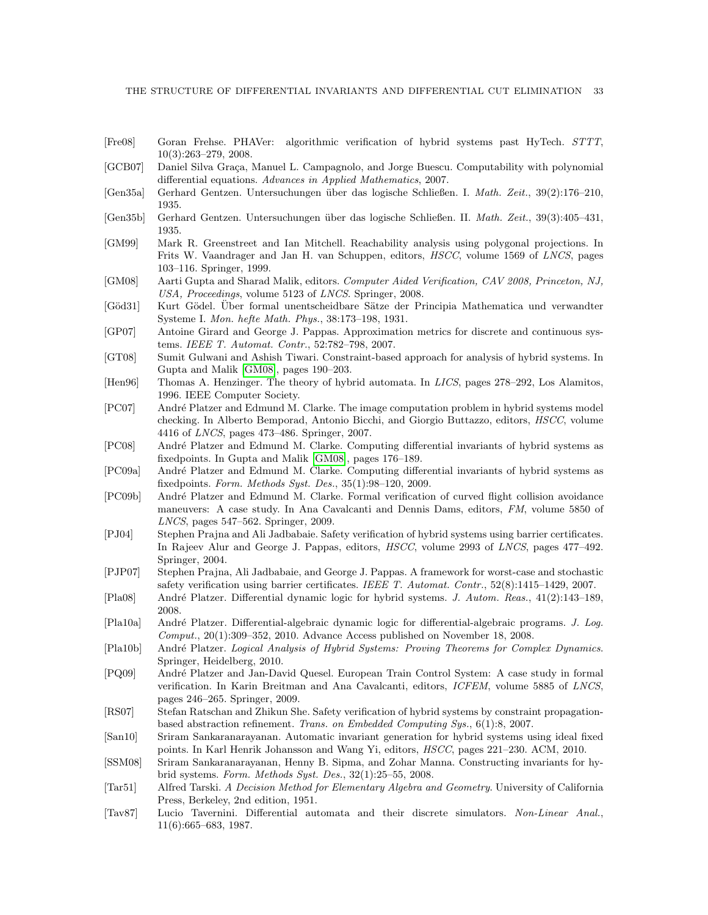- <span id="page-32-7"></span>[Fre08] Goran Frehse. PHAVer: algorithmic verification of hybrid systems past HyTech. STTT, 10(3):263–279, 2008.
- <span id="page-32-19"></span>[GCB07] Daniel Silva Graça, Manuel L. Campagnolo, and Jorge Buescu. Computability with polynomial differential equations. Advances in Applied Mathematics, 2007.
- <span id="page-32-20"></span>[Gen35a] Gerhard Gentzen. Untersuchungen ¨uber das logische Schließen. I. Math. Zeit., 39(2):176–210, 1935.
- <span id="page-32-21"></span>[Gen35b] Gerhard Gentzen. Untersuchungen ¨uber das logische Schließen. II. Math. Zeit., 39(3):405–431, 1935.
- <span id="page-32-4"></span>[GM99] Mark R. Greenstreet and Ian Mitchell. Reachability analysis using polygonal projections. In Frits W. Vaandrager and Jan H. van Schuppen, editors, HSCC, volume 1569 of LNCS, pages 103–116. Springer, 1999.
- <span id="page-32-24"></span>[GM08] Aarti Gupta and Sharad Malik, editors. Computer Aided Verification, CAV 2008, Princeton, NJ, USA, Proceedings, volume 5123 of LNCS. Springer, 2008.
- <span id="page-32-22"></span>[Göd31] Kurt Gödel. Uber formal unentscheidbare Sätze der Principia Mathematica und verwandter Systeme I. Mon. hefte Math. Phys., 38:173–198, 1931.
- <span id="page-32-5"></span>[GP07] Antoine Girard and George J. Pappas. Approximation metrics for discrete and continuous systems. IEEE T. Automat. Contr., 52:782–798, 2007.
- <span id="page-32-15"></span>[GT08] Sumit Gulwani and Ashish Tiwari. Constraint-based approach for analysis of hybrid systems. In Gupta and Malik [\[GM08\]](#page-32-24), pages 190–203.
- <span id="page-32-1"></span>[Hen96] Thomas A. Henzinger. The theory of hybrid automata. In LICS, pages 278-292, Los Alamitos, 1996. IEEE Computer Society.
- <span id="page-32-8"></span>[PC07] Andr´e Platzer and Edmund M. Clarke. The image computation problem in hybrid systems model checking. In Alberto Bemporad, Antonio Bicchi, and Giorgio Buttazzo, editors, HSCC, volume 4416 of LNCS, pages 473–486. Springer, 2007.
- <span id="page-32-13"></span>[PC08] André Platzer and Edmund M. Clarke. Computing differential invariants of hybrid systems as fixedpoints. In Gupta and Malik [\[GM08\]](#page-32-24), pages 176–189.
- <span id="page-32-14"></span>[PC09a] André Platzer and Edmund M. Clarke. Computing differential invariants of hybrid systems as fixedpoints. Form. Methods Syst. Des., 35(1):98–120, 2009.
- <span id="page-32-16"></span>[PC09b] André Platzer and Edmund M. Clarke. Formal verification of curved flight collision avoidance maneuvers: A case study. In Ana Cavalcanti and Dennis Dams, editors, FM, volume 5850 of LNCS, pages 547–562. Springer, 2009.
- <span id="page-32-9"></span>[PJ04] Stephen Prajna and Ali Jadbabaie. Safety verification of hybrid systems using barrier certificates. In Rajeev Alur and George J. Pappas, editors, HSCC, volume 2993 of LNCS, pages 477–492. Springer, 2004.
- <span id="page-32-10"></span>[PJP07] Stephen Prajna, Ali Jadbabaie, and George J. Pappas. A framework for worst-case and stochastic safety verification using barrier certificates. IEEE T. Automat. Contr., 52(8):1415–1429, 2007.
- <span id="page-32-2"></span>[Pla08] Andr´e Platzer. Differential dynamic logic for hybrid systems. J. Autom. Reas., 41(2):143–189, 2008.
- <span id="page-32-12"></span>[Pla10a] André Platzer. Differential-algebraic dynamic logic for differential-algebraic programs. J. Log. Comput., 20(1):309–352, 2010. Advance Access published on November 18, 2008.
- <span id="page-32-18"></span>[Pla10b] André Platzer. Logical Analysis of Hybrid Systems: Proving Theorems for Complex Dynamics. Springer, Heidelberg, 2010.
- <span id="page-32-17"></span>[PQ09] Andr´e Platzer and Jan-David Quesel. European Train Control System: A case study in formal verification. In Karin Breitman and Ana Cavalcanti, editors, ICFEM, volume 5885 of LNCS, pages 246–265. Springer, 2009.
- <span id="page-32-6"></span>[RS07] Stefan Ratschan and Zhikun She. Safety verification of hybrid systems by constraint propagationbased abstraction refinement. Trans. on Embedded Computing Sys., 6(1):8, 2007.
- <span id="page-32-23"></span>[San10] Sriram Sankaranarayanan. Automatic invariant generation for hybrid systems using ideal fixed points. In Karl Henrik Johansson and Wang Yi, editors, HSCC, pages 221–230. ACM, 2010.
- <span id="page-32-11"></span>[SSM08] Sriram Sankaranarayanan, Henny B. Sipma, and Zohar Manna. Constructing invariants for hybrid systems. Form. Methods Syst. Des., 32(1):25–55, 2008.
- <span id="page-32-3"></span>[Tar51] Alfred Tarski. A Decision Method for Elementary Algebra and Geometry. University of California Press, Berkeley, 2nd edition, 1951.
- <span id="page-32-0"></span>[Tav87] Lucio Tavernini. Differential automata and their discrete simulators. Non-Linear Anal., 11(6):665–683, 1987.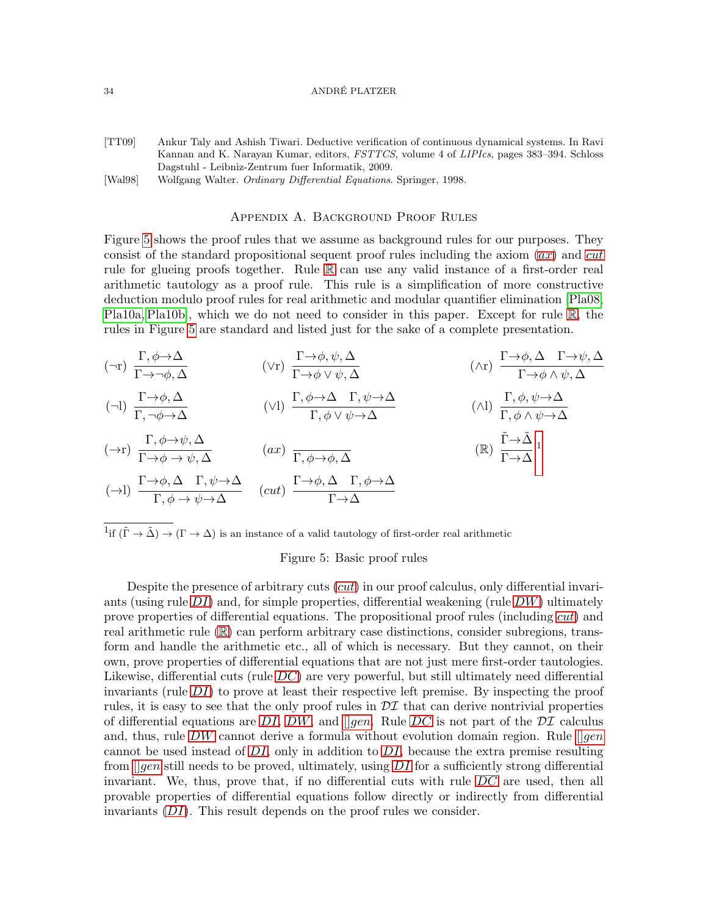- <span id="page-33-3"></span>[TT09] Ankur Taly and Ashish Tiwari. Deductive verification of continuous dynamical systems. In Ravi Kannan and K. Narayan Kumar, editors, FSTTCS, volume 4 of LIPIcs, pages 383–394. Schloss Dagstuhl - Leibniz-Zentrum fuer Informatik, 2009.
- <span id="page-33-0"></span>[Wal98] Wolfgang Walter. Ordinary Differential Equations. Springer, 1998.

# Appendix A. Background Proof Rules

<span id="page-33-2"></span>Figure [5](#page-33-4) shows the proof rules that we assume as background rules for our purposes. They consist of the standard propositional sequent proof rules including the [ax](#page-33-5)iom  $(ax)$  and [cut](#page-33-6) rule for glueing proofs together. Rule [R](#page-33-1) can use any valid instance of a first-order real arithmetic tautology as a proof rule. This rule is a simplification of more constructive deduction modulo proof rules for real arithmetic and modular quantifier elimination [\[Pla08,](#page-32-2) [Pla10a,](#page-32-12) [Pla10b\]](#page-32-18), which we do not need to consider in this paper. Except for rule [R](#page-33-1), the rules in Figure [5](#page-33-4) are standard and listed just for the sake of a complete presentation.

$$
(\neg r) \frac{\Gamma, \phi \rightarrow \Delta}{\Gamma \rightarrow \neg \phi, \Delta} \qquad (\vee r) \frac{\Gamma \rightarrow \phi, \psi, \Delta}{\Gamma \rightarrow \phi \vee \psi, \Delta} \qquad (\wedge r) \frac{\Gamma \rightarrow \phi, \Delta \Gamma \rightarrow \psi, \Delta}{\Gamma \rightarrow \phi \wedge \psi, \Delta}
$$
\n
$$
(\neg l) \frac{\Gamma \rightarrow \phi, \Delta}{\Gamma, \neg \phi \rightarrow \Delta} \qquad (\vee l) \frac{\Gamma, \phi \rightarrow \Delta \Gamma, \psi \rightarrow \Delta}{\Gamma, \phi \vee \psi \rightarrow \Delta} \qquad (\wedge l) \frac{\Gamma, \phi, \psi \rightarrow \Delta}{\Gamma, \phi \wedge \psi \rightarrow \Delta}
$$
\n
$$
(\neg r) \frac{\Gamma, \phi \rightarrow \psi, \Delta}{\Gamma \rightarrow \phi \rightarrow \psi, \Delta} \qquad (ax) \frac{\Gamma, \phi \rightarrow \phi, \Delta}{\Gamma, \phi \rightarrow \phi, \Delta} \qquad (\mathbb{R}) \frac{\tilde{\Gamma} \rightarrow \tilde{\Delta}}{\Gamma \rightarrow \Delta}^{1}
$$
\n
$$
(\neg l) \frac{\Gamma \rightarrow \phi, \Delta \Gamma, \psi \rightarrow \Delta}{\Gamma, \phi \rightarrow \psi \rightarrow \Delta} \qquad (cut) \frac{\Gamma \rightarrow \phi, \Delta \Gamma, \phi \rightarrow \Delta}{\Gamma \rightarrow \Delta}
$$

<span id="page-33-7"></span><sup>1</sup>if  $(\tilde{\Gamma} \to \tilde{\Delta}) \to (\Gamma \to \Delta)$  is an instance of a valid tautology of first-order real arithmetic

# <span id="page-33-6"></span><span id="page-33-5"></span><span id="page-33-4"></span><span id="page-33-1"></span>Figure 5: Basic proof rules

Despite the presence of arbitrary [cut](#page-33-6)s  $(cut)$  in our proof calculus, only differential invariants (using rule  $DI$ ) and, for simple properties, differential weakening (rule  $DW$ ) ultimately prove properties of differential equations. The propositional proof rules (including [cut](#page-33-6)) and real arithmetic rule ([R](#page-33-1)) can perform arbitrary case distinctions, consider subregions, transform and handle the arithmetic etc., all of which is necessary. But they cannot, on their own, prove properties of differential equations that are not just mere first-order tautologies. Likewise, differential cuts (rule  $DC$ ) are very powerful, but still ultimately need differential invariants (rule  $DI$ ) to prove at least their respective left premise. By inspecting the proof rules, it is easy to see that the only proof rules in  $\mathcal{DI}$  that can derive nontrivial properties of differential equations are [DI](#page-7-2), [DW](#page-6-1), and  $\parallel$ [gen](#page-6-2). Rule [DC](#page-11-0) is not part of the DI calculus and, thus, rule [DW](#page-6-1) cannot derive a formula without evolution domain region. Rule  $\lceil \text{gen} \rceil$  $\lceil \text{gen} \rceil$  $\lceil \text{gen} \rceil$ cannot be used instead of  $DI$ , only in addition to  $DI$ , because the extra premise resulting from  $\Box$ [gen](#page-6-2) still needs to be proved, ultimately, using [DI](#page-7-2) for a sufficiently strong differential invariant. We, thus, prove that, if no differential cuts with rule  $DC$  are used, then all provable properties of differential equations follow directly or indirectly from differential invariants ([DI](#page-7-2)). This result depends on the proof rules we consider.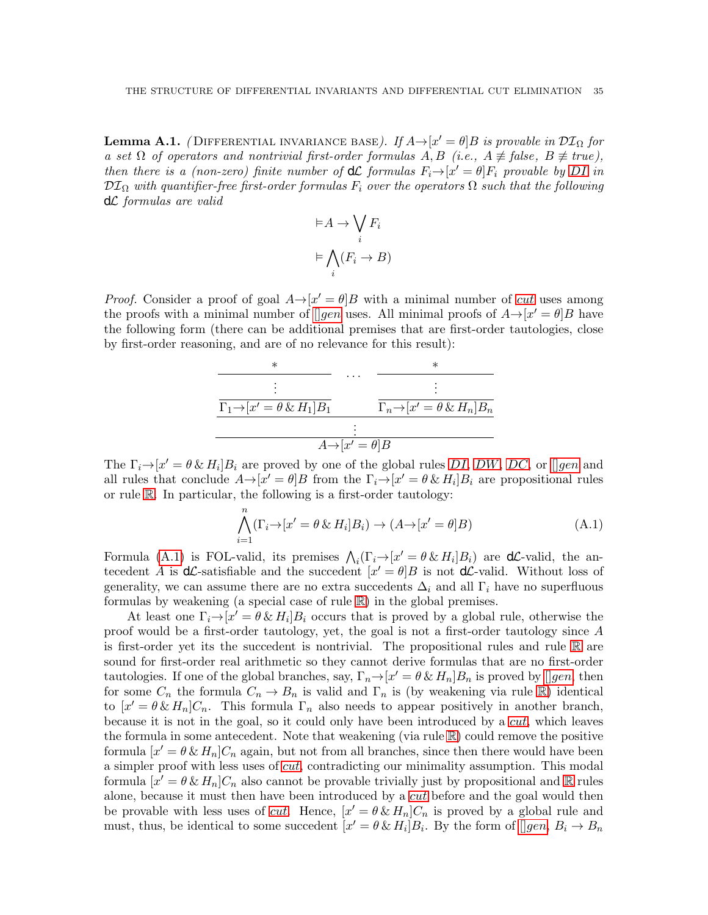<span id="page-34-0"></span>**Lemma A.1.** (DIFFERENTIAL INVARIANCE BASE). If  $A \rightarrow [x' = \theta]B$  is provable in  $\mathcal{DI}_{\Omega}$  for a set  $\Omega$  of operators and nontrivial first-order formulas  $A, B$  (i.e.,  $A \neq false$ ,  $B \neq true$ ), then there is a (non-zero) finite number of  $d\mathcal{L}$  formulas  $F_i \rightarrow [x' = \theta]F_i$  provable by [DI](#page-7-2) in  $\mathcal{DI}_{\Omega}$  with quantifier-free first-order formulas  $F_i$  over the operators  $\Omega$  such that the following dL formulas are valid

$$
\vDash A \to \bigvee_i F_i
$$

$$
\vDash \bigwedge_i (F_i \to B)
$$

*Proof.* Consider a proof of goal  $A \rightarrow [x' = \theta]B$  with a minimal number of *[cut](#page-33-6)* uses among the proofs with a minimal number of  $\Box$ [gen](#page-6-2) uses. All minimal proofs of  $A \rightarrow [x' = \theta]B$  have the following form (there can be additional premises that are first-order tautologies, close by first-order reasoning, and are of no relevance for this result):

$$
\begin{array}{c|c}\n\ast & \cdots & \ast \\
\hline\n\vdots & \ddots & \vdots \\
\hline\n\Gamma_1 \rightarrow [x' = \theta \& H_1] B_1 & \Gamma_n \rightarrow [x' = \theta \& H_n] B_n \\
\hline\n\vdots & \ddots & \vdots \\
\hline\nA \rightarrow [x' = \theta] B\n\end{array}
$$

The  $\Gamma_i \rightarrow [x' = \theta \& H_i] B_i$  are proved by one of the global rules [DI](#page-7-2), [DW](#page-6-1), [DC](#page-11-0), or [][gen](#page-6-2) and all rules that conclude  $A \rightarrow [x' = \theta]B$  from the  $\Gamma_i \rightarrow [x' = \theta \& H_i]B_i$  are propositional rules or rule [R](#page-33-1). In particular, the following is a first-order tautology:

<span id="page-34-1"></span>
$$
\bigwedge_{i=1}^{n} (\Gamma_i \to [x' = \theta \& H_i]B_i) \to (A \to [x' = \theta]B)
$$
\n(A.1)

Formula [\(A.1\)](#page-34-1) is FOL-valid, its premises  $\bigwedge_i(\Gamma_i \rightarrow [x' = \theta \& H_i]B_i)$  are **d***C*-valid, the antecedent A is **d***C*-satisfiable and the succedent  $[x' = \theta]B$  is not **d***C*-valid. Without loss of generality, we can assume there are no extra succedents  $\Delta_i$  and all  $\Gamma_i$  have no superfluous formulas by weakening (a special case of rule  $\mathbb{R}$  $\mathbb{R}$  $\mathbb{R}$ ) in the global premises.

At least one  $\Gamma_i \rightarrow [x' = \theta \& H_i] B_i$  occurs that is proved by a global rule, otherwise the proof would be a first-order tautology, yet, the goal is not a first-order tautology since A is first-order yet its the succedent is nontrivial. The propositional rules and rule [R](#page-33-1) are sound for first-order real arithmetic so they cannot derive formulas that are no first-order tautologies. If one of the global branches, say,  $\Gamma_n \to [x' = \theta \& H_n]B_n$  is proved by [][gen](#page-6-2), then for some  $C_n$  the formula  $C_n \to B_n$  is valid and  $\Gamma_n$  is (by weakening via rule [R](#page-33-1)) identical to  $[x' = \theta \& H_n]C_n$ . This formula  $\Gamma_n$  also needs to appear positively in another branch, because it is not in the goal, so it could only have been introduced by a [cut](#page-33-6), which leaves the formula in some antecedent. Note that weakening (via rule  $\mathbb{R}$  $\mathbb{R}$  $\mathbb{R}$ ) could remove the positive formula  $[x' = \theta \& H_n]C_n$  again, but not from all branches, since then there would have been a simpler proof with less uses of *[cut](#page-33-6)*, contradicting our minimality assumption. This modal formula  $[x' = \theta \& H_n]C_n$  also cannot be provable trivially just by propositional and [R](#page-33-1) rules alone, because it must then have been introduced by a [cut](#page-33-6) before and the goal would then be provable with less uses of *[cut](#page-33-6)*. Hence,  $[x' = \theta \& H_n]C_n$  is proved by a global rule and must, thus, be identical to some succedent  $[x' = \theta \& H_i]B_i$ . By the form of  $[]gen, B_i \rightarrow B_n$  $[]gen, B_i \rightarrow B_n$  $[]gen, B_i \rightarrow B_n$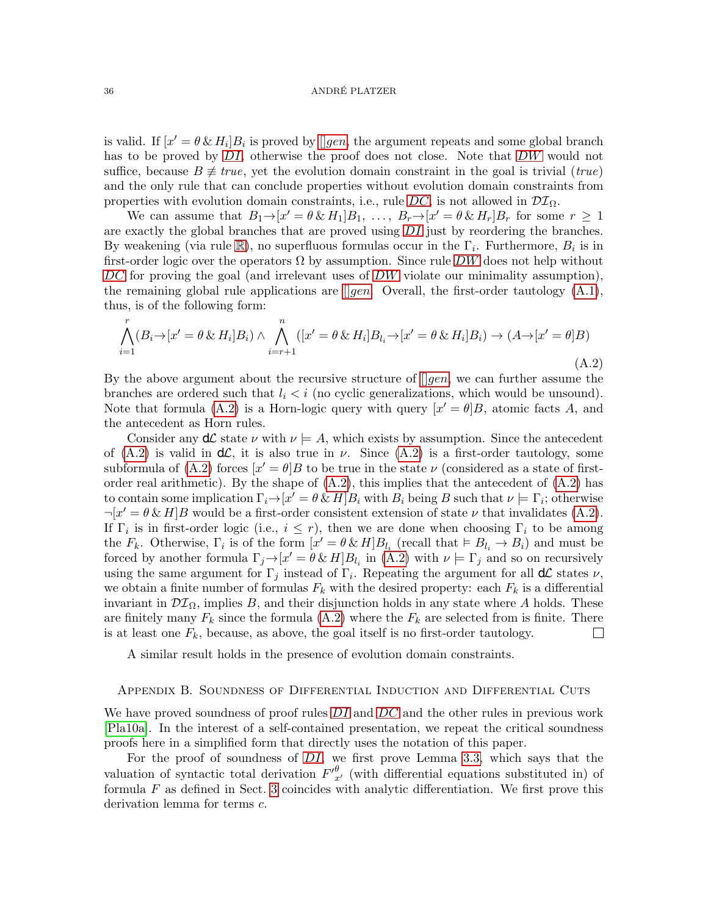is valid. If  $[x' = \theta \& H_i]B_i$  is proved by [*][gen](#page-6-2)*, the argument repeats and some global branch has to be proved by [DI](#page-7-2), otherwise the proof does not close. Note that [DW](#page-6-1) would not suffice, because  $B \neq true$ , yet the evolution domain constraint in the goal is trivial (true) and the only rule that can conclude properties without evolution domain constraints from properties with evolution domain constraints, i.e., rule  $DC$ , is not allowed in  $DT_{\Omega}$ .

We can assume that  $B_1 \to [x' = \theta \& H_1]B_1, \ldots, B_r \to [x' = \theta \& H_r]B_r$  for some  $r \geq 1$ are exactly the global branches that are proved using  $DI$  just by reordering the branches. By weakening (via rule  $\mathbb{R}$  $\mathbb{R}$  $\mathbb{R}$ ), no superfluous formulas occur in the  $\Gamma_i$ . Furthermore,  $B_i$  is in first-order logic over the operators  $\Omega$  by assumption. Since rule [DW](#page-6-1) does not help without  $DC$  for proving the goal (and irrelevant uses of  $DW$  violate our minimality assumption), the remaining global rule applications are  $\parallel$  [gen](#page-6-2). Overall, the first-order tautology [\(A.1\)](#page-34-1), thus, is of the following form:

<span id="page-35-1"></span>
$$
\bigwedge_{i=1}^{r} (B_i \rightarrow [x' = \theta \& H_i]B_i) \land \bigwedge_{i=r+1}^{n} ([x' = \theta \& H_i]B_{l_i} \rightarrow [x' = \theta \& H_i]B_i) \rightarrow (A \rightarrow [x' = \theta]B)
$$
\n(A.2)

By the above argument about the recursive structure of  $\parallel gen$  $\parallel gen$ , we can further assume the branches are ordered such that  $l_i < i$  (no cyclic generalizations, which would be unsound). Note that formula [\(A.2\)](#page-35-1) is a Horn-logic query with query  $[x' = \theta]B$ , atomic facts A, and the antecedent as Horn rules.

Consider any  $d\mathcal{L}$  state  $\nu$  with  $\nu \models A$ , which exists by assumption. Since the antecedent of  $(A.2)$  is valid in  $d\mathcal{L}$ , it is also true in  $\nu$ . Since  $(A.2)$  is a first-order tautology, some subformula of [\(A.2\)](#page-35-1) forces  $[x' = \theta]B$  to be true in the state  $\nu$  (considered as a state of firstorder real arithmetic). By the shape of  $(A.2)$ , this implies that the antecedent of  $(A.2)$  has to contain some implication  $\Gamma_i \to [\alpha] = \theta \& H]B_i$  with  $B_i$  being B such that  $\nu \models \Gamma_i$ ; otherwise  $\neg [x' = \theta \& H]B$  would be a first-order consistent extension of state  $\nu$  that invalidates [\(A.2\)](#page-35-1). If  $\Gamma_i$  is in first-order logic (i.e.,  $i \leq r$ ), then we are done when choosing  $\Gamma_i$  to be among the  $F_k$ . Otherwise,  $\Gamma_i$  is of the form  $[x' = \theta \& H]B_{l_i}$  (recall that  $\models B_{l_i} \rightarrow B_i$ ) and must be forced by another formula  $\Gamma_j \to [x' = \theta \& H]B_{l_i}$  in  $(A.2)$  with  $\nu \models \Gamma_j$  and so on recursively using the same argument for  $\Gamma_j$  instead of  $\Gamma_i$ . Repeating the argument for all  $d\mathcal{L}$  states  $\nu$ , we obtain a finite number of formulas  $F_k$  with the desired property: each  $F_k$  is a differential invariant in  $\mathcal{DI}_{\Omega}$ , implies B, and their disjunction holds in any state where A holds. These are finitely many  $F_k$  since the formula [\(A.2\)](#page-35-1) where the  $F_k$  are selected from is finite. There is at least one  $F_k$ , because, as above, the goal itself is no first-order tautology.  $\Box$ 

A similar result holds in the presence of evolution domain constraints.

# <span id="page-35-0"></span>Appendix B. Soundness of Differential Induction and Differential Cuts

We have proved soundness of proof rules  $DI$  and  $DC$  and the other rules in previous work [\[Pla10a\]](#page-32-12). In the interest of a self-contained presentation, we repeat the critical soundness proofs here in a simplified form that directly uses the notation of this paper.

For the proof of soundness of  $DI$ , we first prove Lemma [3.3,](#page-8-1) which says that the valuation of syntactic total derivation  $F'_{x'}^{\theta}$  (with differential equations substituted in) of formula  $F$  as defined in Sect. [3](#page-6-3) coincides with analytic differentiation. We first prove this derivation lemma for terms c.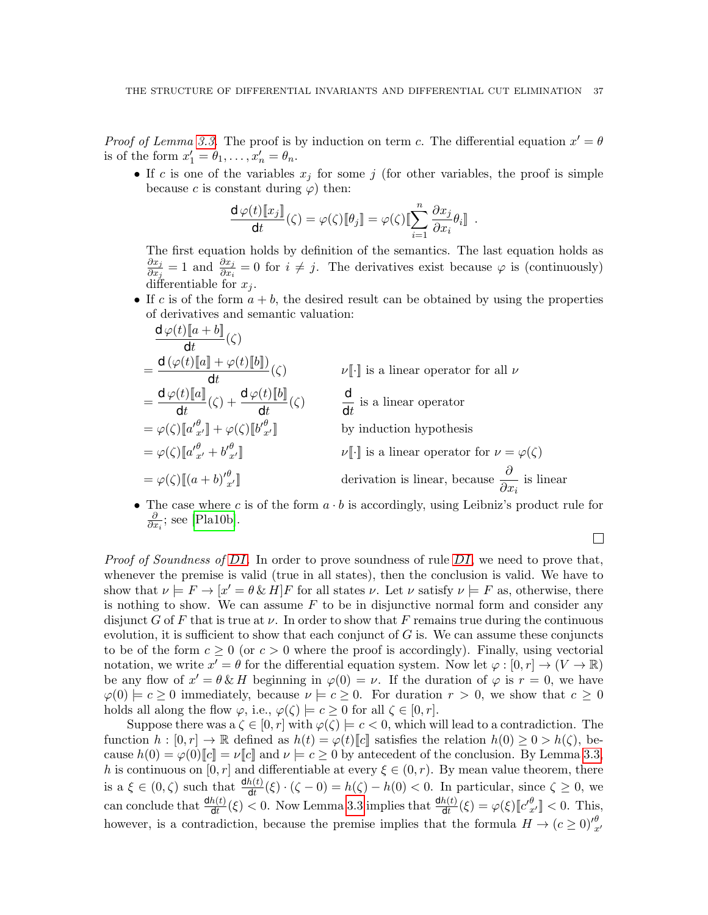*Proof of Lemma [3.3.](#page-8-1)* The proof is by induction on term c. The differential equation  $x' = \theta$ is of the form  $x'_1 = \theta_1, \ldots, x'_n = \theta_n$ .

• If c is one of the variables  $x_j$  for some j (for other variables, the proof is simple because c is constant during  $\varphi$ ) then:

$$
\frac{\mathrm{d}\,\varphi(t)[\![x_j]\!]}{\mathrm{d} t}(\zeta)=\varphi(\zeta)[\![\theta_j]\!]=\varphi(\zeta)[\![\sum_{i=1}^n\frac{\partial x_j}{\partial x_i}\theta_i]\!]\ .
$$

The first equation holds by definition of the semantics. The last equation holds as  $\partial x_j$  $\frac{\partial x_j}{\partial x_j} = 1$  and  $\frac{\partial x_j}{\partial x_i} = 0$  for  $i \neq j$ . The derivatives exist because  $\varphi$  is (continuously) differentiable for  $x_i$ .

• If c is of the form  $a + b$ , the desired result can be obtained by using the properties of derivatives and semantic valuation:

$$
\frac{d\varphi(t)[a+b]}{dt}(\zeta)
$$
\n
$$
= \frac{d(\varphi(t)[a] + \varphi(t)[b])}{dt}(\zeta)
$$
\n
$$
= \frac{d\varphi(t)[a]}{dt}(\zeta) + \frac{d\varphi(t)[b]}{dt}(\zeta)
$$
\n
$$
= \varphi(\zeta)[a'_{x'}] + \varphi(\zeta)[b'_{x'}]
$$
\n
$$
= \varphi(\zeta)[a'_{x'} + b'_{x'}]
$$
\n
$$
= \varphi(\zeta)[a'_{x'} + b'_{x'}]
$$
\n
$$
= \varphi(\zeta)[a'_{x'} + b'_{x'}]
$$
\n
$$
= \varphi(\zeta)[a'_{x'} + b'_{x'}]
$$
\n
$$
= \varphi(\zeta)[a'_{x'} + b'_{x'}]
$$
\n
$$
= \varphi(\zeta)[a'_{x'} + b'_{x'}]
$$
\n
$$
= \varphi(\zeta)[a'_{x'} + b'_{x'}]
$$
\n
$$
= \varphi(\zeta)[a'_{x'} + b'_{x'}]
$$
\n
$$
= \varphi(\zeta)[a'_{x'} + b'_{x'}]
$$
\n
$$
= \varphi(\zeta)[a'_{x'} + b'_{x'}]
$$
\n
$$
= \varphi(\zeta)[a'_{x'} + b'_{x'}]
$$
\n
$$
= \varphi(\zeta)[a'_{x'} + b'_{x'}]
$$
\n
$$
= \varphi(\zeta)[a'_{x'} + b'_{x'}]
$$
\n
$$
= \varphi(\zeta)[a'_{x'} + b'_{x'}]
$$
\n
$$
= \varphi(\zeta)[a'_{x'} + b'_{x'}]
$$
\n
$$
= \varphi(\zeta)[a'_{x'} + b'_{x'}]
$$
\n
$$
= \varphi(\zeta)[a'_{x'} + b'_{x'}]
$$
\n
$$
= \varphi(\zeta)[a'_{x'} + b'_{x'}]
$$
\n
$$
= \varphi(\zeta)[a'_{x'} + b'_{x'}]
$$
\n
$$
= \varphi(\zeta)[a'_{x'} + b'_{x'}]
$$
\n
$$
= \varphi(\zeta)[a'_{x'} + b'_{x'}]
$$
\n
$$
= \var
$$

• The case where c is of the form  $a \cdot b$  is accordingly, using Leibniz's product rule for ∂  $\frac{\partial}{\partial x_i}$ ; see [\[Pla10b\]](#page-32-18).

*Proof of Soundness of [DI](#page-7-2)*. In order to prove soundness of rule  $DI$ , we need to prove that, whenever the premise is valid (true in all states), then the conclusion is valid. We have to show that  $\nu \models F \rightarrow [x' = \theta \& H]F$  for all states  $\nu$ . Let  $\nu$  satisfy  $\nu \models F$  as, otherwise, there is nothing to show. We can assume  $F$  to be in disjunctive normal form and consider any disjunct G of F that is true at  $\nu$ . In order to show that F remains true during the continuous evolution, it is sufficient to show that each conjunct of  $G$  is. We can assume these conjuncts to be of the form  $c \ge 0$  (or  $c > 0$  where the proof is accordingly). Finally, using vectorial notation, we write  $x' = \theta$  for the differential equation system. Now let  $\varphi : [0, r] \to (V \to \mathbb{R})$ be any flow of  $x' = \theta \& H$  beginning in  $\varphi(0) = \nu$ . If the duration of  $\varphi$  is  $r = 0$ , we have  $\varphi(0) \models c \geq 0$  immediately, because  $\nu \models c \geq 0$ . For duration  $r > 0$ , we show that  $c \geq 0$ holds all along the flow  $\varphi$ , i.e.,  $\varphi(\zeta) \models c \geq 0$  for all  $\zeta \in [0, r]$ .

Suppose there was a  $\zeta \in [0, r]$  with  $\varphi(\zeta) \models c < 0$ , which will lead to a contradiction. The function  $h : [0, r] \to \mathbb{R}$  defined as  $h(t) = \varphi(t) \|c\|$  satisfies the relation  $h(0) \geq 0 > h(\zeta)$ , because  $h(0) = \varphi(0)[c] = \nu[c]$  and  $\nu \models c \geq 0$  by antecedent of the conclusion. By Lemma [3.3,](#page-8-1) h is continuous on  $[0, r]$  and differentiable at every  $\xi \in (0, r)$ . By mean value theorem, there is a  $\xi \in (0,\zeta)$  such that  $\frac{dh(t)}{dt}(\xi) \cdot (\zeta - 0) = h(\zeta) - h(0) < 0$ . In particular, since  $\zeta \ge 0$ , we can conclude that  $\frac{dh(t)}{dt}(\xi) < 0$ . Now Lemma [3.3](#page-8-1) implies that  $\frac{dh(t)}{dt}(\xi) = \varphi(\xi) [c'_{x'}^{\theta}] < 0$ . This, however, is a contradiction, because the premise implies that the formula  $H \to (c \geq 0)_{x'}^{\theta}$ 

 $\Box$